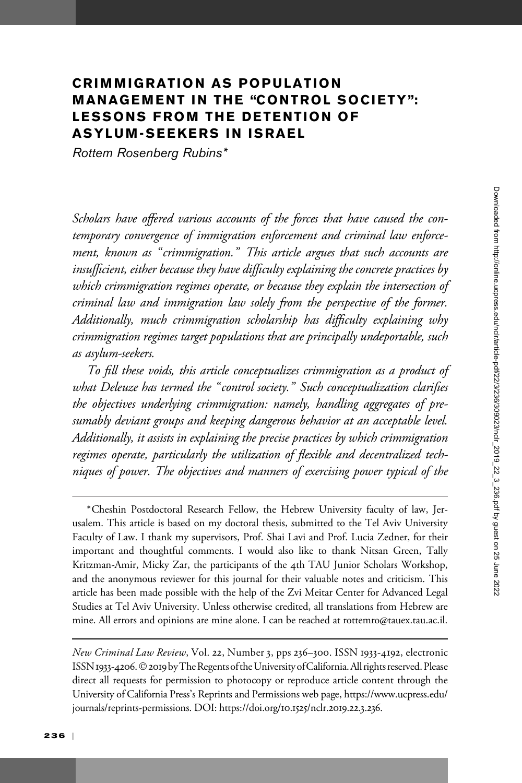# CRIMMIGRATION AS POPULATION MANAGEMENT IN THE "CONTROL SOCIETY": LESSONS FROM THE DETENTION OF ASYLUM-SEEKERS IN ISRAEL

Rottem Rosenberg Rubins\*

Scholars have offered various accounts of the forces that have caused the contemporary convergence of immigration enforcement and criminal law enforcement, known as "crimmigration." This article argues that such accounts are insufficient, either because they have difficulty explaining the concrete practices by which crimmigration regimes operate, or because they explain the intersection of criminal law and immigration law solely from the perspective of the former. Additionally, much crimmigration scholarship has difficulty explaining why crimmigration regimes target populations that are principally undeportable, such as asylum-seekers.

To fill these voids, this article conceptualizes crimmigration as a product of what Deleuze has termed the "control society." Such conceptualization clarifies the objectives underlying crimmigration: namely, handling aggregates of presumably deviant groups and keeping dangerous behavior at an acceptable level. Additionally, it assists in explaining the precise practices by which crimmigration regimes operate, particularly the utilization of flexible and decentralized techniques of power. The objectives and manners of exercising power typical of the

\*Cheshin Postdoctoral Research Fellow, the Hebrew University faculty of law, Jerusalem. This article is based on my doctoral thesis, submitted to the Tel Aviv University Faculty of Law. I thank my supervisors, Prof. Shai Lavi and Prof. Lucia Zedner, for their important and thoughtful comments. I would also like to thank Nitsan Green, Tally Kritzman-Amir, Micky Zar, the participants of the 4th TAU Junior Scholars Workshop, and the anonymous reviewer for this journal for their valuable notes and criticism. This article has been made possible with the help of the Zvi Meitar Center for Advanced Legal Studies at Tel Aviv University. Unless otherwise credited, all translations from Hebrew are mine. All errors and opinions are mine alone. I can be reached at rottemro@tauex.tau.ac.il.

New Criminal Law Review, Vol. 22, Number 3, pps 236–300. ISSN 1933-4192, electronic ISSN 1933-4206. © 2019 by The Regents of the University of California. All rights reserved. Please direct all requests for permission to photocopy or reproduce article content through the University of California Press's Reprints and Permissions web page, [https://www.ucpress.edu/](https://www.ucpress.edu/journals/reprints-permissions) [journals/reprints-permissions.](https://www.ucpress.edu/journals/reprints-permissions) [DOI: https://doi.org/](https://doi.org/10.1525/nclr.2019.22.3.236)10.1525/nclr.2019.22.3.236.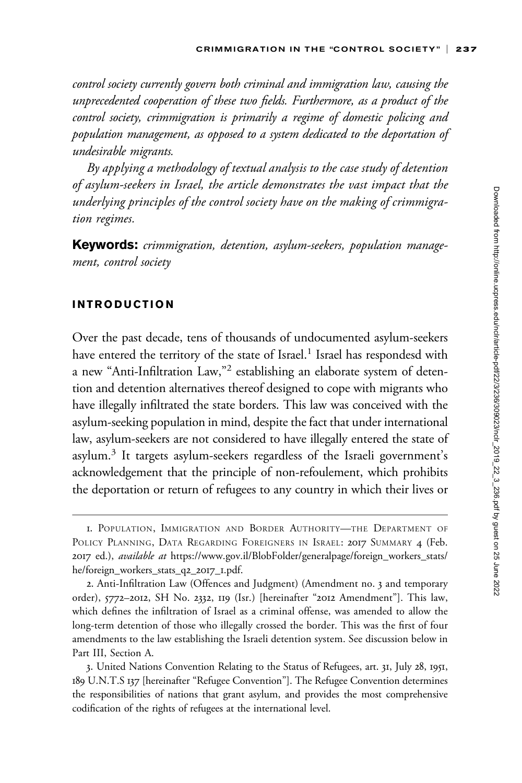control society currently govern both criminal and immigration law, causing the unprecedented cooperation of these two fields. Furthermore, as a product of the control society, crimmigration is primarily a regime of domestic policing and population management, as opposed to a system dedicated to the deportation of undesirable migrants.

By applying a methodology of textual analysis to the case study of detention of asylum-seekers in Israel, the article demonstrates the vast impact that the underlying principles of the control society have on the making of crimmigration regimes.

Keywords: crimmigration, detention, asylum-seekers, population management, control society

## INTRODUCTION

Over the past decade, tens of thousands of undocumented asylum-seekers have entered the territory of the state of Israel.<sup>1</sup> Israel has respondesd with a new "Anti-Infiltration Law,"<sup>2</sup> establishing an elaborate system of detention and detention alternatives thereof designed to cope with migrants who have illegally infiltrated the state borders. This law was conceived with the asylum-seeking population in mind, despite the fact that under international law, asylum-seekers are not considered to have illegally entered the state of asylum.<sup>3</sup> It targets asylum-seekers regardless of the Israeli government's acknowledgement that the principle of non-refoulement, which prohibits the deportation or return of refugees to any country in which their lives or

<sup>1.</sup> POPULATION, IMMIGRATION AND BORDER AUTHORITY—THE DEPARTMENT OF POLICY PLANNING, DATA REGARDING FOREIGNERS IN ISRAEL: 2017 SUMMARY 4 (Feb. 2017 ed.), available at [https://www.gov.il/BlobFolder/generalpage/foreign\\_workers\\_stats/](https://www.gov.il/BlobFolder/generalpage/foreign_workers_stats/he/foreign_workers_stats_q2_2017_1.pdf) [he/foreign\\_workers\\_stats\\_q](https://www.gov.il/BlobFolder/generalpage/foreign_workers_stats/he/foreign_workers_stats_q2_2017_1.pdf)2\_2017\_1.pdf.

<sup>2.</sup> Anti-Infiltration Law (Offences and Judgment) (Amendment no. 3 and temporary order), 5772–2012, SH No. 2332, 119 (Isr.) [hereinafter "2012 Amendment"]. This law, which defines the infiltration of Israel as a criminal offense, was amended to allow the long-term detention of those who illegally crossed the border. This was the first of four amendments to the law establishing the Israeli detention system. See discussion below in Part III, Section A.

<sup>3.</sup> United Nations Convention Relating to the Status of Refugees, art. 31, July 28, 1951, 189 U.N.T.S 137 [hereinafter "Refugee Convention"]. The Refugee Convention determines the responsibilities of nations that grant asylum, and provides the most comprehensive codification of the rights of refugees at the international level.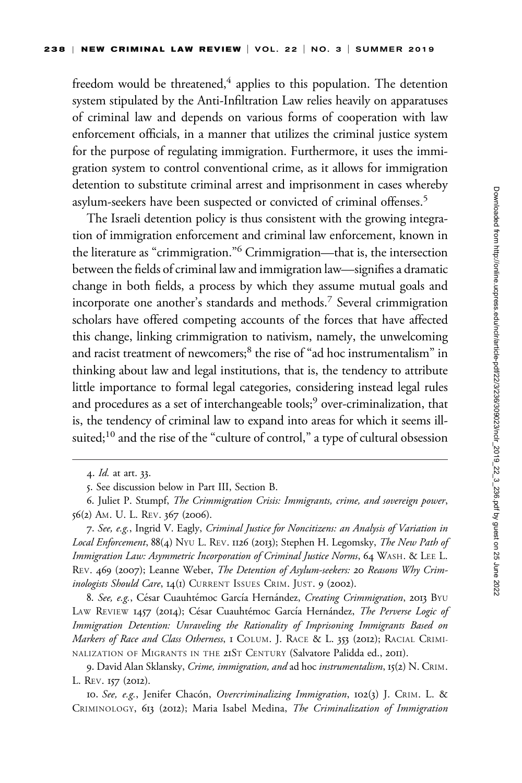freedom would be threatened, $4$  applies to this population. The detention system stipulated by the Anti-Infiltration Law relies heavily on apparatuses of criminal law and depends on various forms of cooperation with law enforcement officials, in a manner that utilizes the criminal justice system for the purpose of regulating immigration. Furthermore, it uses the immigration system to control conventional crime, as it allows for immigration detention to substitute criminal arrest and imprisonment in cases whereby asylum-seekers have been suspected or convicted of criminal offenses.5

The Israeli detention policy is thus consistent with the growing integration of immigration enforcement and criminal law enforcement, known in the literature as "crimmigration."6 Crimmigration—that is, the intersection between the fields of criminal law and immigration law—signifies a dramatic change in both fields, a process by which they assume mutual goals and incorporate one another's standards and methods.7 Several crimmigration scholars have offered competing accounts of the forces that have affected this change, linking crimmigration to nativism, namely, the unwelcoming and racist treatment of newcomers;<sup>8</sup> the rise of "ad hoc instrumentalism" in thinking about law and legal institutions, that is, the tendency to attribute little importance to formal legal categories, considering instead legal rules and procedures as a set of interchangeable tools;<sup>9</sup> over-criminalization, that is, the tendency of criminal law to expand into areas for which it seems illsuited;<sup>10</sup> and the rise of the "culture of control," a type of cultural obsession

8. See, e.g., César Cuauhtémoc García Hernández, Creating Crimmigration, 2013 BYU LAW REVIEW 1457 (2014); César Cuauhtémoc García Hernández, The Perverse Logic of Immigration Detention: Unraveling the Rationality of Imprisoning Immigrants Based on Markers of Race and Class Otherness, I COLUM. J. RACE & L. 353 (2012); RACIAL CRIMI-NALIZATION OF MIGRANTS IN THE 21ST CENTURY (Salvatore Palidda ed., 2011).

<sup>4.</sup> Id. at art. 33.

<sup>5.</sup> See discussion below in Part III, Section B.

<sup>6.</sup> Juliet P. Stumpf, The Crimmigration Crisis: Immigrants, crime, and sovereign power, 56(2) AM. U. L. REV. 367 (2006).

<sup>7.</sup> See, e.g., Ingrid V. Eagly, Criminal Justice for Noncitizens: an Analysis of Variation in Local Enforcement, 88(4) NYU L. REV. 1126 (2013); Stephen H. Legomsky, The New Path of Immigration Law: Asymmetric Incorporation of Criminal Justice Norms, 64 WASH. & LEE L. REV. 469 (2007); Leanne Weber, The Detention of Asylum-seekers: 20 Reasons Why Criminologists Should Care, 14(1) CURRENT ISSUES CRIM. JUST. 9 (2002).

<sup>9.</sup> David Alan Sklansky, Crime, immigration, and ad hoc instrumentalism, 15(2) N. CRIM. L. REV. 157 (2012).

<sup>10.</sup> See, e.g., Jenifer Chacón, Overcriminalizing Immigration, 102(3) J. CRIM. L. & CRIMINOLOGY, 613 (2012); Maria Isabel Medina, The Criminalization of Immigration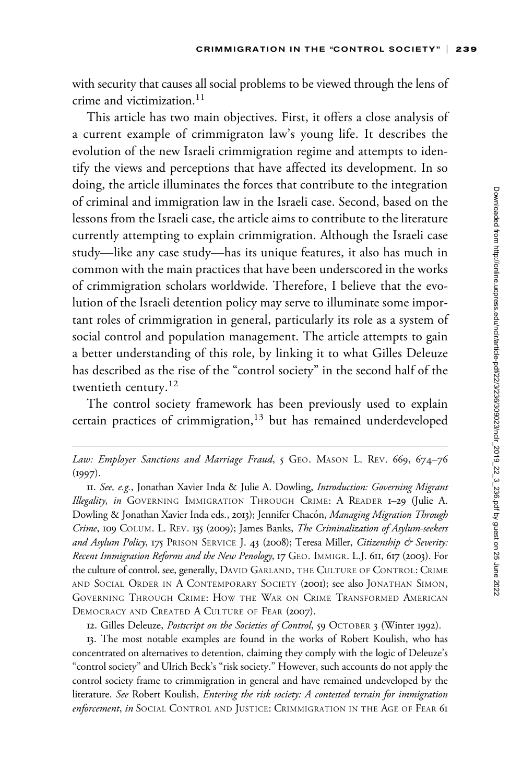with security that causes all social problems to be viewed through the lens of crime and victimization.<sup>11</sup>

This article has two main objectives. First, it offers a close analysis of a current example of crimmigraton law's young life. It describes the evolution of the new Israeli crimmigration regime and attempts to identify the views and perceptions that have affected its development. In so doing, the article illuminates the forces that contribute to the integration of criminal and immigration law in the Israeli case. Second, based on the lessons from the Israeli case, the article aims to contribute to the literature currently attempting to explain crimmigration. Although the Israeli case study—like any case study—has its unique features, it also has much in common with the main practices that have been underscored in the works of crimmigration scholars worldwide. Therefore, I believe that the evolution of the Israeli detention policy may serve to illuminate some important roles of crimmigration in general, particularly its role as a system of social control and population management. The article attempts to gain a better understanding of this role, by linking it to what Gilles Deleuze has described as the rise of the "control society" in the second half of the twentieth century.<sup>12</sup>

The control society framework has been previously used to explain certain practices of crimmigration, $13$  but has remained underdeveloped

12. Gilles Deleuze, Postscript on the Societies of Control, 59 OCTOBER 3 (Winter 1992).

13. The most notable examples are found in the works of Robert Koulish, who has concentrated on alternatives to detention, claiming they comply with the logic of Deleuze's "control society" and Ulrich Beck's "risk society." However, such accounts do not apply the control society frame to crimmigration in general and have remained undeveloped by the literature. See Robert Koulish, Entering the risk society: A contested terrain for immigration enforcement, in SOCIAL CONTROL AND JUSTICE: CRIMMIGRATION IN THE AGE OF FEAR 61

Law: Employer Sanctions and Marriage Fraud, 5 GEO. MASON L. REV. 669, 674–76 (1997).

<sup>11.</sup> See, e.g., Jonathan Xavier Inda & Julie A. Dowling, Introduction: Governing Migrant Illegality, in GOVERNING IMMIGRATION THROUGH CRIME: A READER 1-29 (Julie A. Dowling & Jonathan Xavier Inda eds., 2013); Jennifer Chacón, Managing Migration Through Crime, 109 COLUM. L. REV. 135 (2009); James Banks, The Criminalization of Asylum-seekers and Asylum Policy, 175 PRISON SERVICE J. 43 (2008); Teresa Miller, Citizenship & Severity: Recent Immigration Reforms and the New Penology, 17 GEO. IMMIGR. L.J. 611, 617 (2003). For the culture of control, see, generally, DAVID GARLAND, THE CULTURE OF CONTROL: CRIME AND SOCIAL ORDER IN A CONTEMPORARY SOCIETY (2001); see also JONATHAN SIMON, GOVERNING THROUGH CRIME: HOW THE WAR ON CRIME TRANSFORMED AMERICAN DEMOCRACY AND CREATED A CULTURE OF FEAR (2007).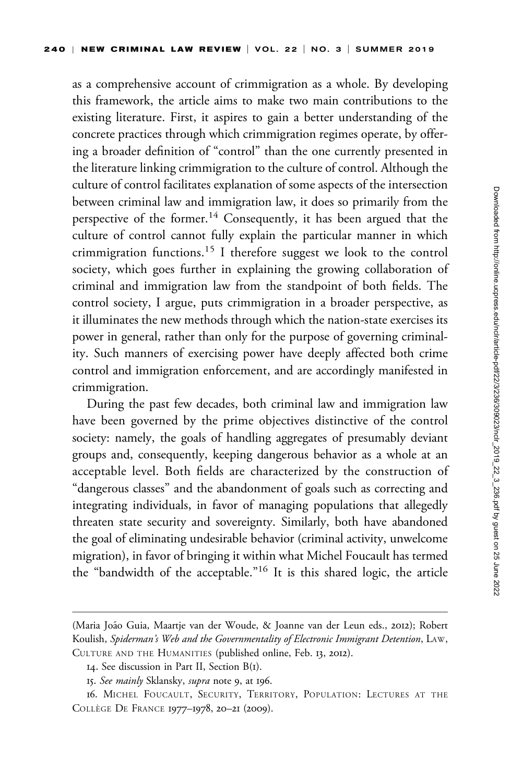as a comprehensive account of crimmigration as a whole. By developing this framework, the article aims to make two main contributions to the existing literature. First, it aspires to gain a better understanding of the concrete practices through which crimmigration regimes operate, by offering a broader definition of "control" than the one currently presented in the literature linking crimmigration to the culture of control. Although the culture of control facilitates explanation of some aspects of the intersection between criminal law and immigration law, it does so primarily from the perspective of the former.<sup>14</sup> Consequently, it has been argued that the culture of control cannot fully explain the particular manner in which crimmigration functions.<sup>15</sup> I therefore suggest we look to the control society, which goes further in explaining the growing collaboration of criminal and immigration law from the standpoint of both fields. The control society, I argue, puts crimmigration in a broader perspective, as it illuminates the new methods through which the nation-state exercises its power in general, rather than only for the purpose of governing criminality. Such manners of exercising power have deeply affected both crime control and immigration enforcement, and are accordingly manifested in crimmigration.

During the past few decades, both criminal law and immigration law have been governed by the prime objectives distinctive of the control society: namely, the goals of handling aggregates of presumably deviant groups and, consequently, keeping dangerous behavior as a whole at an acceptable level. Both fields are characterized by the construction of "dangerous classes" and the abandonment of goals such as correcting and integrating individuals, in favor of managing populations that allegedly threaten state security and sovereignty. Similarly, both have abandoned the goal of eliminating undesirable behavior (criminal activity, unwelcome migration), in favor of bringing it within what Michel Foucault has termed the "bandwidth of the acceptable."<sup>16</sup> It is this shared logic, the article

<sup>(</sup>Maria João Guia, Maartje van der Woude, & Joanne van der Leun eds., 2012); Robert Koulish, Spiderman's Web and the Governmentality of Electronic Immigrant Detention, LAW, CULTURE AND THE HUMANITIES (published online, Feb. 13, 2012).

<sup>14.</sup> See discussion in Part II, Section B(1).

<sup>15.</sup> See mainly Sklansky, supra note 9, at 196.

<sup>16.</sup> MICHEL FOUCAULT, SECURITY, TERRITORY, POPULATION: LECTURES AT THE COLLÈGE DE FRANCE 1977-1978, 20-21 (2009).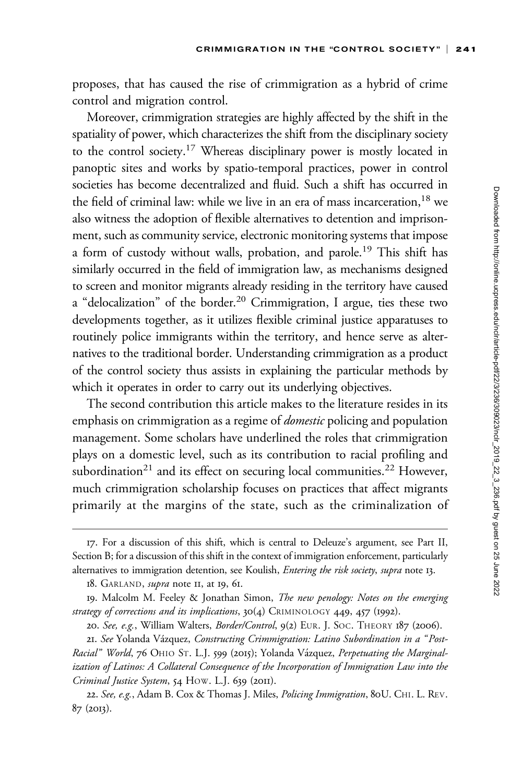proposes, that has caused the rise of crimmigration as a hybrid of crime control and migration control.

Moreover, crimmigration strategies are highly affected by the shift in the spatiality of power, which characterizes the shift from the disciplinary society to the control society.17 Whereas disciplinary power is mostly located in panoptic sites and works by spatio-temporal practices, power in control societies has become decentralized and fluid. Such a shift has occurred in the field of criminal law: while we live in an era of mass incarceration,  $18$  we also witness the adoption of flexible alternatives to detention and imprisonment, such as community service, electronic monitoring systems that impose a form of custody without walls, probation, and parole.<sup>19</sup> This shift has similarly occurred in the field of immigration law, as mechanisms designed to screen and monitor migrants already residing in the territory have caused a "delocalization" of the border.<sup>20</sup> Crimmigration, I argue, ties these two developments together, as it utilizes flexible criminal justice apparatuses to routinely police immigrants within the territory, and hence serve as alternatives to the traditional border. Understanding crimmigration as a product of the control society thus assists in explaining the particular methods by which it operates in order to carry out its underlying objectives.

The second contribution this article makes to the literature resides in its emphasis on crimmigration as a regime of *domestic* policing and population management. Some scholars have underlined the roles that crimmigration plays on a domestic level, such as its contribution to racial profiling and subordination<sup>21</sup> and its effect on securing local communities.<sup>22</sup> However, much crimmigration scholarship focuses on practices that affect migrants primarily at the margins of the state, such as the criminalization of

18. GARLAND, *supra* note II, at 19, 61.

<sup>17.</sup> For a discussion of this shift, which is central to Deleuze's argument, see Part II, Section B; for a discussion of this shift in the context of immigration enforcement, particularly alternatives to immigration detention, see Koulish, Entering the risk society, supra note 13.

<sup>19.</sup> Malcolm M. Feeley & Jonathan Simon, The new penology: Notes on the emerging strategy of corrections and its implications, 30(4) CRIMINOLOGY 449, 457 (1992).

<sup>20.</sup> See, e.g., William Walters, Border/Control, 9(2) EUR. J. SOC. THEORY 187 (2006).

<sup>21.</sup> See Yolanda Vázquez, Constructing Crimmigration: Latino Subordination in a "Post-Racial" World, 76 OHIO ST. L.J. 599 (2015); Yolanda Vázquez, Perpetuating the Marginalization of Latinos: A Collateral Consequence of the Incorporation of Immigration Law into the Criminal Justice System, 54 HOW. L.J. 639 (2011).

<sup>22.</sup> See, e.g., Adam B. Cox & Thomas J. Miles, Policing Immigration, 80U. CHI. L. REV. 87 (2013).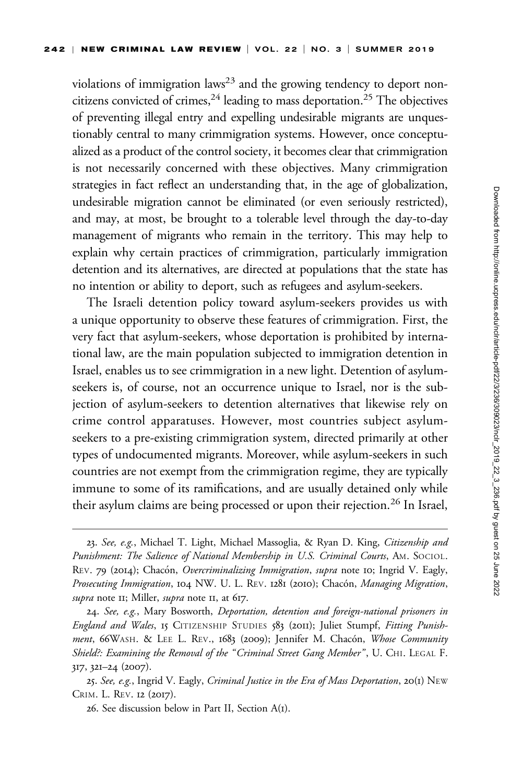violations of immigration laws<sup>23</sup> and the growing tendency to deport noncitizens convicted of crimes,  $24$  leading to mass deportation.<sup>25</sup> The objectives of preventing illegal entry and expelling undesirable migrants are unquestionably central to many crimmigration systems. However, once conceptualized as a product of the control society, it becomes clear that crimmigration is not necessarily concerned with these objectives. Many crimmigration strategies in fact reflect an understanding that, in the age of globalization, undesirable migration cannot be eliminated (or even seriously restricted), and may, at most, be brought to a tolerable level through the day-to-day management of migrants who remain in the territory. This may help to explain why certain practices of crimmigration, particularly immigration detention and its alternatives, are directed at populations that the state has no intention or ability to deport, such as refugees and asylum-seekers.

The Israeli detention policy toward asylum-seekers provides us with a unique opportunity to observe these features of crimmigration. First, the very fact that asylum-seekers, whose deportation is prohibited by international law, are the main population subjected to immigration detention in Israel, enables us to see crimmigration in a new light. Detention of asylumseekers is, of course, not an occurrence unique to Israel, nor is the subjection of asylum-seekers to detention alternatives that likewise rely on crime control apparatuses. However, most countries subject asylumseekers to a pre-existing crimmigration system, directed primarily at other types of undocumented migrants. Moreover, while asylum-seekers in such countries are not exempt from the crimmigration regime, they are typically immune to some of its ramifications, and are usually detained only while their asylum claims are being processed or upon their rejection.<sup>26</sup> In Israel,

<sup>23.</sup> See, e.g., Michael T. Light, Michael Massoglia, & Ryan D. King, Citizenship and Punishment: The Salience of National Membership in U.S. Criminal Courts, AM. SOCIOL. REV. 79 (2014); Chacón, Overcriminalizing Immigration, supra note 10; Ingrid V. Eagly, Prosecuting Immigration, 104 NW. U. L. REV. 1281 (2010); Chacón, Managing Migration, supra note II; Miller, supra note II, at 617.

<sup>24.</sup> See, e.g., Mary Bosworth, Deportation, detention and foreign-national prisoners in England and Wales, 15 CITIZENSHIP STUDIES 583 (2011); Juliet Stumpf, Fitting Punishment, 66WASH. & LEE L. REV., 1683 (2009); Jennifer M. Chacón, Whose Community Shield?: Examining the Removal of the "Criminal Street Gang Member", U. CHI. LEGAL F. 317, 321–24 (2007).

<sup>25.</sup> See, e.g., Ingrid V. Eagly, Criminal Justice in the Era of Mass Deportation, 20(1) NEW CRIM. L. REV. 12 (2017).

<sup>26.</sup> See discussion below in Part II, Section A(1).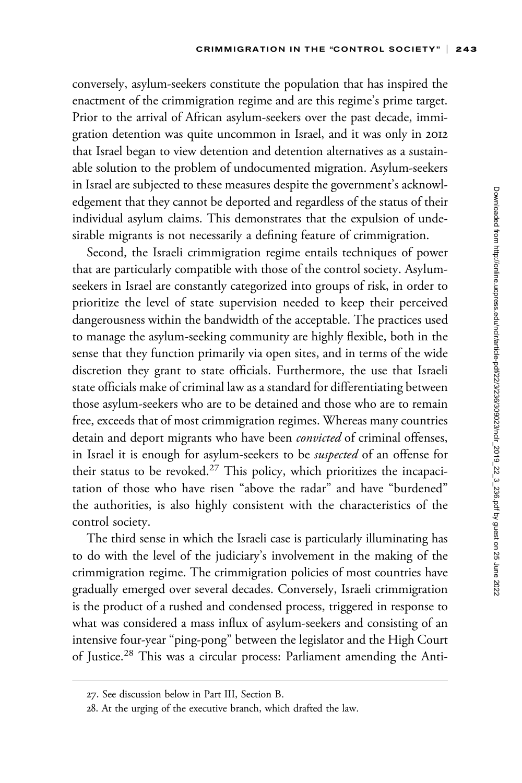conversely, asylum-seekers constitute the population that has inspired the enactment of the crimmigration regime and are this regime's prime target. Prior to the arrival of African asylum-seekers over the past decade, immigration detention was quite uncommon in Israel, and it was only in 2012 that Israel began to view detention and detention alternatives as a sustainable solution to the problem of undocumented migration. Asylum-seekers in Israel are subjected to these measures despite the government's acknowledgement that they cannot be deported and regardless of the status of their individual asylum claims. This demonstrates that the expulsion of undesirable migrants is not necessarily a defining feature of crimmigration.

Second, the Israeli crimmigration regime entails techniques of power that are particularly compatible with those of the control society. Asylumseekers in Israel are constantly categorized into groups of risk, in order to prioritize the level of state supervision needed to keep their perceived dangerousness within the bandwidth of the acceptable. The practices used to manage the asylum-seeking community are highly flexible, both in the sense that they function primarily via open sites, and in terms of the wide discretion they grant to state officials. Furthermore, the use that Israeli state officials make of criminal law as a standard for differentiating between those asylum-seekers who are to be detained and those who are to remain free, exceeds that of most crimmigration regimes. Whereas many countries detain and deport migrants who have been *convicted* of criminal offenses, in Israel it is enough for asylum-seekers to be suspected of an offense for their status to be revoked.<sup>27</sup> This policy, which prioritizes the incapacitation of those who have risen "above the radar" and have "burdened" the authorities, is also highly consistent with the characteristics of the control society.

The third sense in which the Israeli case is particularly illuminating has to do with the level of the judiciary's involvement in the making of the crimmigration regime. The crimmigration policies of most countries have gradually emerged over several decades. Conversely, Israeli crimmigration is the product of a rushed and condensed process, triggered in response to what was considered a mass influx of asylum-seekers and consisting of an intensive four-year "ping-pong" between the legislator and the High Court of Justice.<sup>28</sup> This was a circular process: Parliament amending the Anti-

<sup>27.</sup> See discussion below in Part III, Section B.

<sup>28.</sup> At the urging of the executive branch, which drafted the law.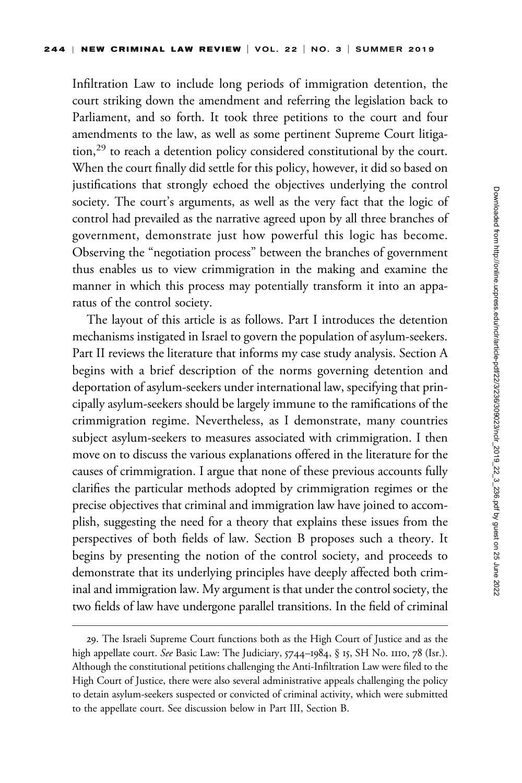Infiltration Law to include long periods of immigration detention, the court striking down the amendment and referring the legislation back to Parliament, and so forth. It took three petitions to the court and four amendments to the law, as well as some pertinent Supreme Court litigation,<sup>29</sup> to reach a detention policy considered constitutional by the court. When the court finally did settle for this policy, however, it did so based on justifications that strongly echoed the objectives underlying the control society. The court's arguments, as well as the very fact that the logic of control had prevailed as the narrative agreed upon by all three branches of government, demonstrate just how powerful this logic has become. Observing the "negotiation process" between the branches of government thus enables us to view crimmigration in the making and examine the manner in which this process may potentially transform it into an apparatus of the control society.

The layout of this article is as follows. Part I introduces the detention mechanisms instigated in Israel to govern the population of asylum-seekers. Part II reviews the literature that informs my case study analysis. Section A begins with a brief description of the norms governing detention and deportation of asylum-seekers under international law, specifying that principally asylum-seekers should be largely immune to the ramifications of the crimmigration regime. Nevertheless, as I demonstrate, many countries subject asylum-seekers to measures associated with crimmigration. I then move on to discuss the various explanations offered in the literature for the causes of crimmigration. I argue that none of these previous accounts fully clarifies the particular methods adopted by crimmigration regimes or the precise objectives that criminal and immigration law have joined to accomplish, suggesting the need for a theory that explains these issues from the perspectives of both fields of law. Section B proposes such a theory. It begins by presenting the notion of the control society, and proceeds to demonstrate that its underlying principles have deeply affected both criminal and immigration law. My argument is that under the control society, the two fields of law have undergone parallel transitions. In the field of criminal

<sup>29.</sup> The Israeli Supreme Court functions both as the High Court of Justice and as the high appellate court. See Basic Law: The Judiciary, 5744-1984, § 15, SH No. 1110, 78 (Isr.). Although the constitutional petitions challenging the Anti-Infiltration Law were filed to the High Court of Justice, there were also several administrative appeals challenging the policy to detain asylum-seekers suspected or convicted of criminal activity, which were submitted to the appellate court. See discussion below in Part III, Section B.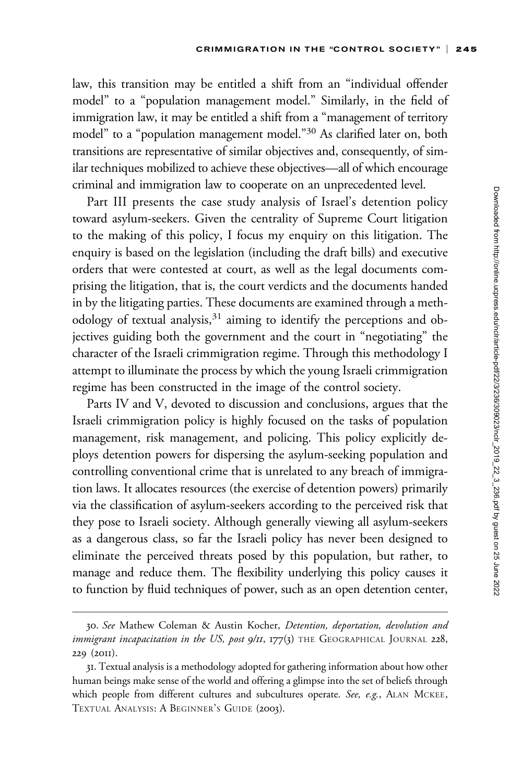law, this transition may be entitled a shift from an "individual offender model" to a "population management model." Similarly, in the field of immigration law, it may be entitled a shift from a "management of territory model" to a "population management model."<sup>30</sup> As clarified later on, both transitions are representative of similar objectives and, consequently, of similar techniques mobilized to achieve these objectives—all of which encourage criminal and immigration law to cooperate on an unprecedented level.

Part III presents the case study analysis of Israel's detention policy toward asylum-seekers. Given the centrality of Supreme Court litigation to the making of this policy, I focus my enquiry on this litigation. The enquiry is based on the legislation (including the draft bills) and executive orders that were contested at court, as well as the legal documents comprising the litigation, that is, the court verdicts and the documents handed in by the litigating parties. These documents are examined through a methodology of textual analysis,<sup>31</sup> aiming to identify the perceptions and objectives guiding both the government and the court in "negotiating" the character of the Israeli crimmigration regime. Through this methodology I attempt to illuminate the process by which the young Israeli crimmigration regime has been constructed in the image of the control society.

Parts IV and V, devoted to discussion and conclusions, argues that the Israeli crimmigration policy is highly focused on the tasks of population management, risk management, and policing. This policy explicitly deploys detention powers for dispersing the asylum-seeking population and controlling conventional crime that is unrelated to any breach of immigration laws. It allocates resources (the exercise of detention powers) primarily via the classification of asylum-seekers according to the perceived risk that they pose to Israeli society. Although generally viewing all asylum-seekers as a dangerous class, so far the Israeli policy has never been designed to eliminate the perceived threats posed by this population, but rather, to manage and reduce them. The flexibility underlying this policy causes it to function by fluid techniques of power, such as an open detention center,

<sup>30.</sup> See Mathew Coleman & Austin Kocher, Detention, deportation, devolution and immigrant incapacitation in the US, post  $9/11$ ,  $177(3)$  THE GEOGRAPHICAL JOURNAL 228, 229 (2011).

<sup>31.</sup> Textual analysis is a methodology adopted for gathering information about how other human beings make sense of the world and offering a glimpse into the set of beliefs through which people from different cultures and subcultures operate. See, e.g., ALAN MCKEE, TEXTUAL ANALYSIS: A BEGINNER'S GUIDE (2003).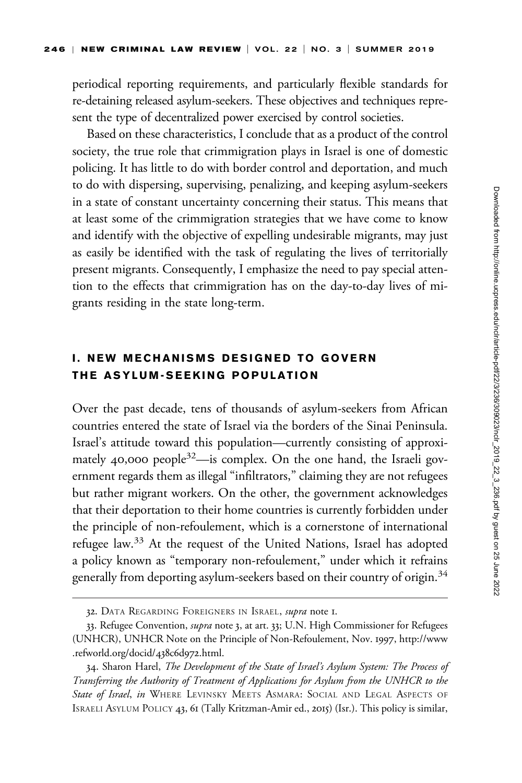periodical reporting requirements, and particularly flexible standards for re-detaining released asylum-seekers. These objectives and techniques represent the type of decentralized power exercised by control societies.

Based on these characteristics, I conclude that as a product of the control society, the true role that crimmigration plays in Israel is one of domestic policing. It has little to do with border control and deportation, and much to do with dispersing, supervising, penalizing, and keeping asylum-seekers in a state of constant uncertainty concerning their status. This means that at least some of the crimmigration strategies that we have come to know and identify with the objective of expelling undesirable migrants, may just as easily be identified with the task of regulating the lives of territorially present migrants. Consequently, I emphasize the need to pay special attention to the effects that crimmigration has on the day-to-day lives of migrants residing in the state long-term.

## I. NEW MECHANISMS DESIGNED TO GOVERN THE ASYLUM-SEEKING POPULATION

Over the past decade, tens of thousands of asylum-seekers from African countries entered the state of Israel via the borders of the Sinai Peninsula. Israel's attitude toward this population—currently consisting of approximately 40,000 people $32$ —is complex. On the one hand, the Israeli government regards them as illegal "infiltrators," claiming they are not refugees but rather migrant workers. On the other, the government acknowledges that their deportation to their home countries is currently forbidden under the principle of non-refoulement, which is a cornerstone of international refugee law.<sup>33</sup> At the request of the United Nations, Israel has adopted a policy known as "temporary non-refoulement," under which it refrains generally from deporting asylum-seekers based on their country of origin.<sup>34</sup>

<sup>32.</sup> DATA REGARDING FOREIGNERS IN ISRAEL, *supra* note I.

<sup>33.</sup> Refugee Convention, *supra* note 3, at art. 33; U.N. High Commissioner for Refugees (UNHCR), UNHCR Note on the Principle of Non-Refoulement, Nov. 1997, [http://www](http://www.refworld.org/docid/438c6d972.html) [.refworld.org/docid/](http://www.refworld.org/docid/438c6d972.html)438c6d972.html.

<sup>34.</sup> Sharon Harel, *The Development of the State of Israel's Asylum System: The Process of* Transferring the Authority of Treatment of Applications for Asylum from the UNHCR to the State of Israel, in WHERE LEVINSKY MEETS ASMARA: SOCIAL AND LEGAL ASPECTS OF ISRAELI ASYLUM POLICY 43, 61 (Tally Kritzman-Amir ed., 2015) (Isr.). This policy is similar,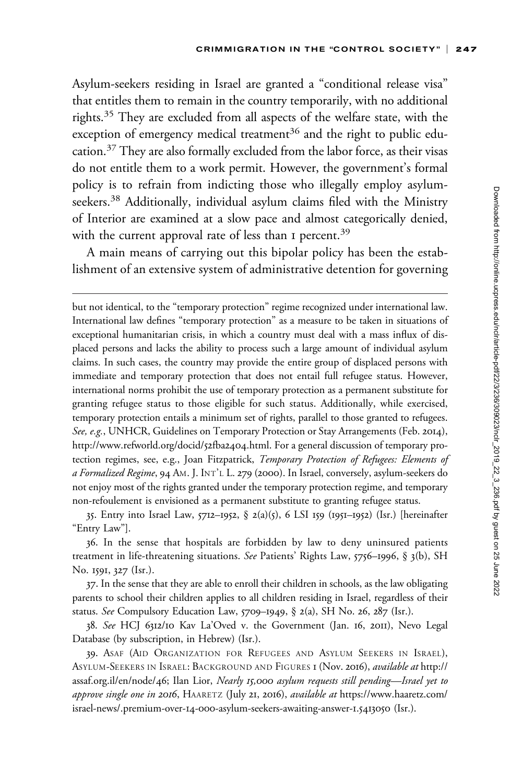Asylum-seekers residing in Israel are granted a "conditional release visa" that entitles them to remain in the country temporarily, with no additional rights.<sup>35</sup> They are excluded from all aspects of the welfare state, with the exception of emergency medical treatment<sup>36</sup> and the right to public education.<sup>37</sup> They are also formally excluded from the labor force, as their visas do not entitle them to a work permit. However, the government's formal policy is to refrain from indicting those who illegally employ asylumseekers.<sup>38</sup> Additionally, individual asylum claims filed with the Ministry of Interior are examined at a slow pace and almost categorically denied, with the current approval rate of less than I percent.<sup>39</sup>

A main means of carrying out this bipolar policy has been the establishment of an extensive system of administrative detention for governing

but not identical, to the "temporary protection" regime recognized under international law. International law defines "temporary protection" as a measure to be taken in situations of exceptional humanitarian crisis, in which a country must deal with a mass influx of displaced persons and lacks the ability to process such a large amount of individual asylum claims. In such cases, the country may provide the entire group of displaced persons with immediate and temporary protection that does not entail full refugee status. However, international norms prohibit the use of temporary protection as a permanent substitute for granting refugee status to those eligible for such status. Additionally, while exercised, temporary protection entails a minimum set of rights, parallel to those granted to refugees. See, e.g., UNHCR, Guidelines on Temporary Protection or Stay Arrangements (Feb. 2014), [http://www.refworld.org/docid/](http://www.refworld.org/docid/52fba2404.html)52fba2404.html. For a general discussion of temporary protection regimes, see, e.g., Joan Fitzpatrick, Temporary Protection of Refugees: Elements of a Formalized Regime, 94 AM. J. INT'L L. 279 (2000). In Israel, conversely, asylum-seekers do not enjoy most of the rights granted under the temporary protection regime, and temporary non-refoulement is envisioned as a permanent substitute to granting refugee status.

35. Entry into Israel Law, 5712–1952, § 2(a)(5), 6 LSI 159 (1951–1952) (Isr.) [hereinafter "Entry Law"].

36. In the sense that hospitals are forbidden by law to deny uninsured patients treatment in life-threatening situations. See Patients' Rights Law, 5756–1996, § 3(b), SH No. 1591, 327 (Isr.).

37. In the sense that they are able to enroll their children in schools, as the law obligating parents to school their children applies to all children residing in Israel, regardless of their status. See Compulsory Education Law, 5709–1949, § 2(a), SH No. 26, 287 (Isr.).

38. See HCJ 6312/10 Kav La'Oved v. the Government (Jan. 16, 2011), Nevo Legal Database (by subscription, in Hebrew) (Isr.).

39. ASAF (AID ORGANIZATION FOR REFUGEES AND ASYLUM SEEKERS IN ISRAEL), ASYLUM-SEEKERS IN ISRAEL: BACKGROUND AND FIGURES 1 (Nov. 2016), available at [http://](http://assaf.org.il/en/node/46) [assaf.org.il/en/node/](http://assaf.org.il/en/node/46)46; Ilan Lior, Nearly 15,000 asylum requests still pending—Israel yet to approve single one in 2016, HAARETZ (July 21, 2016), available at [https://www.haaretz.com/](https://www.haaretz.com/israel-news/.premium-over-14-000-asylum-seekers-awaiting-answer-1.5413050) israel-news/.premium-over-14-000[-asylum-seekers-awaiting-answer-](https://www.haaretz.com/israel-news/.premium-over-14-000-asylum-seekers-awaiting-answer-1.5413050)1.5413050 (Isr.).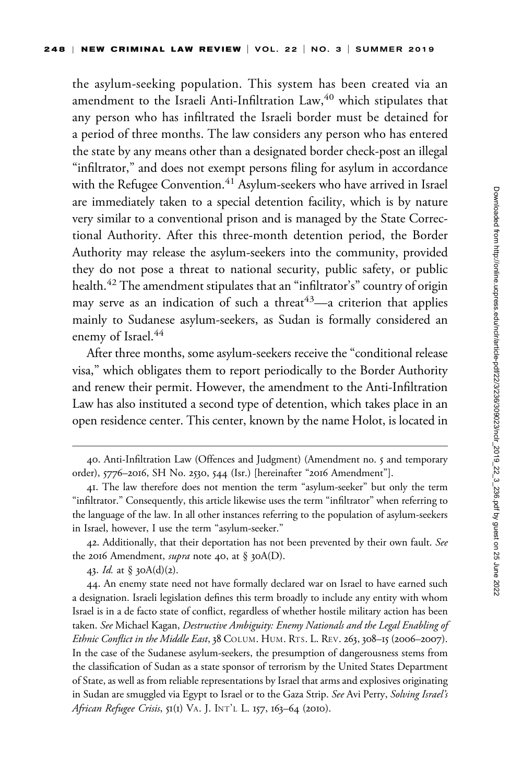the asylum-seeking population. This system has been created via an amendment to the Israeli Anti-Infiltration Law,<sup>40</sup> which stipulates that any person who has infiltrated the Israeli border must be detained for a period of three months. The law considers any person who has entered the state by any means other than a designated border check-post an illegal "infiltrator," and does not exempt persons filing for asylum in accordance with the Refugee Convention.<sup>41</sup> Asylum-seekers who have arrived in Israel are immediately taken to a special detention facility, which is by nature very similar to a conventional prison and is managed by the State Correctional Authority. After this three-month detention period, the Border Authority may release the asylum-seekers into the community, provided they do not pose a threat to national security, public safety, or public health.<sup>42</sup> The amendment stipulates that an "infiltrator's" country of origin may serve as an indication of such a threat<sup>43</sup>—a criterion that applies mainly to Sudanese asylum-seekers, as Sudan is formally considered an enemy of Israel.<sup>44</sup>

After three months, some asylum-seekers receive the "conditional release visa," which obligates them to report periodically to the Border Authority and renew their permit. However, the amendment to the Anti-Infiltration Law has also instituted a second type of detention, which takes place in an open residence center. This center, known by the name Holot, is located in

42. Additionally, that their deportation has not been prevented by their own fault. See the 2016 Amendment, *supra* note 40, at § 30A(D).

43. *Id.* at § 30A(d)(2).

44. An enemy state need not have formally declared war on Israel to have earned such a designation. Israeli legislation defines this term broadly to include any entity with whom Israel is in a de facto state of conflict, regardless of whether hostile military action has been taken. See Michael Kagan, Destructive Ambiguity: Enemy Nationals and the Legal Enabling of Ethnic Conflict in the Middle East, 38 COLUM. HUM. RTS. L. REV. 263, 308-15 (2006-2007). In the case of the Sudanese asylum-seekers, the presumption of dangerousness stems from the classification of Sudan as a state sponsor of terrorism by the United States Department of State, as well as from reliable representations by Israel that arms and explosives originating in Sudan are smuggled via Egypt to Israel or to the Gaza Strip. See Avi Perry, Solving Israel's African Refugee Crisis, 51(1) VA. J. INT'L L. 157, 163-64 (2010).

<sup>40.</sup> Anti-Infiltration Law (Offences and Judgment) (Amendment no. 5 and temporary order), 5776–2016, SH No. 2530, 544 (Isr.) [hereinafter "2016 Amendment"].

<sup>41.</sup> The law therefore does not mention the term "asylum-seeker" but only the term "infiltrator." Consequently, this article likewise uses the term "infiltrator" when referring to the language of the law. In all other instances referring to the population of asylum-seekers in Israel, however, I use the term "asylum-seeker."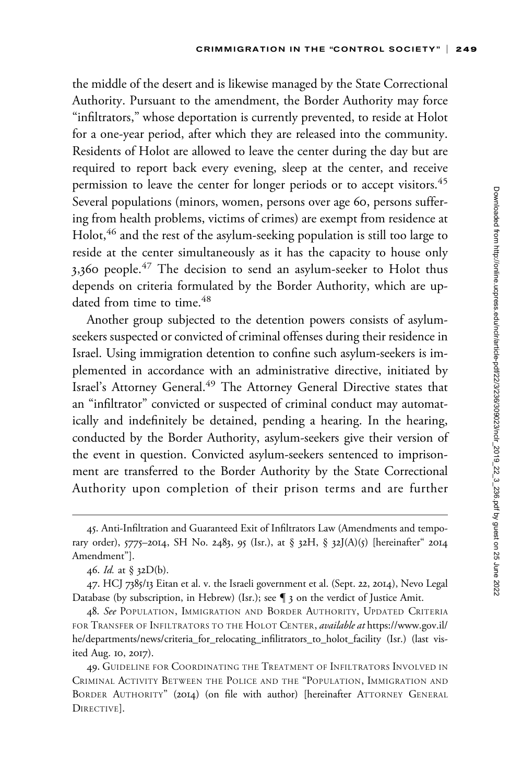the middle of the desert and is likewise managed by the State Correctional Authority. Pursuant to the amendment, the Border Authority may force "infiltrators," whose deportation is currently prevented, to reside at Holot for a one-year period, after which they are released into the community. Residents of Holot are allowed to leave the center during the day but are required to report back every evening, sleep at the center, and receive permission to leave the center for longer periods or to accept visitors.<sup>45</sup> Several populations (minors, women, persons over age 60, persons suffering from health problems, victims of crimes) are exempt from residence at Holot,<sup>46</sup> and the rest of the asylum-seeking population is still too large to reside at the center simultaneously as it has the capacity to house only 3,360 people.<sup>47</sup> The decision to send an asylum-seeker to Holot thus depends on criteria formulated by the Border Authority, which are updated from time to time.<sup>48</sup>

Another group subjected to the detention powers consists of asylumseekers suspected or convicted of criminal offenses during their residence in Israel. Using immigration detention to confine such asylum-seekers is implemented in accordance with an administrative directive, initiated by Israel's Attorney General.<sup>49</sup> The Attorney General Directive states that an "infiltrator" convicted or suspected of criminal conduct may automatically and indefinitely be detained, pending a hearing. In the hearing, conducted by the Border Authority, asylum-seekers give their version of the event in question. Convicted asylum-seekers sentenced to imprisonment are transferred to the Border Authority by the State Correctional Authority upon completion of their prison terms and are further

<sup>45.</sup> Anti-Infiltration and Guaranteed Exit of Infiltrators Law (Amendments and temporary order), 5775–2014, SH No. 2483, 95 (Isr.), at § 32H, § 32J(A)(5) [hereinafter" 2014 Amendment"].

<sup>46.</sup> Id. at § 32D(b).

<sup>47.</sup> HCJ 7385/13 Eitan et al. v. the Israeli government et al. (Sept. 22, 2014), Nevo Legal Database (by subscription, in Hebrew) (Isr.); see  $\P$  3 on the verdict of Justice Amit.

<sup>48.</sup> See POPULATION, IMMIGRATION AND BORDER AUTHORITY, UPDATED CRITERIA FOR TRANSFER OF INFILTRATORS TO THE HOLOT CENTER, available at [https://www.gov.il/](https://www.gov.il/he/departments/news/criteria_for_relocating_infilitrators_to_holot_facility) [he/departments/news/criteria\\_for\\_relocating\\_infilitrators\\_to\\_holot\\_facility](https://www.gov.il/he/departments/news/criteria_for_relocating_infilitrators_to_holot_facility) (Isr.) (last visited Aug. 10, 2017).

<sup>49.</sup> GUIDELINE FOR COORDINATING THE TREATMENT OF INFILTRATORS INVOLVED IN CRIMINAL ACTIVITY BETWEEN THE POLICE AND THE "POPULATION, IMMIGRATION AND BORDER AUTHORITY" (2014) (on file with author) [hereinafter ATTORNEY GENERAL DIRECTIVE].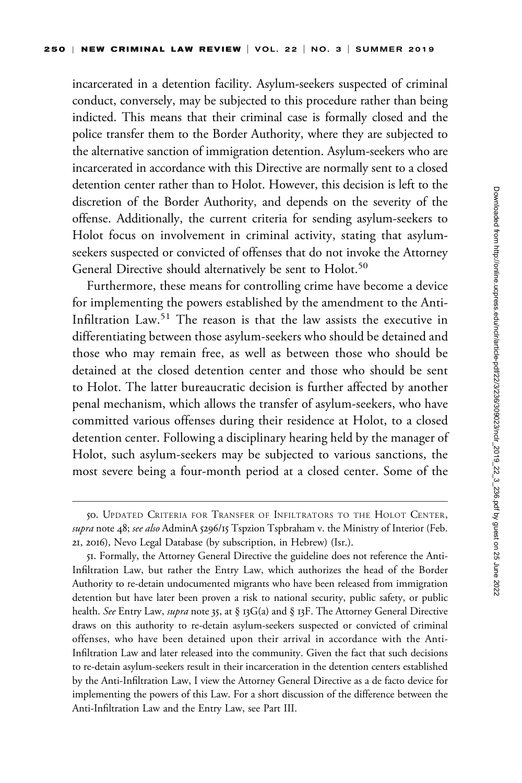incarcerated in a detention facility. Asylum-seekers suspected of criminal conduct, conversely, may be subjected to this procedure rather than being indicted. This means that their criminal case is formally closed and the police transfer them to the Border Authority, where they are subjected to the alternative sanction of immigration detention. Asylum-seekers who are incarcerated in accordance with this Directive are normally sent to a closed detention center rather than to Holot. However, this decision is left to the discretion of the Border Authority, and depends on the severity of the offense. Additionally, the current criteria for sending asylum-seekers to Holot focus on involvement in criminal activity, stating that asylumseekers suspected or convicted of offenses that do not invoke the Attorney General Directive should alternatively be sent to Holot.<sup>50</sup>

Furthermore, these means for controlling crime have become a device for implementing the powers established by the amendment to the Anti-Infiltration Law.<sup>51</sup> The reason is that the law assists the executive in differentiating between those asylum-seekers who should be detained and those who may remain free, as well as between those who should be detained at the closed detention center and those who should be sent to Holot. The latter bureaucratic decision is further affected by another penal mechanism, which allows the transfer of asylum-seekers, who have committed various offenses during their residence at Holot, to a closed detention center. Following a disciplinary hearing held by the manager of Holot, such asylum-seekers may be subjected to various sanctions, the most severe being a four-month period at a closed center. Some of the

<sup>50.</sup> UPDATED CRITERIA FOR TRANSFER OF INFILTRATORS TO THE HOLOT CENTER, supra note 48; see also AdminA 5296/15 Tspzion Tspbraham v. the Ministry of Interior (Feb. 21, 2016), Nevo Legal Database (by subscription, in Hebrew) (Isr.).

<sup>51.</sup> Formally, the Attorney General Directive the guideline does not reference the Anti-Infiltration Law, but rather the Entry Law, which authorizes the head of the Border Authority to re-detain undocumented migrants who have been released from immigration detention but have later been proven a risk to national security, public safety, or public health. See Entry Law, supra note 35, at § 13G(a) and § 13F. The Attorney General Directive draws on this authority to re-detain asylum-seekers suspected or convicted of criminal offenses, who have been detained upon their arrival in accordance with the Anti-Infiltration Law and later released into the community. Given the fact that such decisions to re-detain asylum-seekers result in their incarceration in the detention centers established by the Anti-Infiltration Law, I view the Attorney General Directive as a de facto device for implementing the powers of this Law. For a short discussion of the difference between the Anti-Infiltration Law and the Entry Law, see Part III.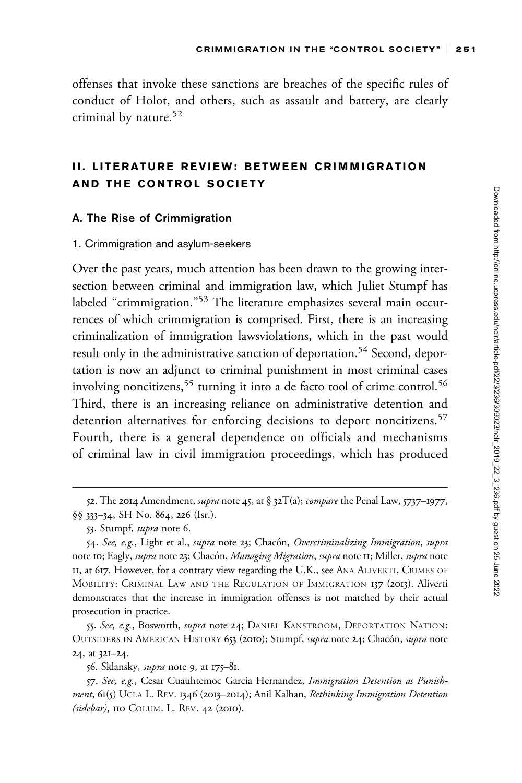offenses that invoke these sanctions are breaches of the specific rules of conduct of Holot, and others, such as assault and battery, are clearly criminal by nature.<sup>52</sup>

## II. LITERATURE REVIEW: BETWEEN CRIMMIGRATION AND THE CONTROL SOCIETY

## A. The Rise of Crimmigration

#### 1. Crimmigration and asylum-seekers

Over the past years, much attention has been drawn to the growing intersection between criminal and immigration law, which Juliet Stumpf has labeled "crimmigration."<sup>53</sup> The literature emphasizes several main occurrences of which crimmigration is comprised. First, there is an increasing criminalization of immigration lawsviolations, which in the past would result only in the administrative sanction of deportation.<sup>54</sup> Second, deportation is now an adjunct to criminal punishment in most criminal cases involving noncitizens,<sup>55</sup> turning it into a de facto tool of crime control.<sup>56</sup> Third, there is an increasing reliance on administrative detention and detention alternatives for enforcing decisions to deport noncitizens.<sup>57</sup> Fourth, there is a general dependence on officials and mechanisms of criminal law in civil immigration proceedings, which has produced

55. See, e.g., Bosworth, *supra* note 24; DANIEL KANSTROOM, DEPORTATION NATION: OUTSIDERS IN AMERICAN HISTORY 653 (2010); Stumpf, supra note 24; Chacón, supra note 24, at 321–24.

56. Sklansky, *supra* note 9, at 175–81.

57. See, e.g., Cesar Cuauhtemoc Garcia Hernandez, Immigration Detention as Punishment, 61(5) UCLA L. REV. 1346 (2013-2014); Anil Kalhan, Rethinking Immigration Detention (sidebar), 110 COLUM. L. REV. 42 (2010).

<sup>52.</sup> The 2014 Amendment, *supra* note 45, at § 32 $T(a)$ ; *compare* the Penal Law, 5737–1977, §§ 333–34, SH No. 864, 226 (Isr.).

<sup>53.</sup> Stumpf, supra note 6.

<sup>54.</sup> See, e.g., Light et al., *supra* note 23; Chacón, *Overcriminalizing Immigration*, supra note 10; Eagly, supra note 23; Chacón, Managing Migration, supra note 11; Miller, supra note II, at 617. However, for a contrary view regarding the U.K., see ANA ALIVERTI, CRIMES OF MOBILITY: CRIMINAL LAW AND THE REGULATION OF IMMIGRATION 137 (2013). Aliverti demonstrates that the increase in immigration offenses is not matched by their actual prosecution in practice.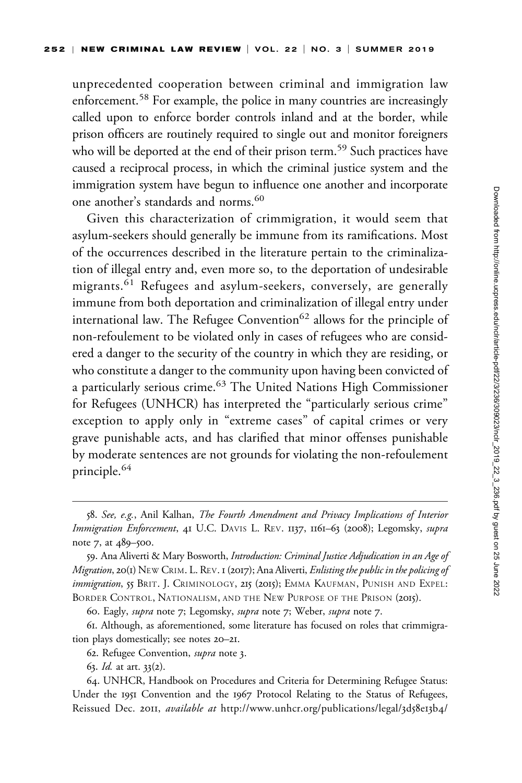unprecedented cooperation between criminal and immigration law enforcement.<sup>58</sup> For example, the police in many countries are increasingly called upon to enforce border controls inland and at the border, while prison officers are routinely required to single out and monitor foreigners who will be deported at the end of their prison term.<sup>59</sup> Such practices have caused a reciprocal process, in which the criminal justice system and the immigration system have begun to influence one another and incorporate one another's standards and norms.<sup>60</sup>

Given this characterization of crimmigration, it would seem that asylum-seekers should generally be immune from its ramifications. Most of the occurrences described in the literature pertain to the criminalization of illegal entry and, even more so, to the deportation of undesirable migrants.<sup>61</sup> Refugees and asylum-seekers, conversely, are generally immune from both deportation and criminalization of illegal entry under international law. The Refugee Convention<sup>62</sup> allows for the principle of non-refoulement to be violated only in cases of refugees who are considered a danger to the security of the country in which they are residing, or who constitute a danger to the community upon having been convicted of a particularly serious crime.<sup>63</sup> The United Nations High Commissioner for Refugees (UNHCR) has interpreted the "particularly serious crime" exception to apply only in "extreme cases" of capital crimes or very grave punishable acts, and has clarified that minor offenses punishable by moderate sentences are not grounds for violating the non-refoulement principle.<sup>64</sup>

60. Eagly, *supra* note 7; Legomsky, *supra* note 7; Weber, *supra* note 7.

63. Id. at art. 33(2).

<sup>58.</sup> See, e.g., Anil Kalhan, The Fourth Amendment and Privacy Implications of Interior Immigration Enforcement, 41 U.C. DAVIS L. REV. 1137, 1161-63 (2008); Legomsky, supra note 7, at 489–500.

<sup>59.</sup> Ana Aliverti & Mary Bosworth, Introduction: Criminal Justice Adjudication in an Age of Migration, 20(1) NEW CRIM. L. REV. 1 (2017); Ana Aliverti, Enlisting the public in the policing of immigration, 55 BRIT. J. CRIMINOLOGY, 215 (2015); EMMA KAUFMAN, PUNISH AND EXPEL: BORDER CONTROL, NATIONALISM, AND THE NEW PURPOSE OF THE PRISON (2015).

<sup>61.</sup> Although, as aforementioned, some literature has focused on roles that crimmigration plays domestically; see notes 20–21.

<sup>62.</sup> Refugee Convention, supra note 3.

<sup>64.</sup> UNHCR, Handbook on Procedures and Criteria for Determining Refugee Status: Under the 1951 Convention and the 1967 Protocol Relating to the Status of Refugees, Reissued Dec. 2011, available at [http://www.unhcr.org/publications/legal/](http://www.unhcr.org/publications/legal/3d58e13b4/handbook-procedures-criteria-determining-refugee-status-under-1951-convention.html?query=handbook%20refugee%20status)3d58e13b4/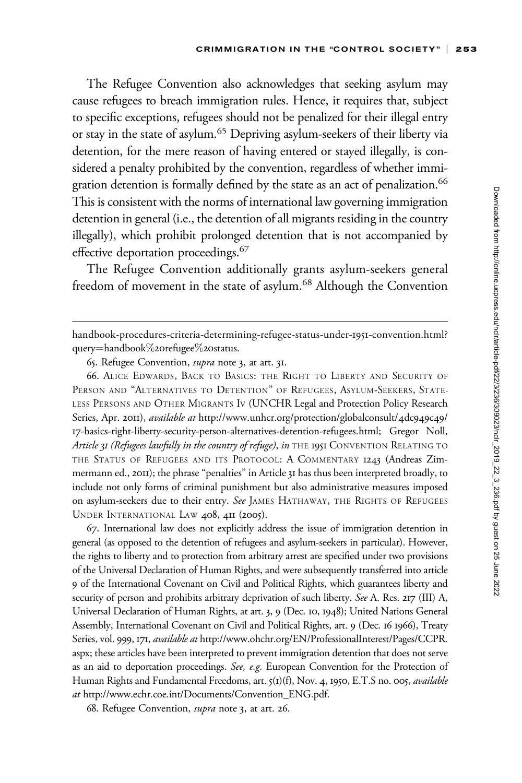The Refugee Convention also acknowledges that seeking asylum may cause refugees to breach immigration rules. Hence, it requires that, subject to specific exceptions, refugees should not be penalized for their illegal entry or stay in the state of asylum.65 Depriving asylum-seekers of their liberty via detention, for the mere reason of having entered or stayed illegally, is considered a penalty prohibited by the convention, regardless of whether immigration detention is formally defined by the state as an act of penalization.<sup>66</sup> This is consistent with the norms of international law governing immigration detention in general (i.e., the detention of all migrants residing in the country illegally), which prohibit prolonged detention that is not accompanied by effective deportation proceedings.<sup>67</sup>

The Refugee Convention additionally grants asylum-seekers general freedom of movement in the state of asylum.<sup>68</sup> Although the Convention

66. ALICE EDWARDS, BACK TO BASICS: THE RIGHT TO LIBERTY AND SECURITY OF PERSON AND "ALTERNATIVES TO DETENTION" OF REFUGEES, ASYLUM-SEEKERS, STATE-LESS PERSONS AND OTHER MIGRANTS IV (UNCHR Legal and Protection Policy Research Series, Apr. 2011), available at [http://www.unhcr.org/protection/globalconsult/](http://www.unhcr.org/protection/globalconsult/4dc949c49/17-basics-right-liberty-security-person-alternatives-detention-refugees.html)4dc949c49/ 17[-basics-right-liberty-security-person-alternatives-detention-refugees.html;](http://www.unhcr.org/protection/globalconsult/4dc949c49/17-basics-right-liberty-security-person-alternatives-detention-refugees.html) Gregor Noll, Article 31 (Refugees lawfully in the country of refuge), in THE 1951 CONVENTION RELATING TO THE STATUS OF REFUGEES AND ITS PROTOCOL: A COMMENTARY 1243 (Andreas Zimmermann ed., 2011); the phrase "penalties" in Article 31 has thus been interpreted broadly, to include not only forms of criminal punishment but also administrative measures imposed on asylum-seekers due to their entry. See JAMES HATHAWAY, THE RIGHTS OF REFUGEES UNDER INTERNATIONAL LAW 408, 411 (2005).

67. International law does not explicitly address the issue of immigration detention in general (as opposed to the detention of refugees and asylum-seekers in particular). However, the rights to liberty and to protection from arbitrary arrest are specified under two provisions of the Universal Declaration of Human Rights, and were subsequently transferred into article 9 of the International Covenant on Civil and Political Rights, which guarantees liberty and security of person and prohibits arbitrary deprivation of such liberty. See A. Res. 217 (III) A, Universal Declaration of Human Rights, at art. 3, 9 (Dec. 10, 1948); United Nations General Assembly, International Covenant on Civil and Political Rights, art. 9 (Dec. 16 1966), Treaty Series, vol. 999, 171, available at [http://www.ohchr.org/EN/ProfessionalInterest/Pages/CCPR.](http://www.ohchr.org/EN/ProfessionalInterest/Pages/CCPR.aspx) [aspx](http://www.ohchr.org/EN/ProfessionalInterest/Pages/CCPR.aspx); these articles have been interpreted to prevent immigration detention that does not serve as an aid to deportation proceedings. See, e.g. European Convention for the Protection of Human Rights and Fundamental Freedoms, art. 5(1)(f), Nov. 4, 1950, E.T.S no. 005, available at [http://www.echr.coe.int/Documents/Convention\\_ENG.pdf.](http://www.echr.coe.int/Documents/Convention_ENG.pdf)

68. Refugee Convention, supra note 3, at art. 26.

[handbook-procedures-criteria-determining-refugee-status-under-](http://www.unhcr.org/publications/legal/3d58e13b4/handbook-procedures-criteria-determining-refugee-status-under-1951-convention.html?query=handbook%20refugee%20status)1951-convention.html? [query](http://www.unhcr.org/publications/legal/3d58e13b4/handbook-procedures-criteria-determining-refugee-status-under-1951-convention.html?query=handbook%20refugee%20status)=[handbook](http://www.unhcr.org/publications/legal/3d58e13b4/handbook-procedures-criteria-determining-refugee-status-under-1951-convention.html?query=handbook%20refugee%20status)%20[refugee](http://www.unhcr.org/publications/legal/3d58e13b4/handbook-procedures-criteria-determining-refugee-status-under-1951-convention.html?query=handbook%20refugee%20status)%20[status](http://www.unhcr.org/publications/legal/3d58e13b4/handbook-procedures-criteria-determining-refugee-status-under-1951-convention.html?query=handbook%20refugee%20status).

<sup>65.</sup> Refugee Convention, supra note 3, at art. 31.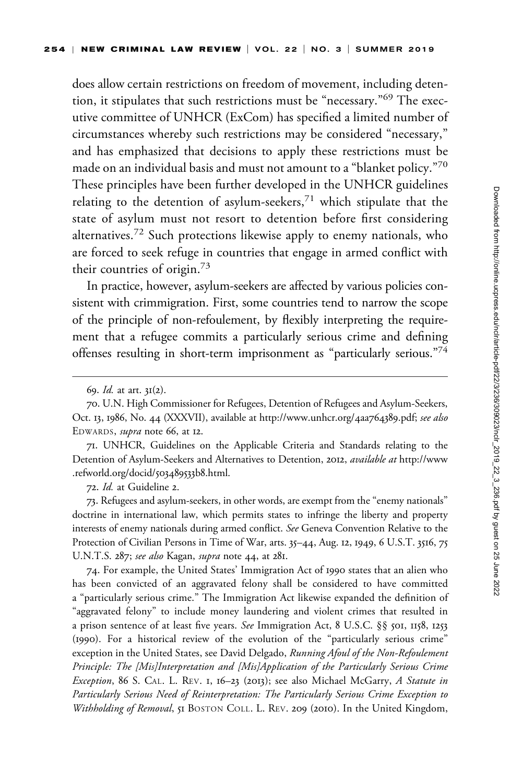does allow certain restrictions on freedom of movement, including detention, it stipulates that such restrictions must be "necessary."<sup>69</sup> The executive committee of UNHCR (ExCom) has specified a limited number of circumstances whereby such restrictions may be considered "necessary," and has emphasized that decisions to apply these restrictions must be made on an individual basis and must not amount to a "blanket policy." $70$ These principles have been further developed in the UNHCR guidelines relating to the detention of asylum-seekers, $71$  which stipulate that the state of asylum must not resort to detention before first considering alternatives.<sup>72</sup> Such protections likewise apply to enemy nationals, who are forced to seek refuge in countries that engage in armed conflict with their countries of origin.<sup>73</sup>

In practice, however, asylum-seekers are affected by various policies consistent with crimmigration. First, some countries tend to narrow the scope of the principle of non-refoulement, by flexibly interpreting the requirement that a refugee commits a particularly serious crime and defining offenses resulting in short-term imprisonment as "particularly serious."74

71. UNHCR, Guidelines on the Applicable Criteria and Standards relating to the Detention of Asylum-Seekers and Alternatives to Detention, 2012, available at [http://www](http://www.refworld.org/docid/503489533b8.html) [.refworld.org/docid/](http://www.refworld.org/docid/503489533b8.html)503489533b8.html.

72. Id. at Guideline 2.

73. Refugees and asylum-seekers, in other words, are exempt from the "enemy nationals" doctrine in international law, which permits states to infringe the liberty and property interests of enemy nationals during armed conflict. See Geneva Convention Relative to the Protection of Civilian Persons in Time of War, arts. 35–44, Aug. 12, 1949, 6 U.S.T. 3516, 75 U.N.T.S. 287; see also Kagan, supra note 44, at 281.

74. For example, the United States' Immigration Act of 1990 states that an alien who has been convicted of an aggravated felony shall be considered to have committed a "particularly serious crime." The Immigration Act likewise expanded the definition of "aggravated felony" to include money laundering and violent crimes that resulted in a prison sentence of at least five years. See Immigration Act, 8 U.S.C. §§ 501, 1158, 1253 (1990). For a historical review of the evolution of the "particularly serious crime" exception in the United States, see David Delgado, Running Afoul of the Non-Refoulement Principle: The [Mis]Interpretation and [Mis]Application of the Particularly Serious Crime Exception, 86 S. CAL. L. REV. 1, 16–23 (2013); see also Michael McGarry, A Statute in Particularly Serious Need of Reinterpretation: The Particularly Serious Crime Exception to Withholding of Removal, 51 BOSTON COLL. L. REV. 209 (2010). In the United Kingdom,

<sup>69.</sup> Id. at art. 31(2).

<sup>70.</sup> U.N. High Commissioner for Refugees, Detention of Refugees and Asylum-Seekers, Oct. 13, 1986, No. 44 (XXXVII), available at [http://www.unhcr.org/](http://www.unhcr.org/4aa764389.pdf)4aa764389.pdf; see also EDWARDS, *supra* note 66, at 12.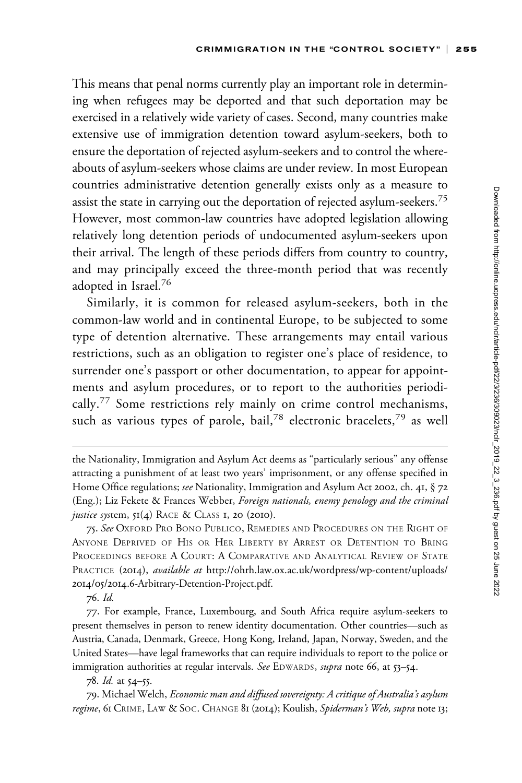This means that penal norms currently play an important role in determining when refugees may be deported and that such deportation may be exercised in a relatively wide variety of cases. Second, many countries make extensive use of immigration detention toward asylum-seekers, both to ensure the deportation of rejected asylum-seekers and to control the whereabouts of asylum-seekers whose claims are under review. In most European countries administrative detention generally exists only as a measure to assist the state in carrying out the deportation of rejected asylum-seekers.<sup>75</sup> However, most common-law countries have adopted legislation allowing relatively long detention periods of undocumented asylum-seekers upon their arrival. The length of these periods differs from country to country, and may principally exceed the three-month period that was recently adopted in Israel.<sup>76</sup>

Similarly, it is common for released asylum-seekers, both in the common-law world and in continental Europe, to be subjected to some type of detention alternative. These arrangements may entail various restrictions, such as an obligation to register one's place of residence, to surrender one's passport or other documentation, to appear for appointments and asylum procedures, or to report to the authorities periodically.<sup>77</sup> Some restrictions rely mainly on crime control mechanisms, such as various types of parole, bail,<sup>78</sup> electronic bracelets,<sup>79</sup> as well

76. Id.

the Nationality, Immigration and Asylum Act deems as "particularly serious" any offense attracting a punishment of at least two years' imprisonment, or any offense specified in Home Office regulations; see Nationality, Immigration and Asylum Act 2002, ch. 41, § 72 (Eng.); Liz Fekete & Frances Webber, Foreign nationals, enemy penology and the criminal justice system,  $5I(4)$  RACE & CLASS I, 20 (2010).

<sup>75.</sup> See Oxford Pro Bono Publico, Remedies and Procedures on the Right of ANYONE DEPRIVED OF HIS OR HER LIBERTY BY ARREST OR DETENTION TO BRING PROCEEDINGS BEFORE A COURT: A COMPARATIVE AND ANALYTICAL REVIEW OF STATE PRACTICE (2014), available at [http://ohrh.law.ox.ac.uk/wordpress/wp-content/uploads/](http://ohrh.law.ox.ac.uk/wordpress/wp-content/uploads/2014/05/2014.6-Arbitrary-Detention-Project.pdf) 2014/05/2014.6[-Arbitrary-Detention-Project.pdf.](http://ohrh.law.ox.ac.uk/wordpress/wp-content/uploads/2014/05/2014.6-Arbitrary-Detention-Project.pdf)

<sup>77.</sup> For example, France, Luxembourg, and South Africa require asylum-seekers to present themselves in person to renew identity documentation. Other countries—such as Austria, Canada, Denmark, Greece, Hong Kong, Ireland, Japan, Norway, Sweden, and the United States—have legal frameworks that can require individuals to report to the police or immigration authorities at regular intervals. See EDWARDS, supra note 66, at 53-54.

<sup>78.</sup> Id. at 54–55.

<sup>79.</sup> Michael Welch, Economic man and diffused sovereignty: A critique of Australia's asylum regime, 61 CRIME, LAW & SOC. CHANGE 81 (2014); Koulish, Spiderman's Web, supra note 13;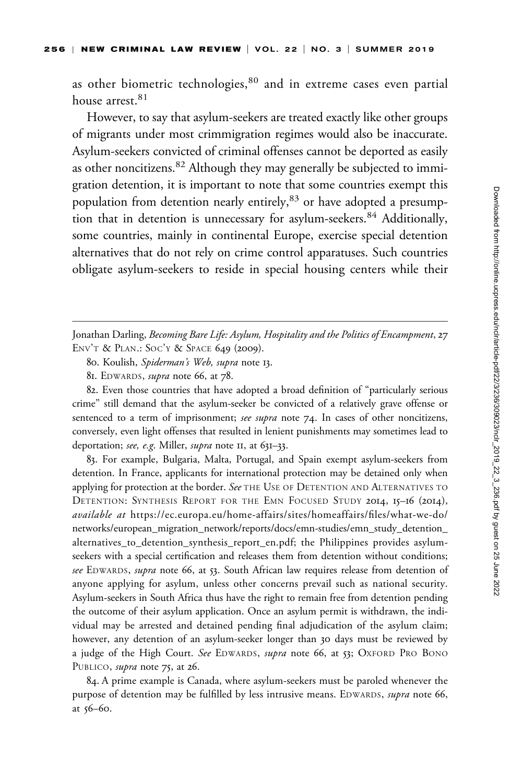as other biometric technologies,<sup>80</sup> and in extreme cases even partial house arrest.<sup>81</sup>

However, to say that asylum-seekers are treated exactly like other groups of migrants under most crimmigration regimes would also be inaccurate. Asylum-seekers convicted of criminal offenses cannot be deported as easily as other noncitizens.<sup>82</sup> Although they may generally be subjected to immigration detention, it is important to note that some countries exempt this population from detention nearly entirely,<sup>83</sup> or have adopted a presumption that in detention is unnecessary for asylum-seekers.<sup>84</sup> Additionally, some countries, mainly in continental Europe, exercise special detention alternatives that do not rely on crime control apparatuses. Such countries obligate asylum-seekers to reside in special housing centers while their

Jonathan Darling, Becoming Bare Life: Asylum, Hospitality and the Politics of Encampment, 27 ENV'T & PLAN.: SOC'Y & SPACE 649 (2009).

82. Even those countries that have adopted a broad definition of "particularly serious crime" still demand that the asylum-seeker be convicted of a relatively grave offense or sentenced to a term of imprisonment; see supra note 74. In cases of other noncitizens, conversely, even light offenses that resulted in lenient punishments may sometimes lead to deportation; see, e.g. Miller, supra note II, at 631-33.

83. For example, Bulgaria, Malta, Portugal, and Spain exempt asylum-seekers from detention. In France, applicants for international protection may be detained only when applying for protection at the border. See THE USE OF DETENTION AND ALTERNATIVES TO DETENTION: SYNTHESIS REPORT FOR THE EMN FOCUSED STUDY 2014, 15–16 (2014), available at [https://ec.europa.eu/home-affairs/sites/homeaffairs/files/what-we-do/](https://ec.europa.eu/home-affairs/sites/homeaffairs/files/what-we-do/networks/european_migration_network/reports/docs/emn-studies/emn_study_detention_alternatives_to_detention_synthesis_report_en.pdf) [networks/european\\_migration\\_network/reports/docs/emn-studies/emn\\_study\\_detention\\_](https://ec.europa.eu/home-affairs/sites/homeaffairs/files/what-we-do/networks/european_migration_network/reports/docs/emn-studies/emn_study_detention_alternatives_to_detention_synthesis_report_en.pdf) [alternatives\\_to\\_detention\\_synthesis\\_report\\_en.pdf;](https://ec.europa.eu/home-affairs/sites/homeaffairs/files/what-we-do/networks/european_migration_network/reports/docs/emn-studies/emn_study_detention_alternatives_to_detention_synthesis_report_en.pdf) the Philippines provides asylumseekers with a special certification and releases them from detention without conditions; see EDWARDS, supra note 66, at 53. South African law requires release from detention of anyone applying for asylum, unless other concerns prevail such as national security. Asylum-seekers in South Africa thus have the right to remain free from detention pending the outcome of their asylum application. Once an asylum permit is withdrawn, the individual may be arrested and detained pending final adjudication of the asylum claim; however, any detention of an asylum-seeker longer than 30 days must be reviewed by a judge of the High Court. See EDWARDS, supra note 66, at 53; OXFORD PRO BONO PUBLICO, *supra* note 75, at 26.

84. A prime example is Canada, where asylum-seekers must be paroled whenever the purpose of detention may be fulfilled by less intrusive means. EDWARDS, supra note 66, at 56–60.

<sup>80.</sup> Koulish, Spiderman's Web, supra note 13.

<sup>81.</sup> EDWARDS, *supra* note 66, at 78.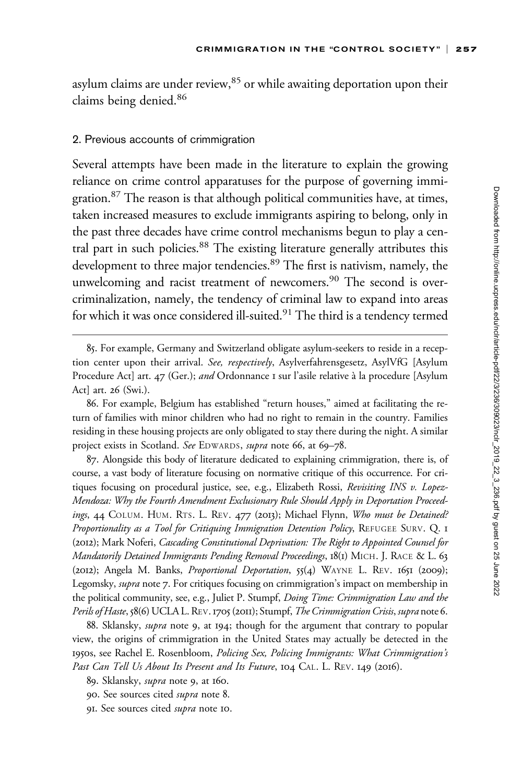asylum claims are under review, $85$  or while awaiting deportation upon their claims being denied.<sup>86</sup>

#### 2. Previous accounts of crimmigration

Several attempts have been made in the literature to explain the growing reliance on crime control apparatuses for the purpose of governing immigration.<sup>87</sup> The reason is that although political communities have, at times, taken increased measures to exclude immigrants aspiring to belong, only in the past three decades have crime control mechanisms begun to play a central part in such policies.<sup>88</sup> The existing literature generally attributes this development to three major tendencies.<sup>89</sup> The first is nativism, namely, the unwelcoming and racist treatment of newcomers.<sup>90</sup> The second is overcriminalization, namely, the tendency of criminal law to expand into areas for which it was once considered ill-suited.<sup>91</sup> The third is a tendency termed

<sup>85.</sup> For example, Germany and Switzerland obligate asylum-seekers to reside in a reception center upon their arrival. See, respectively, Asylverfahrensgesetz, AsylVfG [Asylum Procedure Act] art. 47 (Ger.); and Ordonnance 1 sur l'asile relative à la procedure [Asylum Act] art. 26 (Swi.).

<sup>86.</sup> For example, Belgium has established "return houses," aimed at facilitating the return of families with minor children who had no right to remain in the country. Families residing in these housing projects are only obligated to stay there during the night. A similar project exists in Scotland. See EDWARDS, supra note 66, at 69-78.

<sup>87.</sup> Alongside this body of literature dedicated to explaining crimmigration, there is, of course, a vast body of literature focusing on normative critique of this occurrence. For critiques focusing on procedural justice, see, e.g., Elizabeth Rossi, Revisiting INS v. Lopez-Mendoza: Why the Fourth Amendment Exclusionary Rule Should Apply in Deportation Proceedings, 44 COLUM. HUM. RTS. L. REV. 477 (2013); Michael Flynn, Who must be Detained? Proportionality as a Tool for Critiquing Immigration Detention Policy, REFUGEE SURV. Q. 1 (2012); Mark Noferi, Cascading Constitutional Deprivation: The Right to Appointed Counsel for Mandatorily Detained Immigrants Pending Removal Proceedings, 18(1) MICH. J. RACE & L. 63 (2012); Angela M. Banks, Proportional Deportation, 55(4) WAYNE L. REV. 1651 (2009); Legomsky, *supra* note 7. For critiques focusing on crimmigration's impact on membership in the political community, see, e.g., Juliet P. Stumpf, Doing Time: Crimmigration Law and the Perils of Haste, 58(6) UCLA L. REV. 1705 (2011); Stumpf, The Crimmigration Crisis, supra note 6.

<sup>88.</sup> Sklansky, *supra* note 9, at 194; though for the argument that contrary to popular view, the origins of crimmigration in the United States may actually be detected in the 1950s, see Rachel E. Rosenbloom, Policing Sex, Policing Immigrants: What Crimmigration's Past Can Tell Us About Its Present and Its Future, 104 CAL. L. REV. 149 (2016).

<sup>89.</sup> Sklansky, supra note 9, at 160.

<sup>90.</sup> See sources cited supra note 8.

<sup>91.</sup> See sources cited supra note 10.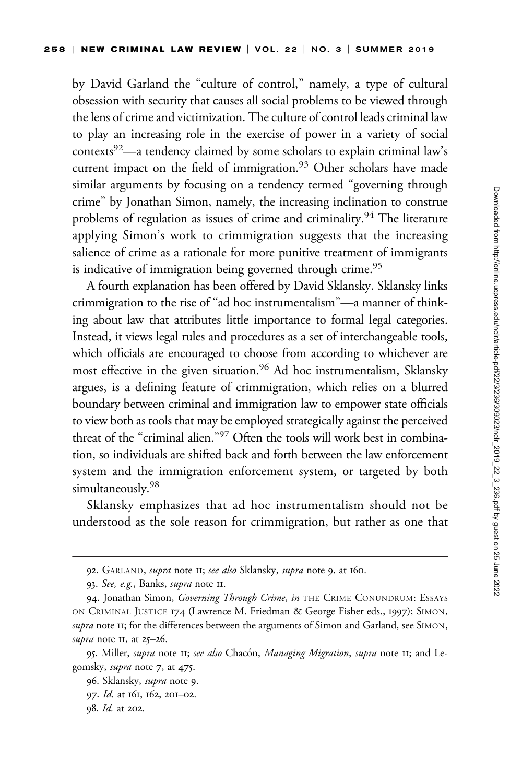by David Garland the "culture of control," namely, a type of cultural obsession with security that causes all social problems to be viewed through the lens of crime and victimization. The culture of control leads criminal law to play an increasing role in the exercise of power in a variety of social contexts $92$ —a tendency claimed by some scholars to explain criminal law's current impact on the field of immigration.<sup>93</sup> Other scholars have made similar arguments by focusing on a tendency termed "governing through crime" by Jonathan Simon, namely, the increasing inclination to construe problems of regulation as issues of crime and criminality.<sup>94</sup> The literature applying Simon's work to crimmigration suggests that the increasing salience of crime as a rationale for more punitive treatment of immigrants is indicative of immigration being governed through crime.<sup>95</sup>

A fourth explanation has been offered by David Sklansky. Sklansky links crimmigration to the rise of "ad hoc instrumentalism"—a manner of thinking about law that attributes little importance to formal legal categories. Instead, it views legal rules and procedures as a set of interchangeable tools, which officials are encouraged to choose from according to whichever are most effective in the given situation.<sup>96</sup> Ad hoc instrumentalism, Sklansky argues, is a defining feature of crimmigration, which relies on a blurred boundary between criminal and immigration law to empower state officials to view both as tools that may be employed strategically against the perceived threat of the "criminal alien."<sup>97</sup> Often the tools will work best in combination, so individuals are shifted back and forth between the law enforcement system and the immigration enforcement system, or targeted by both simultaneously.<sup>98</sup>

Sklansky emphasizes that ad hoc instrumentalism should not be understood as the sole reason for crimmigration, but rather as one that

<sup>92.</sup> GARLAND, supra note II; see also Sklansky, supra note 9, at 160.

<sup>93.</sup> See, e.g., Banks, *supra* note II.

<sup>94.</sup> Jonathan Simon, Governing Through Crime, in THE CRIME CONUNDRUM: ESSAYS ON CRIMINAL JUSTICE 174 (Lawrence M. Friedman & George Fisher eds., 1997); SIMON, supra note II; for the differences between the arguments of Simon and Garland, see SIMON, supra note  $II$ , at  $25-26$ .

<sup>95.</sup> Miller, supra note II; see also Chacón, Managing Migration, supra note II; and Legomsky, supra note 7, at 475.

<sup>96.</sup> Sklansky, *supra* note 9.

<sup>97.</sup> Id. at 161, 162, 201–02.

<sup>98.</sup> Id. at 202.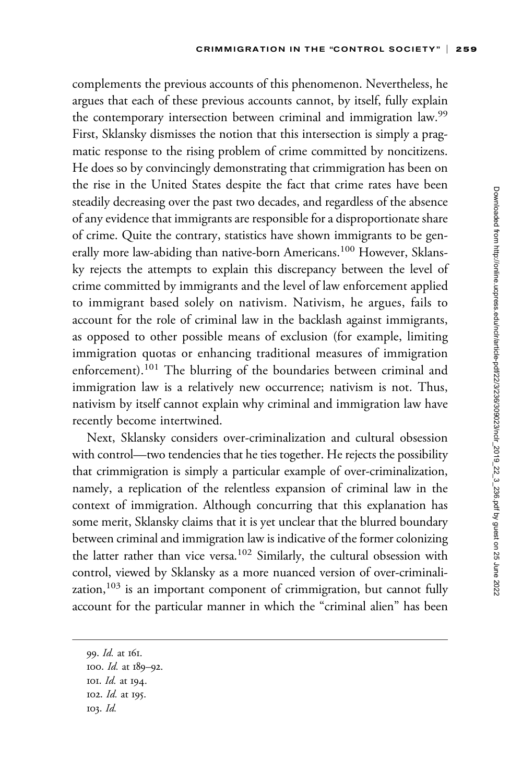complements the previous accounts of this phenomenon. Nevertheless, he argues that each of these previous accounts cannot, by itself, fully explain the contemporary intersection between criminal and immigration law.<sup>99</sup> First, Sklansky dismisses the notion that this intersection is simply a pragmatic response to the rising problem of crime committed by noncitizens. He does so by convincingly demonstrating that crimmigration has been on the rise in the United States despite the fact that crime rates have been steadily decreasing over the past two decades, and regardless of the absence of any evidence that immigrants are responsible for a disproportionate share of crime. Quite the contrary, statistics have shown immigrants to be generally more law-abiding than native-born Americans.<sup>100</sup> However, Sklansky rejects the attempts to explain this discrepancy between the level of crime committed by immigrants and the level of law enforcement applied to immigrant based solely on nativism. Nativism, he argues, fails to account for the role of criminal law in the backlash against immigrants, as opposed to other possible means of exclusion (for example, limiting immigration quotas or enhancing traditional measures of immigration enforcement).<sup>101</sup> The blurring of the boundaries between criminal and immigration law is a relatively new occurrence; nativism is not. Thus, nativism by itself cannot explain why criminal and immigration law have recently become intertwined.

Next, Sklansky considers over-criminalization and cultural obsession with control—two tendencies that he ties together. He rejects the possibility that crimmigration is simply a particular example of over-criminalization, namely, a replication of the relentless expansion of criminal law in the context of immigration. Although concurring that this explanation has some merit, Sklansky claims that it is yet unclear that the blurred boundary between criminal and immigration law is indicative of the former colonizing the latter rather than vice versa.<sup>102</sup> Similarly, the cultural obsession with control, viewed by Sklansky as a more nuanced version of over-criminalization, $103$  is an important component of crimmigration, but cannot fully account for the particular manner in which the "criminal alien" has been

99. Id. at 161. 100. Id. at 189–92. 101. Id. at 194. 102. Id. at 195. 103. Id.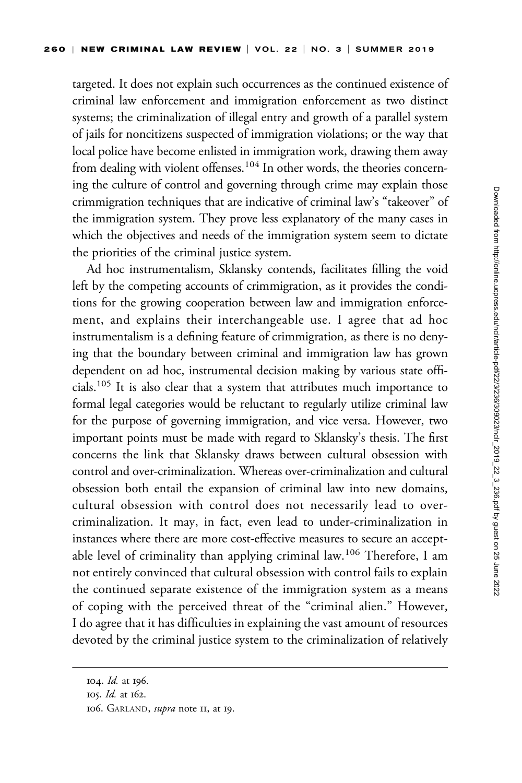targeted. It does not explain such occurrences as the continued existence of criminal law enforcement and immigration enforcement as two distinct systems; the criminalization of illegal entry and growth of a parallel system of jails for noncitizens suspected of immigration violations; or the way that local police have become enlisted in immigration work, drawing them away from dealing with violent offenses.<sup>104</sup> In other words, the theories concerning the culture of control and governing through crime may explain those crimmigration techniques that are indicative of criminal law's "takeover" of the immigration system. They prove less explanatory of the many cases in which the objectives and needs of the immigration system seem to dictate the priorities of the criminal justice system.

Ad hoc instrumentalism, Sklansky contends, facilitates filling the void left by the competing accounts of crimmigration, as it provides the conditions for the growing cooperation between law and immigration enforcement, and explains their interchangeable use. I agree that ad hoc instrumentalism is a defining feature of crimmigration, as there is no denying that the boundary between criminal and immigration law has grown dependent on ad hoc, instrumental decision making by various state officials.105 It is also clear that a system that attributes much importance to formal legal categories would be reluctant to regularly utilize criminal law for the purpose of governing immigration, and vice versa. However, two important points must be made with regard to Sklansky's thesis. The first concerns the link that Sklansky draws between cultural obsession with control and over-criminalization. Whereas over-criminalization and cultural obsession both entail the expansion of criminal law into new domains, cultural obsession with control does not necessarily lead to overcriminalization. It may, in fact, even lead to under-criminalization in instances where there are more cost-effective measures to secure an acceptable level of criminality than applying criminal law.<sup>106</sup> Therefore, I am not entirely convinced that cultural obsession with control fails to explain the continued separate existence of the immigration system as a means of coping with the perceived threat of the "criminal alien." However, I do agree that it has difficulties in explaining the vast amount of resources devoted by the criminal justice system to the criminalization of relatively

<sup>104.</sup> Id. at 196.

<sup>105.</sup> Id. at 162.

<sup>106.</sup> GARLAND, supra note II, at 19.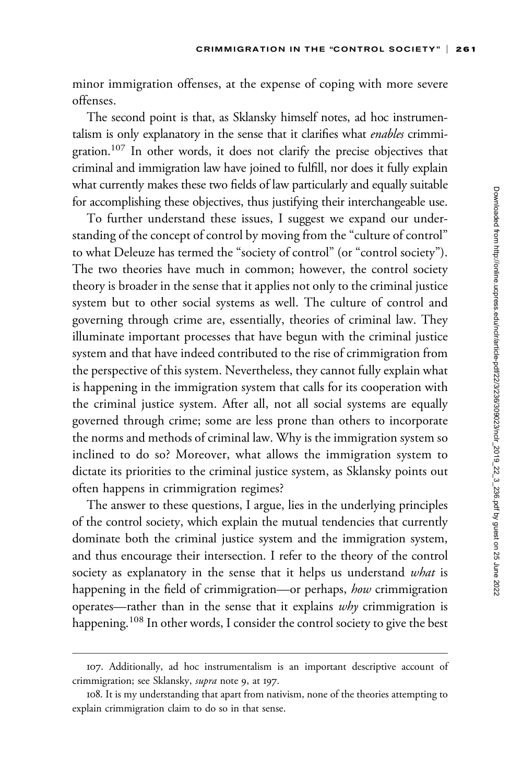minor immigration offenses, at the expense of coping with more severe offenses.

The second point is that, as Sklansky himself notes, ad hoc instrumentalism is only explanatory in the sense that it clarifies what enables crimmigration.<sup>107</sup> In other words, it does not clarify the precise objectives that criminal and immigration law have joined to fulfill, nor does it fully explain what currently makes these two fields of law particularly and equally suitable for accomplishing these objectives, thus justifying their interchangeable use.

To further understand these issues, I suggest we expand our understanding of the concept of control by moving from the "culture of control" to what Deleuze has termed the "society of control" (or "control society"). The two theories have much in common; however, the control society theory is broader in the sense that it applies not only to the criminal justice system but to other social systems as well. The culture of control and governing through crime are, essentially, theories of criminal law. They illuminate important processes that have begun with the criminal justice system and that have indeed contributed to the rise of crimmigration from the perspective of this system. Nevertheless, they cannot fully explain what is happening in the immigration system that calls for its cooperation with the criminal justice system. After all, not all social systems are equally governed through crime; some are less prone than others to incorporate the norms and methods of criminal law. Why is the immigration system so inclined to do so? Moreover, what allows the immigration system to dictate its priorities to the criminal justice system, as Sklansky points out often happens in crimmigration regimes?

The answer to these questions, I argue, lies in the underlying principles of the control society, which explain the mutual tendencies that currently dominate both the criminal justice system and the immigration system, and thus encourage their intersection. I refer to the theory of the control society as explanatory in the sense that it helps us understand what is happening in the field of crimmigration—or perhaps, how crimmigration operates—rather than in the sense that it explains why crimmigration is happening.<sup>108</sup> In other words, I consider the control society to give the best

<sup>107.</sup> Additionally, ad hoc instrumentalism is an important descriptive account of crimmigration; see Sklansky, *supra* note 9, at 197.

<sup>108.</sup> It is my understanding that apart from nativism, none of the theories attempting to explain crimmigration claim to do so in that sense.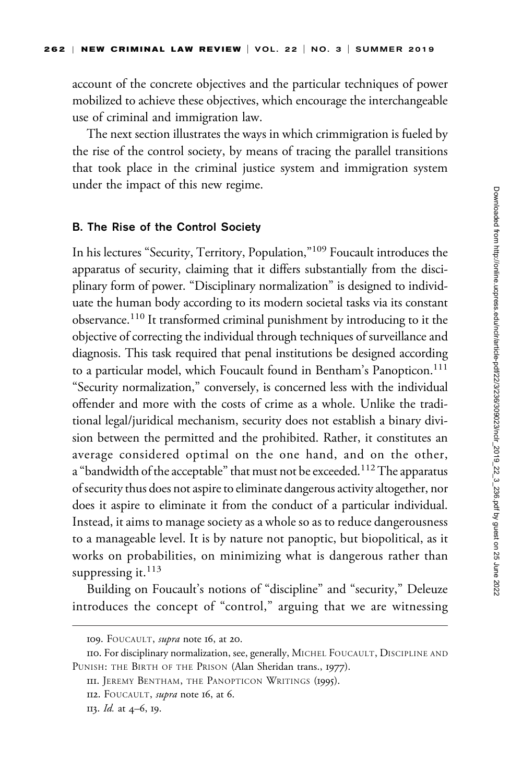account of the concrete objectives and the particular techniques of power mobilized to achieve these objectives, which encourage the interchangeable use of criminal and immigration law.

The next section illustrates the ways in which crimmigration is fueled by the rise of the control society, by means of tracing the parallel transitions that took place in the criminal justice system and immigration system under the impact of this new regime.

#### B. The Rise of the Control Society

In his lectures "Security, Territory, Population,"<sup>109</sup> Foucault introduces the apparatus of security, claiming that it differs substantially from the disciplinary form of power. "Disciplinary normalization" is designed to individuate the human body according to its modern societal tasks via its constant observance.110 It transformed criminal punishment by introducing to it the objective of correcting the individual through techniques of surveillance and diagnosis. This task required that penal institutions be designed according to a particular model, which Foucault found in Bentham's Panopticon.<sup>111</sup> "Security normalization," conversely, is concerned less with the individual offender and more with the costs of crime as a whole. Unlike the traditional legal/juridical mechanism, security does not establish a binary division between the permitted and the prohibited. Rather, it constitutes an average considered optimal on the one hand, and on the other, a "bandwidth of the acceptable" that must not be exceeded.<sup>112</sup> The apparatus of security thus does not aspire to eliminate dangerous activity altogether, nor does it aspire to eliminate it from the conduct of a particular individual. Instead, it aims to manage society as a whole so as to reduce dangerousness to a manageable level. It is by nature not panoptic, but biopolitical, as it works on probabilities, on minimizing what is dangerous rather than suppressing it. $^{113}$ 

Building on Foucault's notions of "discipline" and "security," Deleuze introduces the concept of "control," arguing that we are witnessing

<sup>109.</sup> FOUCAULT, *supra* note 16, at 20.

<sup>110.</sup> For disciplinary normalization, see, generally, MICHEL FOUCAULT, DISCIPLINE AND PUNISH: THE BIRTH OF THE PRISON (Alan Sheridan trans., 1977).

III. JEREMY BENTHAM, THE PANOPTICON WRITINGS (1995).

II2. FOUCAULT, supra note 16, at 6.

<sup>113.</sup> Id. at 4–6, 19.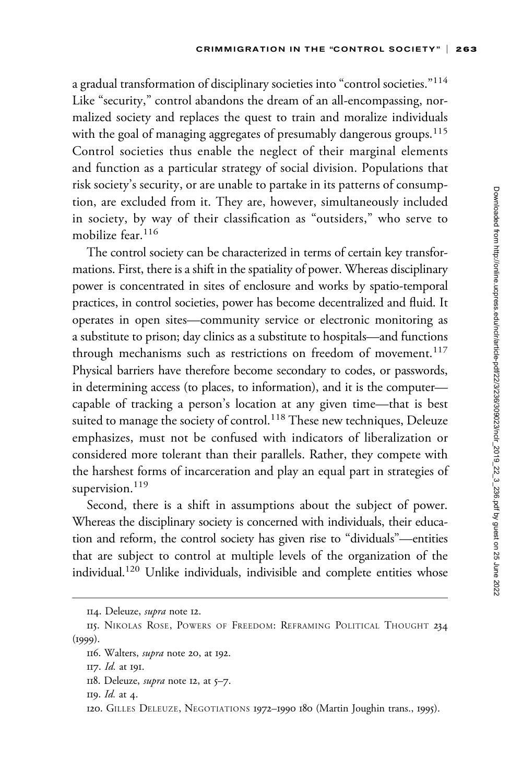a gradual transformation of disciplinary societies into "control societies."<sup>114</sup> Like "security," control abandons the dream of an all-encompassing, normalized society and replaces the quest to train and moralize individuals with the goal of managing aggregates of presumably dangerous groups.<sup>115</sup> Control societies thus enable the neglect of their marginal elements and function as a particular strategy of social division. Populations that risk society's security, or are unable to partake in its patterns of consumption, are excluded from it. They are, however, simultaneously included in society, by way of their classification as "outsiders," who serve to mobilize fear  $116$ 

The control society can be characterized in terms of certain key transformations. First, there is a shift in the spatiality of power. Whereas disciplinary power is concentrated in sites of enclosure and works by spatio-temporal practices, in control societies, power has become decentralized and fluid. It operates in open sites—community service or electronic monitoring as a substitute to prison; day clinics as a substitute to hospitals—and functions through mechanisms such as restrictions on freedom of movement.<sup>117</sup> Physical barriers have therefore become secondary to codes, or passwords, in determining access (to places, to information), and it is the computer capable of tracking a person's location at any given time—that is best suited to manage the society of control.<sup>118</sup> These new techniques, Deleuze emphasizes, must not be confused with indicators of liberalization or considered more tolerant than their parallels. Rather, they compete with the harshest forms of incarceration and play an equal part in strategies of supervision.<sup>119</sup>

Second, there is a shift in assumptions about the subject of power. Whereas the disciplinary society is concerned with individuals, their education and reform, the control society has given rise to "dividuals"—entities that are subject to control at multiple levels of the organization of the individual.120 Unlike individuals, indivisible and complete entities whose

<sup>114.</sup> Deleuze, supra note 12.

<sup>115.</sup> NIKOLAS ROSE, POWERS OF FREEDOM: REFRAMING POLITICAL THOUGHT 234  $(1999)$ .

<sup>116.</sup> Walters, supra note 20, at 192.

<sup>117.</sup> Id. at 191.

<sup>118.</sup> Deleuze, *supra* note 12, at 5-7.

<sup>119.</sup> Id. at 4.

<sup>120.</sup> GILLES DELEUZE, NEGOTIATIONS 1972–1990 180 (Martin Joughin trans., 1995).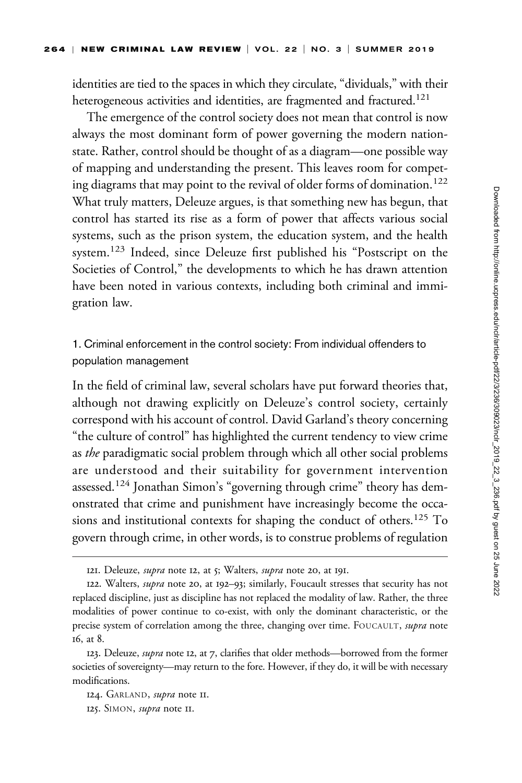identities are tied to the spaces in which they circulate, "dividuals," with their heterogeneous activities and identities, are fragmented and fractured.<sup>121</sup>

The emergence of the control society does not mean that control is now always the most dominant form of power governing the modern nationstate. Rather, control should be thought of as a diagram—one possible way of mapping and understanding the present. This leaves room for competing diagrams that may point to the revival of older forms of domination.<sup>122</sup> What truly matters, Deleuze argues, is that something new has begun, that control has started its rise as a form of power that affects various social systems, such as the prison system, the education system, and the health system.<sup>123</sup> Indeed, since Deleuze first published his "Postscript on the Societies of Control," the developments to which he has drawn attention have been noted in various contexts, including both criminal and immigration law.

1. Criminal enforcement in the control society: From individual offenders to population management

In the field of criminal law, several scholars have put forward theories that, although not drawing explicitly on Deleuze's control society, certainly correspond with his account of control. David Garland's theory concerning "the culture of control" has highlighted the current tendency to view crime as the paradigmatic social problem through which all other social problems are understood and their suitability for government intervention assessed.<sup>124</sup> Jonathan Simon's "governing through crime" theory has demonstrated that crime and punishment have increasingly become the occasions and institutional contexts for shaping the conduct of others.<sup>125</sup> To govern through crime, in other words, is to construe problems of regulation

<sup>121.</sup> Deleuze, *supra* note 12, at 5; Walters, *supra* note 20, at 191.

<sup>122.</sup> Walters, supra note 20, at 192–93; similarly, Foucault stresses that security has not replaced discipline, just as discipline has not replaced the modality of law. Rather, the three modalities of power continue to co-exist, with only the dominant characteristic, or the precise system of correlation among the three, changing over time. FOUCAULT, supra note 16, at 8.

<sup>123.</sup> Deleuze, *supra* note 12, at 7, clarifies that older methods—borrowed from the former societies of sovereignty—may return to the fore. However, if they do, it will be with necessary modifications.

<sup>124.</sup> GARLAND, supra note II.

<sup>125.</sup> SIMON, supra note 11.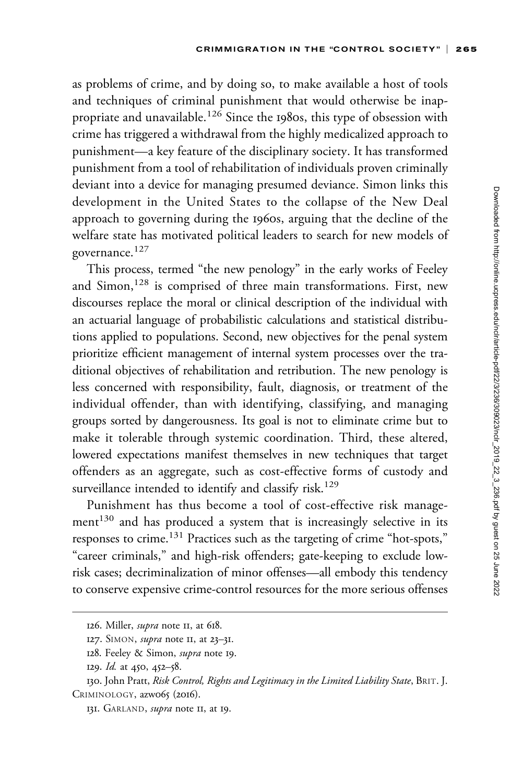as problems of crime, and by doing so, to make available a host of tools and techniques of criminal punishment that would otherwise be inappropriate and unavailable.<sup>126</sup> Since the 1980s, this type of obsession with crime has triggered a withdrawal from the highly medicalized approach to punishment—a key feature of the disciplinary society. It has transformed punishment from a tool of rehabilitation of individuals proven criminally deviant into a device for managing presumed deviance. Simon links this development in the United States to the collapse of the New Deal approach to governing during the 1960s, arguing that the decline of the welfare state has motivated political leaders to search for new models of governance.<sup>127</sup>

This process, termed "the new penology" in the early works of Feeley and Simon,<sup>128</sup> is comprised of three main transformations. First, new discourses replace the moral or clinical description of the individual with an actuarial language of probabilistic calculations and statistical distributions applied to populations. Second, new objectives for the penal system prioritize efficient management of internal system processes over the traditional objectives of rehabilitation and retribution. The new penology is less concerned with responsibility, fault, diagnosis, or treatment of the individual offender, than with identifying, classifying, and managing groups sorted by dangerousness. Its goal is not to eliminate crime but to make it tolerable through systemic coordination. Third, these altered, lowered expectations manifest themselves in new techniques that target offenders as an aggregate, such as cost-effective forms of custody and surveillance intended to identify and classify risk.<sup>129</sup>

Punishment has thus become a tool of cost-effective risk manage $ment<sup>130</sup>$  and has produced a system that is increasingly selective in its responses to crime.<sup>131</sup> Practices such as the targeting of crime "hot-spots," "career criminals," and high-risk offenders; gate-keeping to exclude lowrisk cases; decriminalization of minor offenses—all embody this tendency to conserve expensive crime-control resources for the more serious offenses

<sup>126.</sup> Miller, *supra* note 11, at 618.

<sup>127.</sup> SIMON, *supra* note II, at 23-31.

<sup>128.</sup> Feeley & Simon, supra note 19.

<sup>129.</sup> *Id.* at 450, 452–58.

<sup>130.</sup> John Pratt, Risk Control, Rights and Legitimacy in the Limited Liability State, BRIT. J. CRIMINOLOGY, azw065 (2016).

<sup>131.</sup> GARLAND, *supra* note II, at 19.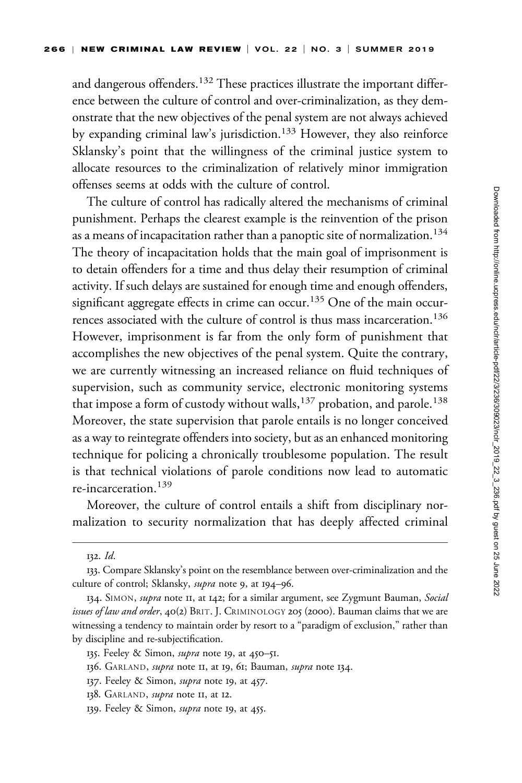and dangerous offenders.<sup>132</sup> These practices illustrate the important difference between the culture of control and over-criminalization, as they demonstrate that the new objectives of the penal system are not always achieved by expanding criminal law's jurisdiction.<sup>133</sup> However, they also reinforce Sklansky's point that the willingness of the criminal justice system to allocate resources to the criminalization of relatively minor immigration offenses seems at odds with the culture of control.

The culture of control has radically altered the mechanisms of criminal punishment. Perhaps the clearest example is the reinvention of the prison as a means of incapacitation rather than a panoptic site of normalization.<sup>134</sup> The theory of incapacitation holds that the main goal of imprisonment is to detain offenders for a time and thus delay their resumption of criminal activity. If such delays are sustained for enough time and enough offenders, significant aggregate effects in crime can occur.<sup>135</sup> One of the main occurrences associated with the culture of control is thus mass incarceration.<sup>136</sup> However, imprisonment is far from the only form of punishment that accomplishes the new objectives of the penal system. Quite the contrary, we are currently witnessing an increased reliance on fluid techniques of supervision, such as community service, electronic monitoring systems that impose a form of custody without walls,<sup>137</sup> probation, and parole.<sup>138</sup> Moreover, the state supervision that parole entails is no longer conceived as a way to reintegrate offenders into society, but as an enhanced monitoring technique for policing a chronically troublesome population. The result is that technical violations of parole conditions now lead to automatic re-incarceration.<sup>139</sup>

Moreover, the culture of control entails a shift from disciplinary normalization to security normalization that has deeply affected criminal

- 136. GARLAND, *supra* note II, at 19, 61; Bauman, *supra* note 134.
- 137. Feeley & Simon, *supra* note 19, at 457.
- 138. GARLAND, *supra* note II, at 12.
- 139. Feeley & Simon, *supra* note 19, at 455.

<sup>132.</sup> Id.

<sup>133.</sup> Compare Sklansky's point on the resemblance between over-criminalization and the culture of control; Sklansky, *supra* note 9, at 194–96.

<sup>134.</sup> SIMON, *supra* note 11, at 142; for a similar argument, see Zygmunt Bauman, Social issues of law and order, 40(2) BRIT. J. CRIMINOLOGY 205 (2000). Bauman claims that we are witnessing a tendency to maintain order by resort to a "paradigm of exclusion," rather than by discipline and re-subjectification.

<sup>135.</sup> Feeley & Simon, *supra* note 19, at 450-51.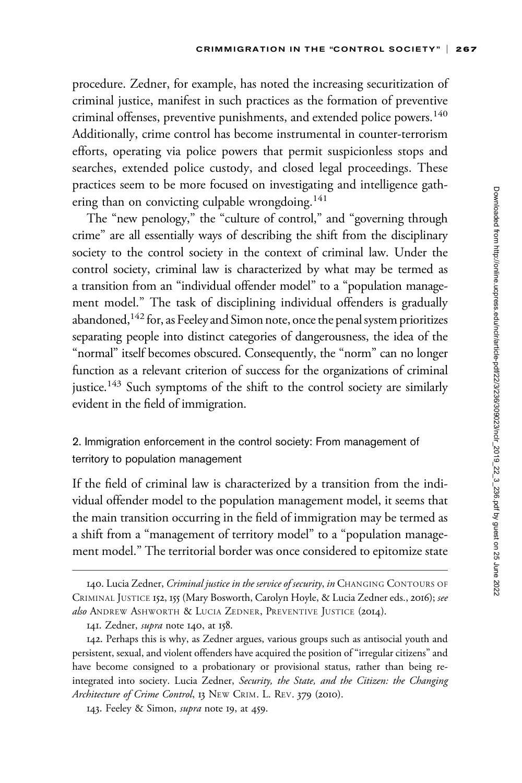procedure. Zedner, for example, has noted the increasing securitization of criminal justice, manifest in such practices as the formation of preventive criminal offenses, preventive punishments, and extended police powers.<sup>140</sup> Additionally, crime control has become instrumental in counter-terrorism efforts, operating via police powers that permit suspicionless stops and searches, extended police custody, and closed legal proceedings. These practices seem to be more focused on investigating and intelligence gathering than on convicting culpable wrongdoing.<sup>141</sup>

The "new penology," the "culture of control," and "governing through crime" are all essentially ways of describing the shift from the disciplinary society to the control society in the context of criminal law. Under the control society, criminal law is characterized by what may be termed as a transition from an "individual offender model" to a "population management model." The task of disciplining individual offenders is gradually abandoned,<sup>142</sup> for, as Feeley and Simon note, once the penal system prioritizes separating people into distinct categories of dangerousness, the idea of the "normal" itself becomes obscured. Consequently, the "norm" can no longer function as a relevant criterion of success for the organizations of criminal justice.<sup>143</sup> Such symptoms of the shift to the control society are similarly evident in the field of immigration.

2. Immigration enforcement in the control society: From management of territory to population management

If the field of criminal law is characterized by a transition from the individual offender model to the population management model, it seems that the main transition occurring in the field of immigration may be termed as a shift from a "management of territory model" to a "population management model." The territorial border was once considered to epitomize state

<sup>140.</sup> Lucia Zedner, Criminal justice in the service of security, in CHANGING CONTOURS OF CRIMINAL JUSTICE 152, 155 (Mary Bosworth, Carolyn Hoyle, & Lucia Zedner eds., 2016); see also ANDREW ASHWORTH & LUCIA ZEDNER, PREVENTIVE JUSTICE (2014).

<sup>141.</sup> Zedner, *supra* note 140, at 158.

<sup>142.</sup> Perhaps this is why, as Zedner argues, various groups such as antisocial youth and persistent, sexual, and violent offenders have acquired the position of "irregular citizens" and have become consigned to a probationary or provisional status, rather than being reintegrated into society. Lucia Zedner, Security, the State, and the Citizen: the Changing Architecture of Crime Control, 13 NEW CRIM. L. REV. 379 (2010).

<sup>143.</sup> Feeley & Simon, supra note 19, at 459.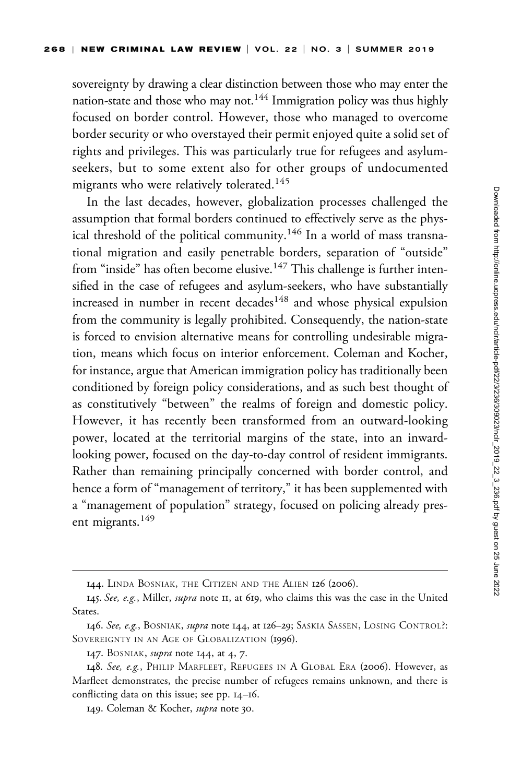sovereignty by drawing a clear distinction between those who may enter the nation-state and those who may not.144 Immigration policy was thus highly focused on border control. However, those who managed to overcome border security or who overstayed their permit enjoyed quite a solid set of rights and privileges. This was particularly true for refugees and asylumseekers, but to some extent also for other groups of undocumented migrants who were relatively tolerated.<sup>145</sup>

In the last decades, however, globalization processes challenged the assumption that formal borders continued to effectively serve as the physical threshold of the political community.<sup>146</sup> In a world of mass transnational migration and easily penetrable borders, separation of "outside" from "inside" has often become elusive.<sup>147</sup> This challenge is further intensified in the case of refugees and asylum-seekers, who have substantially increased in number in recent decades<sup>148</sup> and whose physical expulsion from the community is legally prohibited. Consequently, the nation-state is forced to envision alternative means for controlling undesirable migration, means which focus on interior enforcement. Coleman and Kocher, for instance, argue that American immigration policy has traditionally been conditioned by foreign policy considerations, and as such best thought of as constitutively "between" the realms of foreign and domestic policy. However, it has recently been transformed from an outward-looking power, located at the territorial margins of the state, into an inwardlooking power, focused on the day-to-day control of resident immigrants. Rather than remaining principally concerned with border control, and hence a form of "management of territory," it has been supplemented with a "management of population" strategy, focused on policing already present migrants.<sup>149</sup>

<sup>144.</sup> LINDA BOSNIAK, THE CITIZEN AND THE ALIEN 126 (2006).

<sup>145.</sup> See, e.g., Miller, supra note 11, at 619, who claims this was the case in the United States.

<sup>146.</sup> See, e.g., BOSNIAK, supra note 144, at 126–29; SASKIA SASSEN, LOSING CONTROL?: SOVEREIGNTY IN AN AGE OF GLOBALIZATION (1996).

<sup>147.</sup> BOSNIAK, *supra* note 144, at 4, 7.

<sup>148.</sup> See, e.g., PHILIP MARFLEET, REFUGEES IN A GLOBAL ERA (2006). However, as Marfleet demonstrates, the precise number of refugees remains unknown, and there is conflicting data on this issue; see pp. 14–16.

<sup>149.</sup> Coleman & Kocher, supra note 30.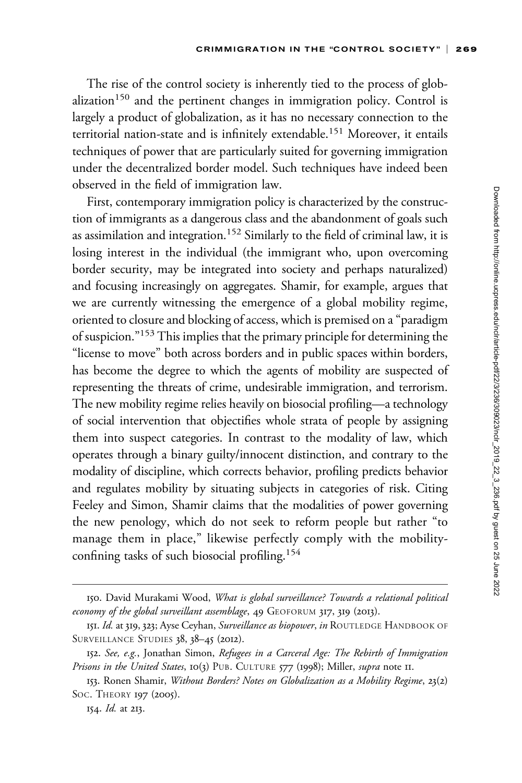The rise of the control society is inherently tied to the process of glob $alization<sup>150</sup>$  and the pertinent changes in immigration policy. Control is largely a product of globalization, as it has no necessary connection to the territorial nation-state and is infinitely extendable.<sup>151</sup> Moreover, it entails techniques of power that are particularly suited for governing immigration under the decentralized border model. Such techniques have indeed been observed in the field of immigration law.

First, contemporary immigration policy is characterized by the construction of immigrants as a dangerous class and the abandonment of goals such as assimilation and integration.<sup>152</sup> Similarly to the field of criminal law, it is losing interest in the individual (the immigrant who, upon overcoming border security, may be integrated into society and perhaps naturalized) and focusing increasingly on aggregates. Shamir, for example, argues that we are currently witnessing the emergence of a global mobility regime, oriented to closure and blocking of access, which is premised on a "paradigm of suspicion."153 This implies that the primary principle for determining the "license to move" both across borders and in public spaces within borders, has become the degree to which the agents of mobility are suspected of representing the threats of crime, undesirable immigration, and terrorism. The new mobility regime relies heavily on biosocial profiling—a technology of social intervention that objectifies whole strata of people by assigning them into suspect categories. In contrast to the modality of law, which operates through a binary guilty/innocent distinction, and contrary to the modality of discipline, which corrects behavior, profiling predicts behavior and regulates mobility by situating subjects in categories of risk. Citing Feeley and Simon, Shamir claims that the modalities of power governing the new penology, which do not seek to reform people but rather "to manage them in place," likewise perfectly comply with the mobilityconfining tasks of such biosocial profiling.154

154. Id. at 213.

<sup>150.</sup> David Murakami Wood, What is global surveillance? Towards a relational political economy of the global surveillant assemblage, 49 GEOFORUM 317, 319 (2013).

<sup>151.</sup> Id. at 319, 323; Ayse Ceyhan, Surveillance as biopower, in ROUTLEDGE HANDBOOK OF SURVEILLANCE STUDIES 38, 38-45 (2012).

<sup>152.</sup> See, e.g., Jonathan Simon, Refugees in a Carceral Age: The Rebirth of Immigration Prisons in the United States, 10(3) PUB. CULTURE 577 (1998); Miller, supra note 11.

<sup>153.</sup> Ronen Shamir, Without Borders? Notes on Globalization as a Mobility Regime, 23(2) Soc. THEORY 197 (2005).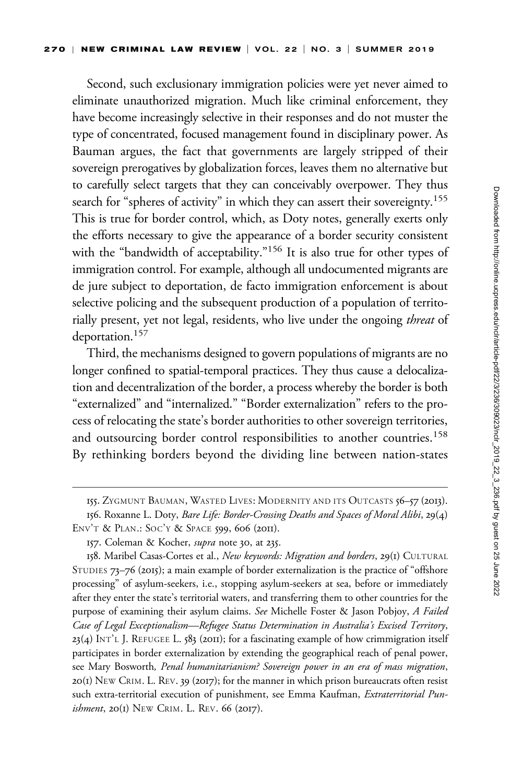Second, such exclusionary immigration policies were yet never aimed to eliminate unauthorized migration. Much like criminal enforcement, they have become increasingly selective in their responses and do not muster the type of concentrated, focused management found in disciplinary power. As Bauman argues, the fact that governments are largely stripped of their sovereign prerogatives by globalization forces, leaves them no alternative but to carefully select targets that they can conceivably overpower. They thus search for "spheres of activity" in which they can assert their sovereignty.<sup>155</sup> This is true for border control, which, as Doty notes, generally exerts only the efforts necessary to give the appearance of a border security consistent with the "bandwidth of acceptability."<sup>156</sup> It is also true for other types of immigration control. For example, although all undocumented migrants are de jure subject to deportation, de facto immigration enforcement is about selective policing and the subsequent production of a population of territorially present, yet not legal, residents, who live under the ongoing threat of deportation.<sup>157</sup>

Third, the mechanisms designed to govern populations of migrants are no longer confined to spatial-temporal practices. They thus cause a delocalization and decentralization of the border, a process whereby the border is both "externalized" and "internalized." "Border externalization" refers to the process of relocating the state's border authorities to other sovereign territories, and outsourcing border control responsibilities to another countries.<sup>158</sup> By rethinking borders beyond the dividing line between nation-states

<sup>155.</sup> ZYGMUNT BAUMAN, WASTED LIVES: MODERNITY AND ITS OUTCASTS 56–57 (2013).

<sup>156.</sup> Roxanne L. Doty, Bare Life: Border-Crossing Deaths and Spaces of Moral Alibi, 29(4) ENV'T & PLAN.: SOC'Y & SPACE 599, 606 (2011).

<sup>157.</sup> Coleman & Kocher, *supra* note 30, at 235.

<sup>158.</sup> Maribel Casas-Cortes et al., New keywords: Migration and borders, 29(1) CULTURAL STUDIES 73–76 (2015); a main example of border externalization is the practice of "offshore processing" of asylum-seekers, i.e., stopping asylum-seekers at sea, before or immediately after they enter the state's territorial waters, and transferring them to other countries for the purpose of examining their asylum claims. See Michelle Foster & Jason Pobjoy, A Failed Case of Legal Exceptionalism—Refugee Status Determination in Australia's Excised Territory,  $23(4)$  INT'L J. REFUGEE L. 583 (2011); for a fascinating example of how crimmigration itself participates in border externalization by extending the geographical reach of penal power, see Mary Bosworth, Penal humanitarianism? Sovereign power in an era of mass migration,  $20(I)$  NEW CRIM. L. REV. 39 (2017); for the manner in which prison bureaucrats often resist such extra-territorial execution of punishment, see Emma Kaufman, Extraterritorial Punishment, 20(1) NEW CRIM. L. REV. 66 (2017).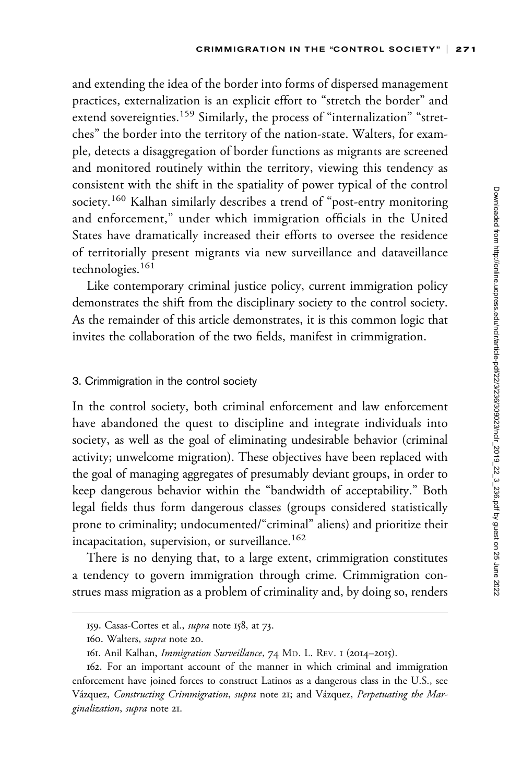and extending the idea of the border into forms of dispersed management practices, externalization is an explicit effort to "stretch the border" and extend sovereignties.<sup>159</sup> Similarly, the process of "internalization" "stretches" the border into the territory of the nation-state. Walters, for example, detects a disaggregation of border functions as migrants are screened and monitored routinely within the territory, viewing this tendency as consistent with the shift in the spatiality of power typical of the control society.<sup>160</sup> Kalhan similarly describes a trend of "post-entry monitoring and enforcement," under which immigration officials in the United States have dramatically increased their efforts to oversee the residence of territorially present migrants via new surveillance and dataveillance technologies.<sup>161</sup>

Like contemporary criminal justice policy, current immigration policy demonstrates the shift from the disciplinary society to the control society. As the remainder of this article demonstrates, it is this common logic that invites the collaboration of the two fields, manifest in crimmigration.

#### 3. Crimmigration in the control society

In the control society, both criminal enforcement and law enforcement have abandoned the quest to discipline and integrate individuals into society, as well as the goal of eliminating undesirable behavior (criminal activity; unwelcome migration). These objectives have been replaced with the goal of managing aggregates of presumably deviant groups, in order to keep dangerous behavior within the "bandwidth of acceptability." Both legal fields thus form dangerous classes (groups considered statistically prone to criminality; undocumented/"criminal" aliens) and prioritize their incapacitation, supervision, or surveillance.<sup>162</sup>

There is no denying that, to a large extent, crimmigration constitutes a tendency to govern immigration through crime. Crimmigration construes mass migration as a problem of criminality and, by doing so, renders

<sup>159.</sup> Casas-Cortes et al., supra note 158, at 73.

<sup>160.</sup> Walters, supra note 20.

<sup>161.</sup> Anil Kalhan, Immigration Surveillance, 74 MD. L. REV. 1 (2014–2015).

<sup>162.</sup> For an important account of the manner in which criminal and immigration enforcement have joined forces to construct Latinos as a dangerous class in the U.S., see Vázquez, Constructing Crimmigration, supra note 21; and Vázquez, Perpetuating the Marginalization, supra note 21.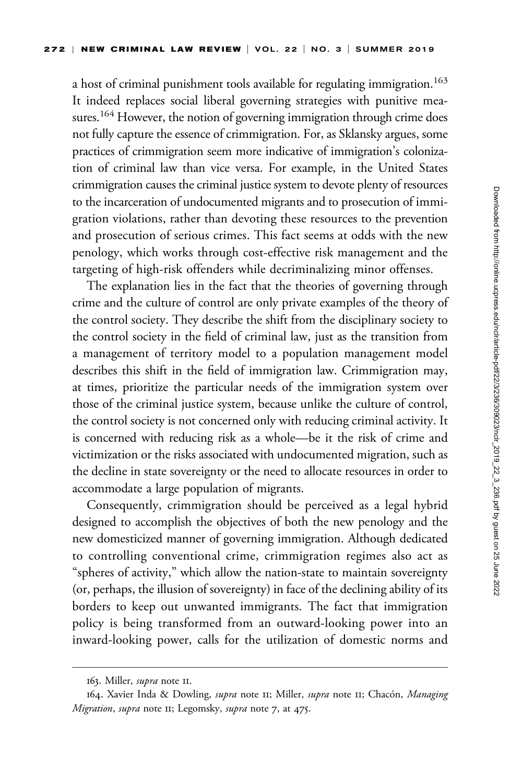a host of criminal punishment tools available for regulating immigration.<sup>163</sup> It indeed replaces social liberal governing strategies with punitive measures.<sup>164</sup> However, the notion of governing immigration through crime does not fully capture the essence of crimmigration. For, as Sklansky argues, some practices of crimmigration seem more indicative of immigration's colonization of criminal law than vice versa. For example, in the United States crimmigration causes the criminal justice system to devote plenty of resources to the incarceration of undocumented migrants and to prosecution of immigration violations, rather than devoting these resources to the prevention and prosecution of serious crimes. This fact seems at odds with the new penology, which works through cost-effective risk management and the targeting of high-risk offenders while decriminalizing minor offenses.

The explanation lies in the fact that the theories of governing through crime and the culture of control are only private examples of the theory of the control society. They describe the shift from the disciplinary society to the control society in the field of criminal law, just as the transition from a management of territory model to a population management model describes this shift in the field of immigration law. Crimmigration may, at times, prioritize the particular needs of the immigration system over those of the criminal justice system, because unlike the culture of control, the control society is not concerned only with reducing criminal activity. It is concerned with reducing risk as a whole—be it the risk of crime and victimization or the risks associated with undocumented migration, such as the decline in state sovereignty or the need to allocate resources in order to accommodate a large population of migrants.

Consequently, crimmigration should be perceived as a legal hybrid designed to accomplish the objectives of both the new penology and the new domesticized manner of governing immigration. Although dedicated to controlling conventional crime, crimmigration regimes also act as "spheres of activity," which allow the nation-state to maintain sovereignty (or, perhaps, the illusion of sovereignty) in face of the declining ability of its borders to keep out unwanted immigrants. The fact that immigration policy is being transformed from an outward-looking power into an inward-looking power, calls for the utilization of domestic norms and

<sup>163.</sup> Miller, *supra* note II.

<sup>164.</sup> Xavier Inda & Dowling, supra note 11; Miller, supra note 11; Chacón, Managing Migration, supra note II; Legomsky, supra note 7, at 475.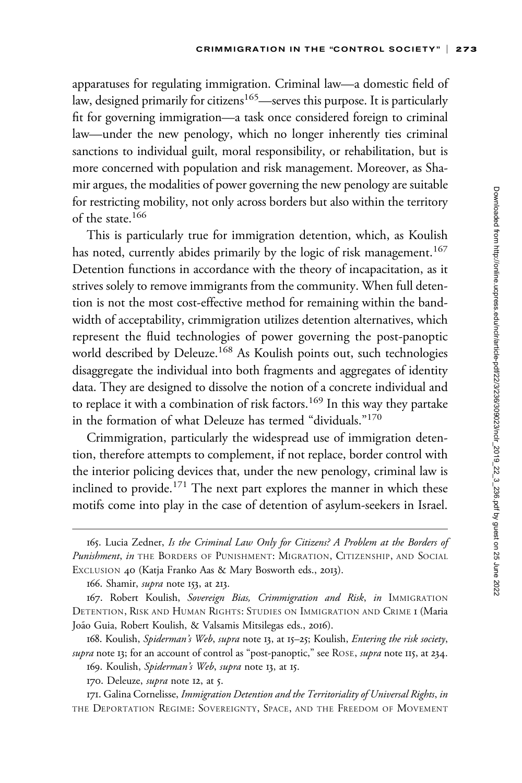apparatuses for regulating immigration. Criminal law—a domestic field of law, designed primarily for citizens<sup>165</sup>—serves this purpose. It is particularly fit for governing immigration—a task once considered foreign to criminal law—under the new penology, which no longer inherently ties criminal sanctions to individual guilt, moral responsibility, or rehabilitation, but is more concerned with population and risk management. Moreover, as Shamir argues, the modalities of power governing the new penology are suitable for restricting mobility, not only across borders but also within the territory of the state.166

This is particularly true for immigration detention, which, as Koulish has noted, currently abides primarily by the logic of risk management.<sup>167</sup> Detention functions in accordance with the theory of incapacitation, as it strives solely to remove immigrants from the community. When full detention is not the most cost-effective method for remaining within the bandwidth of acceptability, crimmigration utilizes detention alternatives, which represent the fluid technologies of power governing the post-panoptic world described by Deleuze.<sup>168</sup> As Koulish points out, such technologies disaggregate the individual into both fragments and aggregates of identity data. They are designed to dissolve the notion of a concrete individual and to replace it with a combination of risk factors.<sup>169</sup> In this way they partake in the formation of what Deleuze has termed "dividuals."<sup>170</sup>

Crimmigration, particularly the widespread use of immigration detention, therefore attempts to complement, if not replace, border control with the interior policing devices that, under the new penology, criminal law is inclined to provide.<sup>171</sup> The next part explores the manner in which these motifs come into play in the case of detention of asylum-seekers in Israel.

166. Shamir, *supra* note 153, at 213.

<sup>165.</sup> Lucia Zedner, Is the Criminal Law Only for Citizens? A Problem at the Borders of Punishment, in THE BORDERS OF PUNISHMENT: MIGRATION, CITIZENSHIP, AND SOCIAL EXCLUSION 40 (Katja Franko Aas & Mary Bosworth eds., 2013).

<sup>167.</sup> Robert Koulish, Sovereign Bias, Crimmigration and Risk, in IMMIGRATION DETENTION, RISK AND HUMAN RIGHTS: STUDIES ON IMMIGRATION AND CRIME 1 (Maria João Guia, Robert Koulish, & Valsamis Mitsilegas eds., 2016).

<sup>168.</sup> Koulish, Spiderman's Web, supra note 13, at 15–25; Koulish, Entering the risk society, supra note 13; for an account of control as "post-panoptic," see ROSE, supra note 115, at 234.

<sup>169.</sup> Koulish, Spiderman's Web, supra note 13, at 15.

<sup>170.</sup> Deleuze, *supra* note 12, at 5.

<sup>171.</sup> Galina Cornelisse, Immigration Detention and the Territoriality of Universal Rights, in THE DEPORTATION REGIME: SOVEREIGNTY, SPACE, AND THE FREEDOM OF MOVEMENT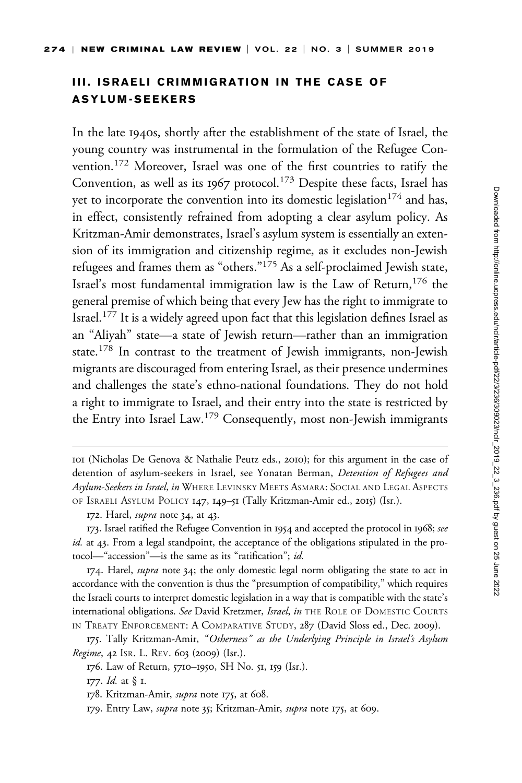## III. ISRAELI CRIMMIGRATION IN THE CASE OF ASYLUM-SEEKERS

In the late 1940s, shortly after the establishment of the state of Israel, the young country was instrumental in the formulation of the Refugee Convention.<sup>172</sup> Moreover, Israel was one of the first countries to ratify the Convention, as well as its 1967 protocol.<sup>173</sup> Despite these facts, Israel has yet to incorporate the convention into its domestic legislation<sup>174</sup> and has, in effect, consistently refrained from adopting a clear asylum policy. As Kritzman-Amir demonstrates, Israel's asylum system is essentially an extension of its immigration and citizenship regime, as it excludes non-Jewish refugees and frames them as "others."<sup>175</sup> As a self-proclaimed Jewish state, Israel's most fundamental immigration law is the Law of Return,<sup>176</sup> the general premise of which being that every Jew has the right to immigrate to Israel.<sup>177</sup> It is a widely agreed upon fact that this legislation defines Israel as an "Aliyah" state—a state of Jewish return—rather than an immigration state.<sup>178</sup> In contrast to the treatment of Jewish immigrants, non-Jewish migrants are discouraged from entering Israel, as their presence undermines and challenges the state's ethno-national foundations. They do not hold a right to immigrate to Israel, and their entry into the state is restricted by the Entry into Israel Law.<sup>179</sup> Consequently, most non-Jewish immigrants

178. Kritzman-Amir, *supra* note 175, at 608.

<sup>101</sup> (Nicholas De Genova & Nathalie Peutz eds., 2010); for this argument in the case of detention of asylum-seekers in Israel, see Yonatan Berman, Detention of Refugees and Asylum-Seekers in Israel, in WHERE LEVINSKY MEETS ASMARA: SOCIAL AND LEGAL ASPECTS OF ISRAELI ASYLUM POLICY 147, 149–51 (Tally Kritzman-Amir ed., 2015) (Isr.).

<sup>172.</sup> Harel, *supra* note 34, at 43.

<sup>173.</sup> Israel ratified the Refugee Convention in 1954 and accepted the protocol in 1968; see id. at 43. From a legal standpoint, the acceptance of the obligations stipulated in the protocol—"accession"—is the same as its "ratification"; id.

<sup>174.</sup> Harel, *supra* note 34; the only domestic legal norm obligating the state to act in accordance with the convention is thus the "presumption of compatibility," which requires the Israeli courts to interpret domestic legislation in a way that is compatible with the state's international obligations. See David Kretzmer, Israel, in THE ROLE OF DOMESTIC COURTS IN TREATY ENFORCEMENT: A COMPARATIVE STUDY, 287 (David Sloss ed., Dec. 2009).

<sup>175.</sup> Tally Kritzman-Amir, "Otherness" as the Underlying Principle in Israel's Asylum Regime, 42 ISR. L. REV. 603 (2009) (Isr.).

<sup>176.</sup> Law of Return, 5710–1950, SH No. 51, 159 (Isr.).

<sup>177.</sup> *Id.* at § 1.

<sup>179.</sup> Entry Law, *supra* note 35; Kritzman-Amir, *supra* note 175, at 609.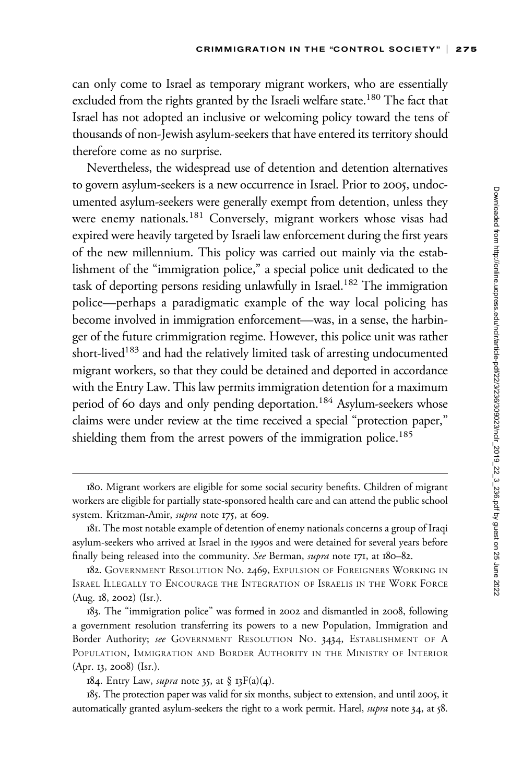can only come to Israel as temporary migrant workers, who are essentially excluded from the rights granted by the Israeli welfare state.<sup>180</sup> The fact that Israel has not adopted an inclusive or welcoming policy toward the tens of thousands of non-Jewish asylum-seekers that have entered its territory should therefore come as no surprise.

Nevertheless, the widespread use of detention and detention alternatives to govern asylum-seekers is a new occurrence in Israel. Prior to 2005, undocumented asylum-seekers were generally exempt from detention, unless they were enemy nationals.<sup>181</sup> Conversely, migrant workers whose visas had expired were heavily targeted by Israeli law enforcement during the first years of the new millennium. This policy was carried out mainly via the establishment of the "immigration police," a special police unit dedicated to the task of deporting persons residing unlawfully in Israel.<sup>182</sup> The immigration police—perhaps a paradigmatic example of the way local policing has become involved in immigration enforcement—was, in a sense, the harbinger of the future crimmigration regime. However, this police unit was rather short-lived<sup>183</sup> and had the relatively limited task of arresting undocumented migrant workers, so that they could be detained and deported in accordance with the Entry Law. This law permits immigration detention for a maximum period of 60 days and only pending deportation.<sup>184</sup> Asylum-seekers whose claims were under review at the time received a special "protection paper," shielding them from the arrest powers of the immigration police.<sup>185</sup>

<sup>180.</sup> Migrant workers are eligible for some social security benefits. Children of migrant workers are eligible for partially state-sponsored health care and can attend the public school system. Kritzman-Amir, supra note 175, at 609.

<sup>181.</sup> The most notable example of detention of enemy nationals concerns a group of Iraqi asylum-seekers who arrived at Israel in the 1990s and were detained for several years before finally being released into the community. See Berman, supra note 171, at 180–82.

<sup>182.</sup> GOVERNMENT RESOLUTION NO. 2469, EXPULSION OF FOREIGNERS WORKING IN ISRAEL ILLEGALLY TO ENCOURAGE THE INTEGRATION OF ISRAELIS IN THE WORK FORCE (Aug. 18, 2002) (Isr.).

<sup>183.</sup> The "immigration police" was formed in 2002 and dismantled in 2008, following a government resolution transferring its powers to a new Population, Immigration and Border Authority; see GOVERNMENT RESOLUTION NO. 3434, ESTABLISHMENT OF A POPULATION, IMMIGRATION AND BORDER AUTHORITY IN THE MINISTRY OF INTERIOR (Apr. 13, 2008) (Isr.).

<sup>184.</sup> Entry Law, *supra* note 35, at § 13 $F(a)(4)$ .

<sup>185.</sup> The protection paper was valid for six months, subject to extension, and until 2005, it automatically granted asylum-seekers the right to a work permit. Harel, supra note 34, at 58.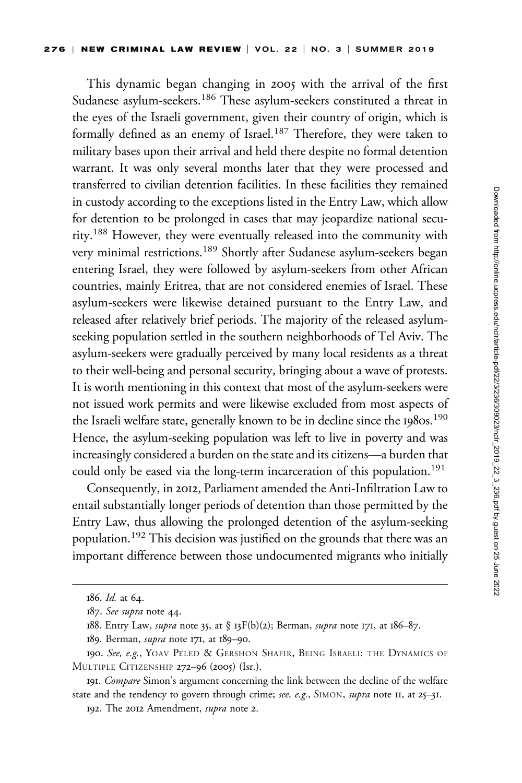This dynamic began changing in 2005 with the arrival of the first Sudanese asylum-seekers.<sup>186</sup> These asylum-seekers constituted a threat in the eyes of the Israeli government, given their country of origin, which is formally defined as an enemy of Israel.<sup>187</sup> Therefore, they were taken to military bases upon their arrival and held there despite no formal detention warrant. It was only several months later that they were processed and transferred to civilian detention facilities. In these facilities they remained in custody according to the exceptions listed in the Entry Law, which allow for detention to be prolonged in cases that may jeopardize national security.<sup>188</sup> However, they were eventually released into the community with very minimal restrictions.<sup>189</sup> Shortly after Sudanese asylum-seekers began entering Israel, they were followed by asylum-seekers from other African countries, mainly Eritrea, that are not considered enemies of Israel. These asylum-seekers were likewise detained pursuant to the Entry Law, and released after relatively brief periods. The majority of the released asylumseeking population settled in the southern neighborhoods of Tel Aviv. The asylum-seekers were gradually perceived by many local residents as a threat to their well-being and personal security, bringing about a wave of protests. It is worth mentioning in this context that most of the asylum-seekers were not issued work permits and were likewise excluded from most aspects of the Israeli welfare state, generally known to be in decline since the 1980s.<sup>190</sup> Hence, the asylum-seeking population was left to live in poverty and was increasingly considered a burden on the state and its citizens—a burden that could only be eased via the long-term incarceration of this population.<sup>191</sup>

Consequently, in 2012, Parliament amended the Anti-Infiltration Law to entail substantially longer periods of detention than those permitted by the Entry Law, thus allowing the prolonged detention of the asylum-seeking population.<sup>192</sup> This decision was justified on the grounds that there was an important difference between those undocumented migrants who initially

<sup>186.</sup> Id. at 64.

<sup>187.</sup> See supra note 44.

<sup>188.</sup> Entry Law, *supra* note 35, at § 13 $F(b)(2)$ ; Berman, *supra* note 171, at 186–87.

<sup>189.</sup> Berman, *supra* note 171, at 189-90.

<sup>190.</sup> See, e.g., YOAV PELED & GERSHON SHAFIR, BEING ISRAELI: THE DYNAMICS OF MULTIPLE CITIZENSHIP 272–96 (2005) (Isr.).

<sup>191.</sup> Compare Simon's argument concerning the link between the decline of the welfare state and the tendency to govern through crime; see, e.g., SIMON, supra note II, at 25-31.

<sup>192.</sup> The 2012 Amendment, supra note 2.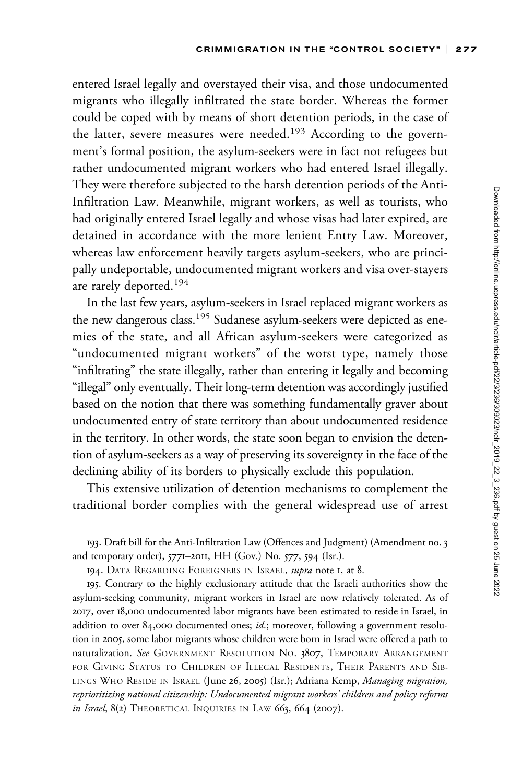entered Israel legally and overstayed their visa, and those undocumented migrants who illegally infiltrated the state border. Whereas the former could be coped with by means of short detention periods, in the case of the latter, severe measures were needed.<sup>193</sup> According to the government's formal position, the asylum-seekers were in fact not refugees but rather undocumented migrant workers who had entered Israel illegally. They were therefore subjected to the harsh detention periods of the Anti-Infiltration Law. Meanwhile, migrant workers, as well as tourists, who had originally entered Israel legally and whose visas had later expired, are detained in accordance with the more lenient Entry Law. Moreover, whereas law enforcement heavily targets asylum-seekers, who are principally undeportable, undocumented migrant workers and visa over-stayers are rarely deported.<sup>194</sup>

In the last few years, asylum-seekers in Israel replaced migrant workers as the new dangerous class.<sup>195</sup> Sudanese asylum-seekers were depicted as enemies of the state, and all African asylum-seekers were categorized as "undocumented migrant workers" of the worst type, namely those "infiltrating" the state illegally, rather than entering it legally and becoming "illegal" only eventually. Their long-term detention was accordingly justified based on the notion that there was something fundamentally graver about undocumented entry of state territory than about undocumented residence in the territory. In other words, the state soon began to envision the detention of asylum-seekers as a way of preserving its sovereignty in the face of the declining ability of its borders to physically exclude this population.

This extensive utilization of detention mechanisms to complement the traditional border complies with the general widespread use of arrest

<sup>193.</sup> Draft bill for the Anti-Infiltration Law (Offences and Judgment) (Amendment no. 3 and temporary order), 5771–2011, HH (Gov.) No. 577, 594 (Isr.).

<sup>194.</sup> DATA REGARDING FOREIGNERS IN ISRAEL, *supra* note 1, at 8.

<sup>195.</sup> Contrary to the highly exclusionary attitude that the Israeli authorities show the asylum-seeking community, migrant workers in Israel are now relatively tolerated. As of 2017, over 18,000 undocumented labor migrants have been estimated to reside in Israel, in addition to over 84,000 documented ones; id.; moreover, following a government resolution in 2005, some labor migrants whose children were born in Israel were offered a path to naturalization. See GOVERNMENT RESOLUTION NO. 3807, TEMPORARY ARRANGEMENT FOR GIVING STATUS TO CHILDREN OF ILLEGAL RESIDENTS, THEIR PARENTS AND SIB-LINGS WHO RESIDE IN ISRAEL (June 26, 2005) (Isr.); Adriana Kemp, Managing migration, reprioritizing national citizenship: Undocumented migrant workers' children and policy reforms in Israel, 8(2) THEORETICAL INQUIRIES IN LAW 663, 664 (2007).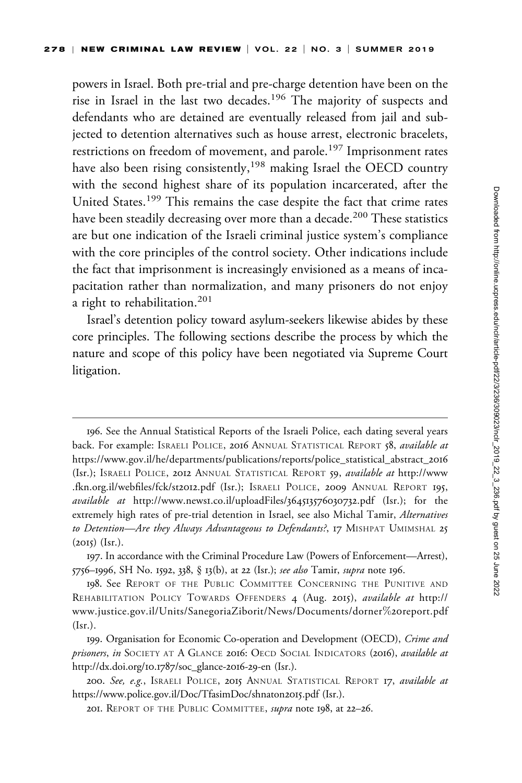powers in Israel. Both pre-trial and pre-charge detention have been on the rise in Israel in the last two decades.<sup>196</sup> The majority of suspects and defendants who are detained are eventually released from jail and subjected to detention alternatives such as house arrest, electronic bracelets, restrictions on freedom of movement, and parole.<sup>197</sup> Imprisonment rates have also been rising consistently,<sup>198</sup> making Israel the OECD country with the second highest share of its population incarcerated, after the United States.<sup>199</sup> This remains the case despite the fact that crime rates have been steadily decreasing over more than a decade.<sup>200</sup> These statistics are but one indication of the Israeli criminal justice system's compliance with the core principles of the control society. Other indications include the fact that imprisonment is increasingly envisioned as a means of incapacitation rather than normalization, and many prisoners do not enjoy a right to rehabilitation.<sup>201</sup>

Israel's detention policy toward asylum-seekers likewise abides by these core principles. The following sections describe the process by which the nature and scope of this policy have been negotiated via Supreme Court litigation.

<sup>196.</sup> See the Annual Statistical Reports of the Israeli Police, each dating several years back. For example: ISRAELI POLICE, 2016 ANNUAL STATISTICAL REPORT 58, available at [https://www.gov.il/he/departments/publications/reports/police\\_statistical\\_abstract\\_](https://www.gov.il/he/departments/publications/reports/police_statistical_abstract_2016)2016 (Isr.); ISRAELI POLICE, 2012 ANNUAL STATISTICAL REPORT 59, available at [http://www](http://www.fkn.org.il/webfiles/fck/st2012.pdf) [.fkn.org.il/webfiles/fck/st](http://www.fkn.org.il/webfiles/fck/st2012.pdf)2012.pdf (Isr.); ISRAELI POLICE, 2009 ANNUAL REPORT 195, available at http://www.news1[.co.il/uploadFiles/](http://www.news1.co.il/uploadFiles/364513576030732.pdf)364513576030732.pdf (Isr.); for the extremely high rates of pre-trial detention in Israel, see also Michal Tamir, Alternatives to Detention—Are they Always Advantageous to Defendants?, 17 MISHPAT UMIMSHAL 25  $(2015)$  (Isr.).

<sup>197.</sup> In accordance with the Criminal Procedure Law (Powers of Enforcement—Arrest), 5756–1996, SH No. 1592, 338, § 13(b), at 22 (Isr.); see also Tamir, supra note 196.

<sup>198.</sup> See REPORT OF THE PUBLIC COMMITTEE CONCERNING THE PUNITIVE AND REHABILITATION POLICY TOWARDS OFFENDERS 4 (Aug. 2015), available at [http://](http://www.justice.gov.il/Units/SanegoriaZiborit/News/Documents/dorner%20report.pdf) [www.justice.gov.il/Units/SanegoriaZiborit/News/Documents/dorner](http://www.justice.gov.il/Units/SanegoriaZiborit/News/Documents/dorner%20report.pdf)%20[report.pdf](http://www.justice.gov.il/Units/SanegoriaZiborit/News/Documents/dorner%20report.pdf)  $(Isr.).$ 

<sup>199.</sup> Organisation for Economic Co-operation and Development (OECD), Crime and prisoners, in SOCIETY AT A GLANCE 2016: OECD SOCIAL INDICATORS (2016), available at [http://dx.doi.org/](http://dx.doi.org/10.1787/soc_glance-2016-29-en (Isr.))10.1787/soc\_glance-2016-29-en (Isr.).

<sup>200.</sup> See, e.g., ISRAELI POLICE, 2015 ANNUAL STATISTICAL REPORT 17, available at [https://www.police.gov.il/Doc/TfasimDoc/shnaton](https://www.police.gov.il/Doc/TfasimDoc/shnaton2015.pdf)2015.pdf (Isr.).

<sup>201.</sup> REPORT OF THE PUBLIC COMMITTEE, supra note 198, at 22-26.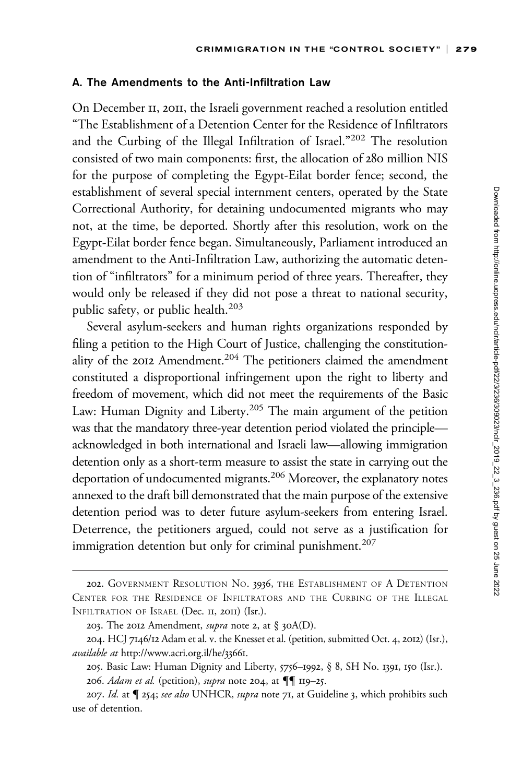### A. The Amendments to the Anti-Infiltration Law

On December 11, 2011, the Israeli government reached a resolution entitled "The Establishment of a Detention Center for the Residence of Infiltrators and the Curbing of the Illegal Infiltration of Israel."<sup>202</sup> The resolution consisted of two main components: first, the allocation of 280 million NIS for the purpose of completing the Egypt-Eilat border fence; second, the establishment of several special internment centers, operated by the State Correctional Authority, for detaining undocumented migrants who may not, at the time, be deported. Shortly after this resolution, work on the Egypt-Eilat border fence began. Simultaneously, Parliament introduced an amendment to the Anti-Infiltration Law, authorizing the automatic detention of "infiltrators" for a minimum period of three years. Thereafter, they would only be released if they did not pose a threat to national security, public safety, or public health.<sup>203</sup>

Several asylum-seekers and human rights organizations responded by filing a petition to the High Court of Justice, challenging the constitutionality of the 2012 Amendment.<sup>204</sup> The petitioners claimed the amendment constituted a disproportional infringement upon the right to liberty and freedom of movement, which did not meet the requirements of the Basic Law: Human Dignity and Liberty.<sup>205</sup> The main argument of the petition was that the mandatory three-year detention period violated the principle acknowledged in both international and Israeli law—allowing immigration detention only as a short-term measure to assist the state in carrying out the deportation of undocumented migrants.<sup>206</sup> Moreover, the explanatory notes annexed to the draft bill demonstrated that the main purpose of the extensive detention period was to deter future asylum-seekers from entering Israel. Deterrence, the petitioners argued, could not serve as a justification for immigration detention but only for criminal punishment.<sup>207</sup>

<sup>202.</sup> GOVERNMENT RESOLUTION NO. 3936, THE ESTABLISHMENT OF A DETENTION CENTER FOR THE RESIDENCE OF INFILTRATORS AND THE CURBING OF THE ILLEGAL INFILTRATION OF ISRAEL (Dec. II, 2011) (Isr.).

<sup>203.</sup> The 2012 Amendment, *supra* note 2, at  $\S$  30A(D).

<sup>204.</sup> HCJ 7146/12 Adam et al. v. the Knesset et al. (petition, submitted Oct. 4, 2012) (Isr.), available at [http://www.acri.org.il/he/](http://www.acri.org.il/he/33661)33661.

<sup>205.</sup> Basic Law: Human Dignity and Liberty, 5756–1992, § 8, SH No. 1391, 150 (Isr.).

<sup>206.</sup> Adam et al. (petition), supra note 204, at  $\P\P$  119-25.

<sup>207.</sup> Id. at  $\P$  254; see also UNHCR, supra note 71, at Guideline 3, which prohibits such use of detention.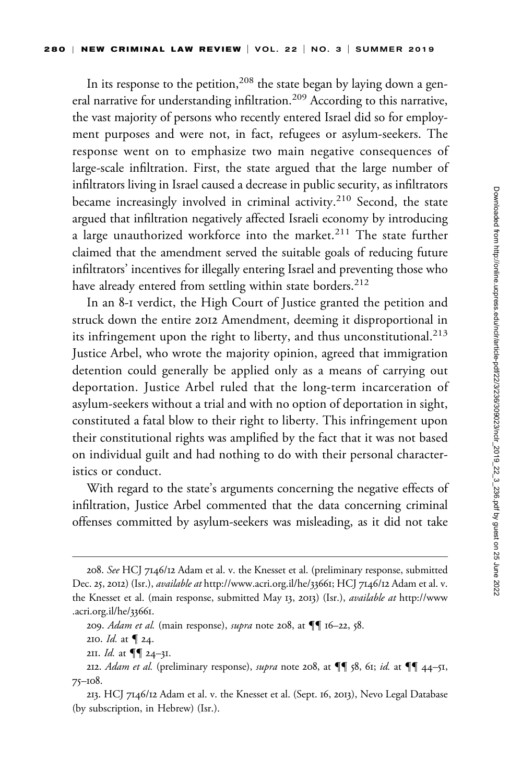In its response to the petition,<sup>208</sup> the state began by laying down a general narrative for understanding infiltration.<sup>209</sup> According to this narrative, the vast majority of persons who recently entered Israel did so for employment purposes and were not, in fact, refugees or asylum-seekers. The response went on to emphasize two main negative consequences of large-scale infiltration. First, the state argued that the large number of infiltrators living in Israel caused a decrease in public security, as infiltrators became increasingly involved in criminal activity.<sup>210</sup> Second, the state argued that infiltration negatively affected Israeli economy by introducing a large unauthorized workforce into the market.<sup>211</sup> The state further claimed that the amendment served the suitable goals of reducing future infiltrators' incentives for illegally entering Israel and preventing those who have already entered from settling within state borders.<sup>212</sup>

In an 8-1 verdict, the High Court of Justice granted the petition and struck down the entire 2012 Amendment, deeming it disproportional in its infringement upon the right to liberty, and thus unconstitutional.<sup>213</sup> Justice Arbel, who wrote the majority opinion, agreed that immigration detention could generally be applied only as a means of carrying out deportation. Justice Arbel ruled that the long-term incarceration of asylum-seekers without a trial and with no option of deportation in sight, constituted a fatal blow to their right to liberty. This infringement upon their constitutional rights was amplified by the fact that it was not based on individual guilt and had nothing to do with their personal characteristics or conduct.

With regard to the state's arguments concerning the negative effects of infiltration, Justice Arbel commented that the data concerning criminal offenses committed by asylum-seekers was misleading, as it did not take

<sup>208.</sup> See HCJ 7146/12 Adam et al. v. the Knesset et al. (preliminary response, submitted Dec. 25, 2012) (Isr.), *available at* [http://www.acri.org.il/he/](http://www.acri.org.il/he/33661)33661; HCJ 7146/12 Adam et al. v. the Knesset et al. (main response, submitted May 13, 2013) (Isr.), available at [http://www](http://www.acri.org.il/he/33661) [.acri.org.il/he/](http://www.acri.org.il/he/33661)33661.

<sup>209.</sup> Adam et al. (main response), supra note 208, at  $\P\P$  16–22, 58.

<sup>210.</sup> *Id.* at  $\P$  24.

<sup>2</sup>II. *Id.* at  $\P\P$  24-31.

<sup>212.</sup> Adam et al. (preliminary response), supra note 208, at  $\P\P$  58, 61; id. at  $\P\P$  44-51, 75–108.

<sup>213.</sup> HCJ 7146/12 Adam et al. v. the Knesset et al. (Sept. 16, 2013), Nevo Legal Database (by subscription, in Hebrew) (Isr.).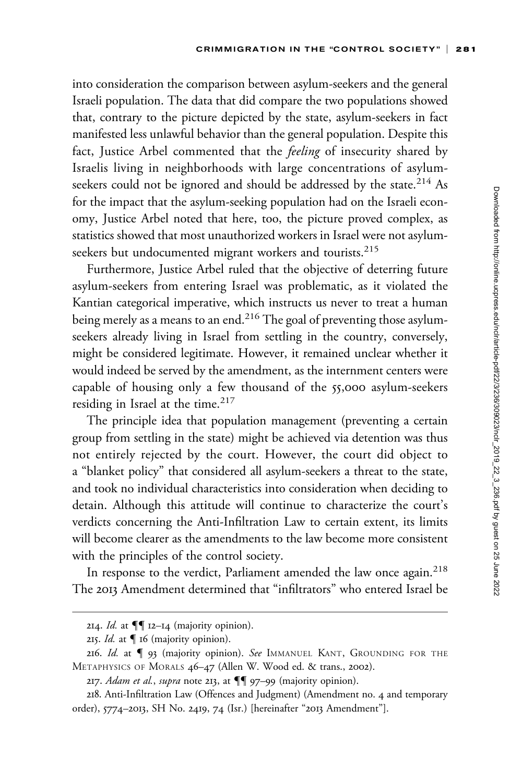into consideration the comparison between asylum-seekers and the general Israeli population. The data that did compare the two populations showed that, contrary to the picture depicted by the state, asylum-seekers in fact manifested less unlawful behavior than the general population. Despite this fact, Justice Arbel commented that the feeling of insecurity shared by Israelis living in neighborhoods with large concentrations of asylumseekers could not be ignored and should be addressed by the state.<sup>214</sup> As for the impact that the asylum-seeking population had on the Israeli economy, Justice Arbel noted that here, too, the picture proved complex, as statistics showed that most unauthorized workers in Israel were not asylumseekers but undocumented migrant workers and tourists.<sup>215</sup>

Furthermore, Justice Arbel ruled that the objective of deterring future asylum-seekers from entering Israel was problematic, as it violated the Kantian categorical imperative, which instructs us never to treat a human being merely as a means to an end.<sup>216</sup> The goal of preventing those asylumseekers already living in Israel from settling in the country, conversely, might be considered legitimate. However, it remained unclear whether it would indeed be served by the amendment, as the internment centers were capable of housing only a few thousand of the 55,000 asylum-seekers residing in Israel at the time. $217$ 

The principle idea that population management (preventing a certain group from settling in the state) might be achieved via detention was thus not entirely rejected by the court. However, the court did object to a "blanket policy" that considered all asylum-seekers a threat to the state, and took no individual characteristics into consideration when deciding to detain. Although this attitude will continue to characterize the court's verdicts concerning the Anti-Infiltration Law to certain extent, its limits will become clearer as the amendments to the law become more consistent with the principles of the control society.

In response to the verdict, Parliament amended the law once again.<sup>218</sup> The 2013 Amendment determined that "infiltrators" who entered Israel be

<sup>214.</sup> *Id.* at  $\P\P$  12–14 (majority opinion).

<sup>215.</sup> *Id.* at  $\P$  16 (majority opinion).

<sup>216.</sup> Id. at  $\int$  93 (majority opinion). See IMMANUEL KANT, GROUNDING FOR THE METAPHYSICS OF MORALS 46–47 (Allen W. Wood ed. & trans., 2002).

<sup>217.</sup> Adam et al., supra note 213, at  $\P\P$  97-99 (majority opinion).

<sup>218.</sup> Anti-Infiltration Law (Offences and Judgment) (Amendment no. 4 and temporary order), 5774–2013, SH No. 2419, 74 (Isr.) [hereinafter "2013 Amendment"].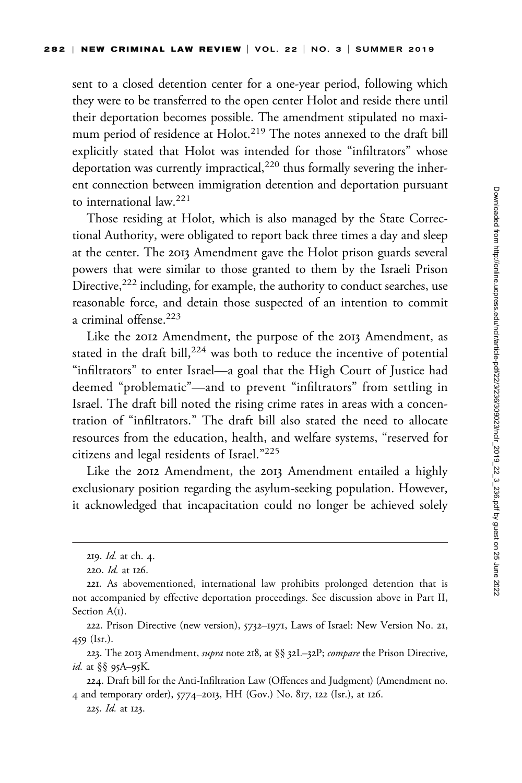sent to a closed detention center for a one-year period, following which they were to be transferred to the open center Holot and reside there until their deportation becomes possible. The amendment stipulated no maximum period of residence at Holot.<sup>219</sup> The notes annexed to the draft bill explicitly stated that Holot was intended for those "infiltrators" whose deportation was currently impractical, $220$  thus formally severing the inherent connection between immigration detention and deportation pursuant to international law.<sup>221</sup>

Those residing at Holot, which is also managed by the State Correctional Authority, were obligated to report back three times a day and sleep at the center. The 2013 Amendment gave the Holot prison guards several powers that were similar to those granted to them by the Israeli Prison Directive,<sup>222</sup> including, for example, the authority to conduct searches, use reasonable force, and detain those suspected of an intention to commit a criminal offense.<sup>223</sup>

Like the 2012 Amendment, the purpose of the 2013 Amendment, as stated in the draft bill,<sup>224</sup> was both to reduce the incentive of potential "infiltrators" to enter Israel—a goal that the High Court of Justice had deemed "problematic"—and to prevent "infiltrators" from settling in Israel. The draft bill noted the rising crime rates in areas with a concentration of "infiltrators." The draft bill also stated the need to allocate resources from the education, health, and welfare systems, "reserved for citizens and legal residents of Israel."225

Like the 2012 Amendment, the 2013 Amendment entailed a highly exclusionary position regarding the asylum-seeking population. However, it acknowledged that incapacitation could no longer be achieved solely

<sup>219.</sup> Id. at ch. 4.

<sup>220.</sup> Id. at 126.

<sup>221.</sup> As abovementioned, international law prohibits prolonged detention that is not accompanied by effective deportation proceedings. See discussion above in Part II, Section A(1).

<sup>222.</sup> Prison Directive (new version), 5732–1971, Laws of Israel: New Version No. 21, 459 (Isr.).

<sup>223.</sup> The 2013 Amendment, *supra* note 218, at §§ 32L-32P; compare the Prison Directive, id. at §§ 95A–95K.

<sup>224.</sup> Draft bill for the Anti-Infiltration Law (Offences and Judgment) (Amendment no. 4 and temporary order), 5774–2013, HH (Gov.) No. 817, 122 (Isr.), at 126.

<sup>225.</sup> Id. at 123.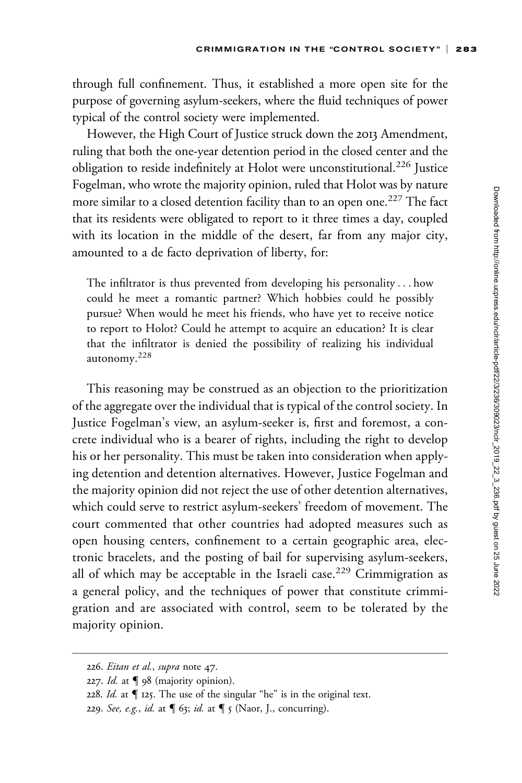through full confinement. Thus, it established a more open site for the purpose of governing asylum-seekers, where the fluid techniques of power typical of the control society were implemented.

However, the High Court of Justice struck down the 2013 Amendment, ruling that both the one-year detention period in the closed center and the obligation to reside indefinitely at Holot were unconstitutional.<sup>226</sup> Justice Fogelman, who wrote the majority opinion, ruled that Holot was by nature more similar to a closed detention facility than to an open one.<sup>227</sup> The fact that its residents were obligated to report to it three times a day, coupled with its location in the middle of the desert, far from any major city, amounted to a de facto deprivation of liberty, for:

The infiltrator is thus prevented from developing his personality ... how could he meet a romantic partner? Which hobbies could he possibly pursue? When would he meet his friends, who have yet to receive notice to report to Holot? Could he attempt to acquire an education? It is clear that the infiltrator is denied the possibility of realizing his individual autonomy.<sup>228</sup>

This reasoning may be construed as an objection to the prioritization of the aggregate over the individual that is typical of the control society. In Justice Fogelman's view, an asylum-seeker is, first and foremost, a concrete individual who is a bearer of rights, including the right to develop his or her personality. This must be taken into consideration when applying detention and detention alternatives. However, Justice Fogelman and the majority opinion did not reject the use of other detention alternatives, which could serve to restrict asylum-seekers' freedom of movement. The court commented that other countries had adopted measures such as open housing centers, confinement to a certain geographic area, electronic bracelets, and the posting of bail for supervising asylum-seekers, all of which may be acceptable in the Israeli case.<sup>229</sup> Crimmigration as a general policy, and the techniques of power that constitute crimmigration and are associated with control, seem to be tolerated by the majority opinion.

<sup>226.</sup> Eitan et al., supra note 47.

<sup>227.</sup> Id. at  $\P$  98 (majority opinion).

<sup>228.</sup> Id. at  $\P$  125. The use of the singular "he" is in the original text.

<sup>229.</sup> See, e.g., id. at  $\P$  63; id. at  $\P$  5 (Naor, J., concurring).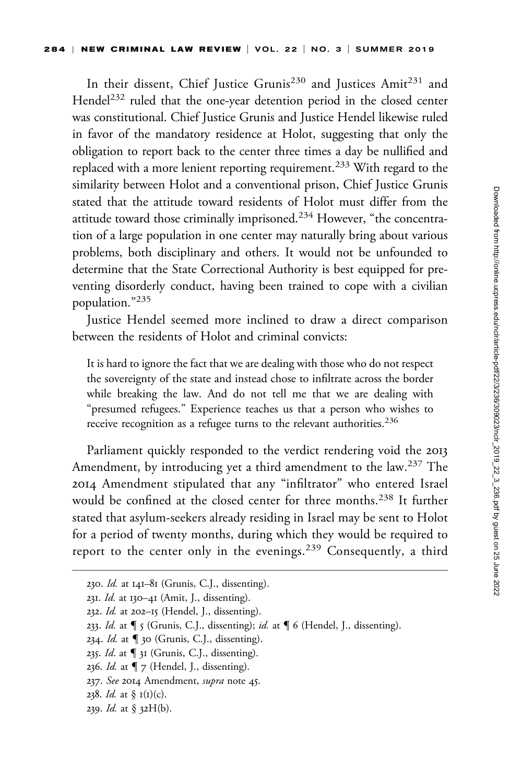In their dissent, Chief Justice Grunis<sup>230</sup> and Justices Amit<sup>231</sup> and Hendel<sup>232</sup> ruled that the one-year detention period in the closed center was constitutional. Chief Justice Grunis and Justice Hendel likewise ruled in favor of the mandatory residence at Holot, suggesting that only the obligation to report back to the center three times a day be nullified and replaced with a more lenient reporting requirement.<sup>233</sup> With regard to the similarity between Holot and a conventional prison, Chief Justice Grunis stated that the attitude toward residents of Holot must differ from the attitude toward those criminally imprisoned.<sup>234</sup> However, "the concentration of a large population in one center may naturally bring about various problems, both disciplinary and others. It would not be unfounded to determine that the State Correctional Authority is best equipped for preventing disorderly conduct, having been trained to cope with a civilian population."<sup>235</sup>

Justice Hendel seemed more inclined to draw a direct comparison between the residents of Holot and criminal convicts:

It is hard to ignore the fact that we are dealing with those who do not respect the sovereignty of the state and instead chose to infiltrate across the border while breaking the law. And do not tell me that we are dealing with "presumed refugees." Experience teaches us that a person who wishes to receive recognition as a refugee turns to the relevant authorities.<sup>236</sup>

Parliament quickly responded to the verdict rendering void the 2013 Amendment, by introducing yet a third amendment to the law.<sup>237</sup> The 2014 Amendment stipulated that any "infiltrator" who entered Israel would be confined at the closed center for three months.<sup>238</sup> It further stated that asylum-seekers already residing in Israel may be sent to Holot for a period of twenty months, during which they would be required to report to the center only in the evenings.<sup>239</sup> Consequently, a third

<sup>230.</sup> Id. at 141–81 (Grunis, C.J., dissenting).

<sup>231.</sup> *Id.* at 130–41 (Amit, J., dissenting).

<sup>232.</sup> Id. at  $202-15$  (Hendel, J., dissenting).

<sup>233.</sup> Id. at  $\P$  5 (Grunis, C.J., dissenting); id. at  $\P$  6 (Hendel, J., dissenting).

<sup>234.</sup> Id. at  $\P$  30 (Grunis, C.J., dissenting).

<sup>235.</sup> Id. at  $\P$  31 (Grunis, C.J., dissenting).

<sup>236.</sup> *Id.* at  $\P$  7 (Hendel, J., dissenting).

<sup>237.</sup> See 2014 Amendment, supra note 45.

<sup>238.</sup> *Id.* at  $\S I(I)(c)$ .

<sup>239.</sup> Id. at § 32H(b).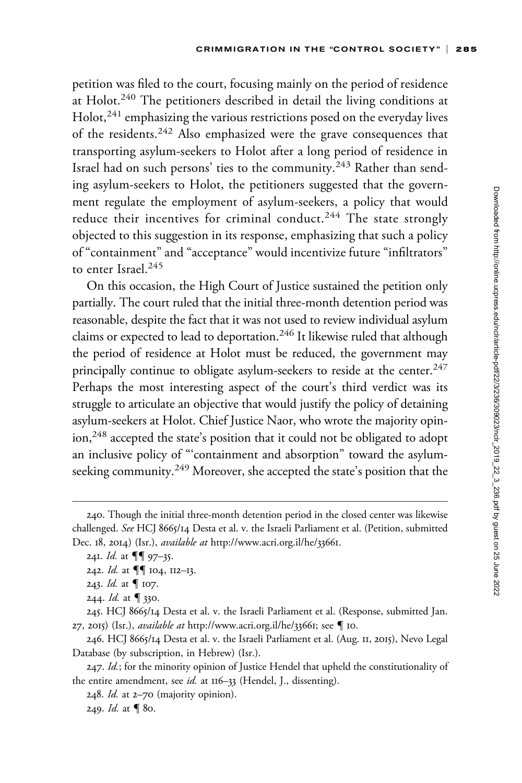petition was filed to the court, focusing mainly on the period of residence at Holot.<sup>240</sup> The petitioners described in detail the living conditions at Holot,<sup>241</sup> emphasizing the various restrictions posed on the everyday lives of the residents.<sup>242</sup> Also emphasized were the grave consequences that transporting asylum-seekers to Holot after a long period of residence in Israel had on such persons' ties to the community.<sup>243</sup> Rather than sending asylum-seekers to Holot, the petitioners suggested that the government regulate the employment of asylum-seekers, a policy that would reduce their incentives for criminal conduct.<sup>244</sup> The state strongly objected to this suggestion in its response, emphasizing that such a policy of "containment" and "acceptance" would incentivize future "infiltrators" to enter Israel.<sup>245</sup>

On this occasion, the High Court of Justice sustained the petition only partially. The court ruled that the initial three-month detention period was reasonable, despite the fact that it was not used to review individual asylum claims or expected to lead to deportation.<sup>246</sup> It likewise ruled that although the period of residence at Holot must be reduced, the government may principally continue to obligate asylum-seekers to reside at the center.<sup>247</sup> Perhaps the most interesting aspect of the court's third verdict was its struggle to articulate an objective that would justify the policy of detaining asylum-seekers at Holot. Chief Justice Naor, who wrote the majority opinion,<sup>248</sup> accepted the state's position that it could not be obligated to adopt an inclusive policy of "'containment and absorption" toward the asylumseeking community.<sup>249</sup> Moreover, she accepted the state's position that the

246. HCJ 8665/14 Desta et al. v. the Israeli Parliament et al. (Aug. 11, 2015), Nevo Legal Database (by subscription, in Hebrew) (Isr.).

<sup>240.</sup> Though the initial three-month detention period in the closed center was likewise challenged. See HCJ 8665/14 Desta et al. v. the Israeli Parliament et al. (Petition, submitted Dec. 18, 2014) (Isr.), *available at* [http://www.acri.org.il/he/](http://www.acri.org.il/he/33661)33661.

<sup>241.</sup> *Id.* at  $\P\P$  97–35.

<sup>242.</sup> *Id.* at  $\P\P$  104, 112–13.

<sup>243.</sup> *Id.* at  $\P$  107.

<sup>244.</sup> *Id.* at  $\P$  330.

<sup>245.</sup> HCJ 8665/14 Desta et al. v. the Israeli Parliament et al. (Response, submitted Jan. 27, 2015) (Isr.), *available at* [http://www.acri.org.il/he/](http://www.acri.org.il/he/33661)33661; see  $\P$  10.

<sup>247.</sup> Id.; for the minority opinion of Justice Hendel that upheld the constitutionality of the entire amendment, see id. at 116-33 (Hendel, J., dissenting).

<sup>248.</sup> Id. at 2–70 (majority opinion).

<sup>249.</sup> *Id.* at  $\blacksquare$  80.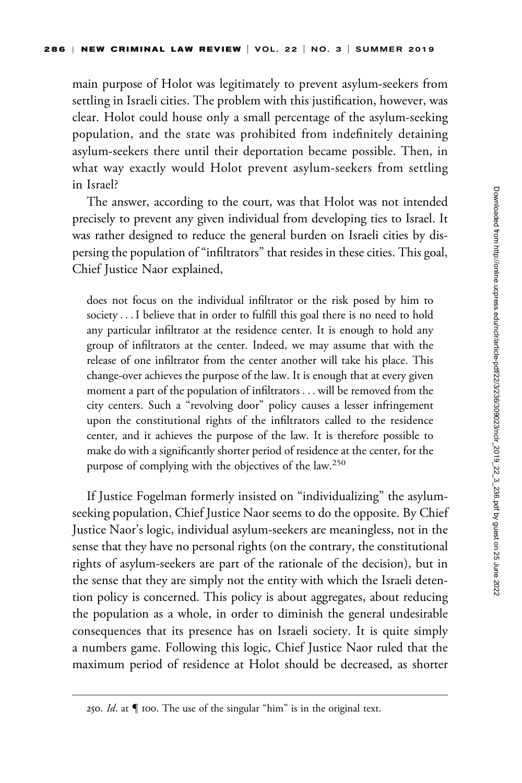main purpose of Holot was legitimately to prevent asylum-seekers from settling in Israeli cities. The problem with this justification, however, was clear. Holot could house only a small percentage of the asylum-seeking population, and the state was prohibited from indefinitely detaining asylum-seekers there until their deportation became possible. Then, in what way exactly would Holot prevent asylum-seekers from settling in Israel?

The answer, according to the court, was that Holot was not intended precisely to prevent any given individual from developing ties to Israel. It was rather designed to reduce the general burden on Israeli cities by dispersing the population of "infiltrators" that resides in these cities. This goal, Chief Justice Naor explained,

does not focus on the individual infiltrator or the risk posed by him to society ... I believe that in order to fulfill this goal there is no need to hold any particular infiltrator at the residence center. It is enough to hold any group of infiltrators at the center. Indeed, we may assume that with the release of one infiltrator from the center another will take his place. This change-over achieves the purpose of the law. It is enough that at every given moment a part of the population of infiltrators ... will be removed from the city centers. Such a "revolving door" policy causes a lesser infringement upon the constitutional rights of the infiltrators called to the residence center, and it achieves the purpose of the law. It is therefore possible to make do with a significantly shorter period of residence at the center, for the purpose of complying with the objectives of the law.<sup>250</sup>

If Justice Fogelman formerly insisted on "individualizing" the asylumseeking population, Chief Justice Naor seems to do the opposite. By Chief Justice Naor's logic, individual asylum-seekers are meaningless, not in the sense that they have no personal rights (on the contrary, the constitutional rights of asylum-seekers are part of the rationale of the decision), but in the sense that they are simply not the entity with which the Israeli detention policy is concerned. This policy is about aggregates, about reducing the population as a whole, in order to diminish the general undesirable consequences that its presence has on Israeli society. It is quite simply a numbers game. Following this logic, Chief Justice Naor ruled that the maximum period of residence at Holot should be decreased, as shorter

<sup>250.</sup> Id. at  $\P$  100. The use of the singular "him" is in the original text.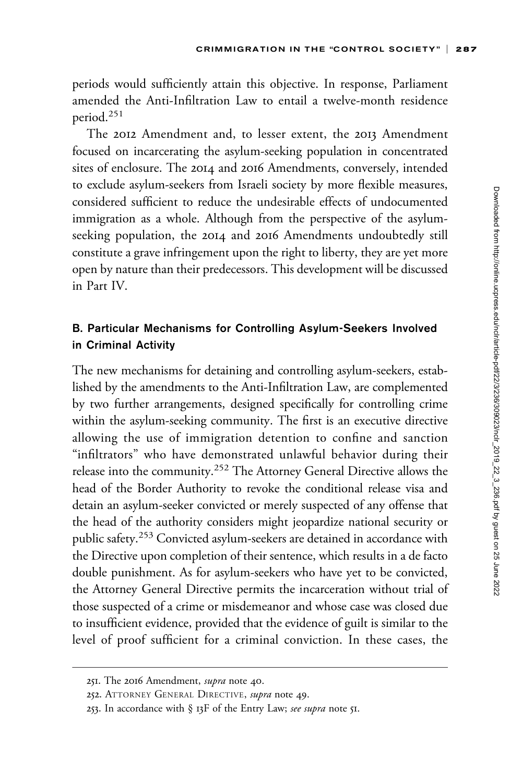periods would sufficiently attain this objective. In response, Parliament amended the Anti-Infiltration Law to entail a twelve-month residence period.<sup>251</sup>

The 2012 Amendment and, to lesser extent, the 2013 Amendment focused on incarcerating the asylum-seeking population in concentrated sites of enclosure. The 2014 and 2016 Amendments, conversely, intended to exclude asylum-seekers from Israeli society by more flexible measures, considered sufficient to reduce the undesirable effects of undocumented immigration as a whole. Although from the perspective of the asylumseeking population, the 2014 and 2016 Amendments undoubtedly still constitute a grave infringement upon the right to liberty, they are yet more open by nature than their predecessors. This development will be discussed in Part IV.

## B. Particular Mechanisms for Controlling Asylum-Seekers Involved in Criminal Activity

The new mechanisms for detaining and controlling asylum-seekers, established by the amendments to the Anti-Infiltration Law, are complemented by two further arrangements, designed specifically for controlling crime within the asylum-seeking community. The first is an executive directive allowing the use of immigration detention to confine and sanction "infiltrators" who have demonstrated unlawful behavior during their release into the community.<sup>252</sup> The Attorney General Directive allows the head of the Border Authority to revoke the conditional release visa and detain an asylum-seeker convicted or merely suspected of any offense that the head of the authority considers might jeopardize national security or public safety.<sup>253</sup> Convicted asylum-seekers are detained in accordance with the Directive upon completion of their sentence, which results in a de facto double punishment. As for asylum-seekers who have yet to be convicted, the Attorney General Directive permits the incarceration without trial of those suspected of a crime or misdemeanor and whose case was closed due to insufficient evidence, provided that the evidence of guilt is similar to the level of proof sufficient for a criminal conviction. In these cases, the

<sup>251.</sup> The 2016 Amendment, supra note 40.

<sup>252.</sup> ATTORNEY GENERAL DIRECTIVE, supra note 49.

<sup>253.</sup> In accordance with  $\S$  13F of the Entry Law; see supra note 51.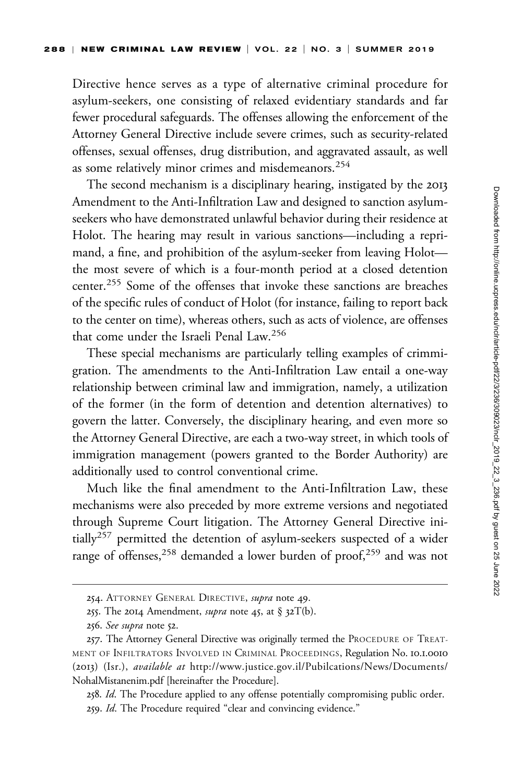Directive hence serves as a type of alternative criminal procedure for asylum-seekers, one consisting of relaxed evidentiary standards and far fewer procedural safeguards. The offenses allowing the enforcement of the Attorney General Directive include severe crimes, such as security-related offenses, sexual offenses, drug distribution, and aggravated assault, as well as some relatively minor crimes and misdemeanors.<sup>254</sup>

The second mechanism is a disciplinary hearing, instigated by the 2013 Amendment to the Anti-Infiltration Law and designed to sanction asylumseekers who have demonstrated unlawful behavior during their residence at Holot. The hearing may result in various sanctions—including a reprimand, a fine, and prohibition of the asylum-seeker from leaving Holot the most severe of which is a four-month period at a closed detention center.<sup>255</sup> Some of the offenses that invoke these sanctions are breaches of the specific rules of conduct of Holot (for instance, failing to report back to the center on time), whereas others, such as acts of violence, are offenses that come under the Israeli Penal Law.<sup>256</sup>

These special mechanisms are particularly telling examples of crimmigration. The amendments to the Anti-Infiltration Law entail a one-way relationship between criminal law and immigration, namely, a utilization of the former (in the form of detention and detention alternatives) to govern the latter. Conversely, the disciplinary hearing, and even more so the Attorney General Directive, are each a two-way street, in which tools of immigration management (powers granted to the Border Authority) are additionally used to control conventional crime.

Much like the final amendment to the Anti-Infiltration Law, these mechanisms were also preceded by more extreme versions and negotiated through Supreme Court litigation. The Attorney General Directive initially<sup>257</sup> permitted the detention of asylum-seekers suspected of a wider range of offenses,<sup>258</sup> demanded a lower burden of proof,<sup>259</sup> and was not

<sup>254.</sup> ATTORNEY GENERAL DIRECTIVE, supra note 49.

<sup>255.</sup> The 2014 Amendment, *supra* note 45, at § 32T(b).

<sup>256.</sup> See supra note 52.

<sup>257.</sup> The Attorney General Directive was originally termed the PROCEDURE OF TREAT-MENT OF INFILTRATORS INVOLVED IN CRIMINAL PROCEEDINGS, Regulation No. 10.1.0010 (2013) (Isr.), available at [http://www.justice.gov.il/Pubilcations/News/Documents/](http://www.justice.gov.il/Pubilcations/News/Documents/NohalMistanenim.pdf) [NohalMistanenim.pdf](http://www.justice.gov.il/Pubilcations/News/Documents/NohalMistanenim.pdf) [hereinafter the Procedure].

<sup>258.</sup> Id. The Procedure applied to any offense potentially compromising public order. 259. Id. The Procedure required "clear and convincing evidence."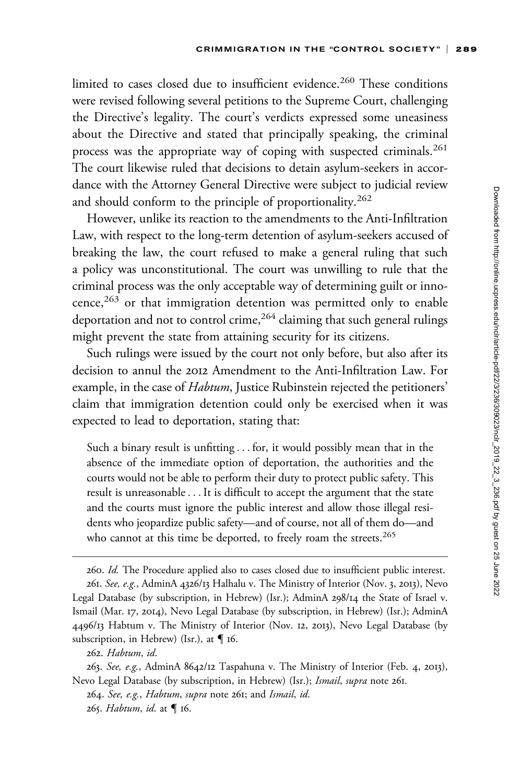limited to cases closed due to insufficient evidence.<sup>260</sup> These conditions were revised following several petitions to the Supreme Court, challenging the Directive's legality. The court's verdicts expressed some uneasiness about the Directive and stated that principally speaking, the criminal process was the appropriate way of coping with suspected criminals.<sup>261</sup> The court likewise ruled that decisions to detain asylum-seekers in accordance with the Attorney General Directive were subject to judicial review and should conform to the principle of proportionality.<sup>262</sup>

However, unlike its reaction to the amendments to the Anti-Infiltration Law, with respect to the long-term detention of asylum-seekers accused of breaking the law, the court refused to make a general ruling that such a policy was unconstitutional. The court was unwilling to rule that the criminal process was the only acceptable way of determining guilt or innocence,<sup>263</sup> or that immigration detention was permitted only to enable deportation and not to control crime,<sup>264</sup> claiming that such general rulings might prevent the state from attaining security for its citizens.

Such rulings were issued by the court not only before, but also after its decision to annul the 2012 Amendment to the Anti-Infiltration Law. For example, in the case of *Habtum*, Justice Rubinstein rejected the petitioners' claim that immigration detention could only be exercised when it was expected to lead to deportation, stating that:

Such a binary result is unfitting ... for, it would possibly mean that in the absence of the immediate option of deportation, the authorities and the courts would not be able to perform their duty to protect public safety. This result is unreasonable... It is difficult to accept the argument that the state and the courts must ignore the public interest and allow those illegal residents who jeopardize public safety—and of course, not all of them do—and who cannot at this time be deported, to freely roam the streets.<sup>265</sup>

<sup>260.</sup> Id. The Procedure applied also to cases closed due to insufficient public interest. 261. See, e.g., AdminA 4326/13 Halhalu v. The Ministry of Interior (Nov. 3, 2013), Nevo Legal Database (by subscription, in Hebrew) (Isr.); AdminA 298/14 the State of Israel v. Ismail (Mar. 17, 2014), Nevo Legal Database (by subscription, in Hebrew) (Isr.); AdminA 4496/13 Habtum v. The Ministry of Interior (Nov. 12, 2013), Nevo Legal Database (by subscription, in Hebrew) (Isr.), at  $\P$  16.

<sup>262.</sup> Habtum, id.

<sup>263.</sup> See, e.g., AdminA 8642/12 Taspahuna v. The Ministry of Interior (Feb. 4, 2013), Nevo Legal Database (by subscription, in Hebrew) (Isr.); Ismail, supra note 261.

<sup>264.</sup> See, e.g., Habtum, supra note 261; and Ismail, id. 265. Habtum, id. at  $\P$  16.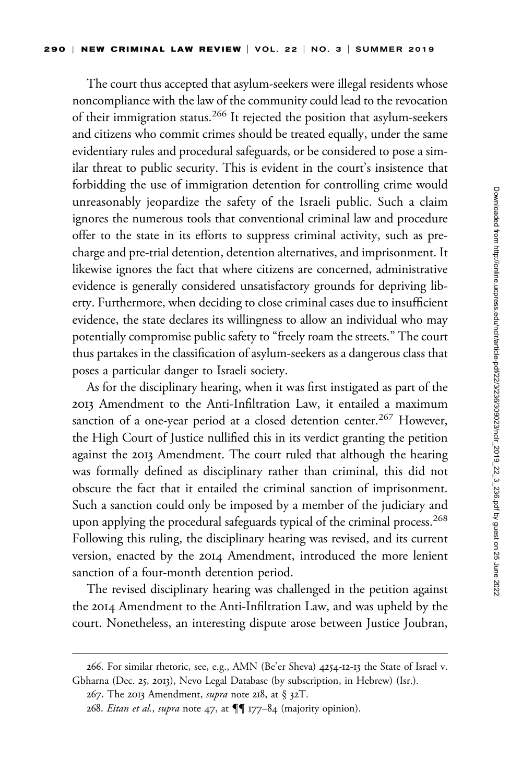The court thus accepted that asylum-seekers were illegal residents whose noncompliance with the law of the community could lead to the revocation of their immigration status.<sup>266</sup> It rejected the position that asylum-seekers and citizens who commit crimes should be treated equally, under the same evidentiary rules and procedural safeguards, or be considered to pose a similar threat to public security. This is evident in the court's insistence that forbidding the use of immigration detention for controlling crime would unreasonably jeopardize the safety of the Israeli public. Such a claim ignores the numerous tools that conventional criminal law and procedure offer to the state in its efforts to suppress criminal activity, such as precharge and pre-trial detention, detention alternatives, and imprisonment. It likewise ignores the fact that where citizens are concerned, administrative evidence is generally considered unsatisfactory grounds for depriving liberty. Furthermore, when deciding to close criminal cases due to insufficient evidence, the state declares its willingness to allow an individual who may potentially compromise public safety to "freely roam the streets." The court thus partakes in the classification of asylum-seekers as a dangerous class that poses a particular danger to Israeli society.

As for the disciplinary hearing, when it was first instigated as part of the 2013 Amendment to the Anti-Infiltration Law, it entailed a maximum sanction of a one-year period at a closed detention center.<sup>267</sup> However, the High Court of Justice nullified this in its verdict granting the petition against the 2013 Amendment. The court ruled that although the hearing was formally defined as disciplinary rather than criminal, this did not obscure the fact that it entailed the criminal sanction of imprisonment. Such a sanction could only be imposed by a member of the judiciary and upon applying the procedural safeguards typical of the criminal process.<sup>268</sup> Following this ruling, the disciplinary hearing was revised, and its current version, enacted by the 2014 Amendment, introduced the more lenient sanction of a four-month detention period.

The revised disciplinary hearing was challenged in the petition against the 2014 Amendment to the Anti-Infiltration Law, and was upheld by the court. Nonetheless, an interesting dispute arose between Justice Joubran,

<sup>266.</sup> For similar rhetoric, see, e.g., AMN (Be'er Sheva) 4254-12-13 the State of Israel v. Gbharna (Dec. 25, 2013), Nevo Legal Database (by subscription, in Hebrew) (Isr.).

<sup>267.</sup> The 2013 Amendment, *supra* note 218, at § 32T.

<sup>268.</sup> *Eitan et al., supra* note 47, at  $\P\P$  177–84 (majority opinion).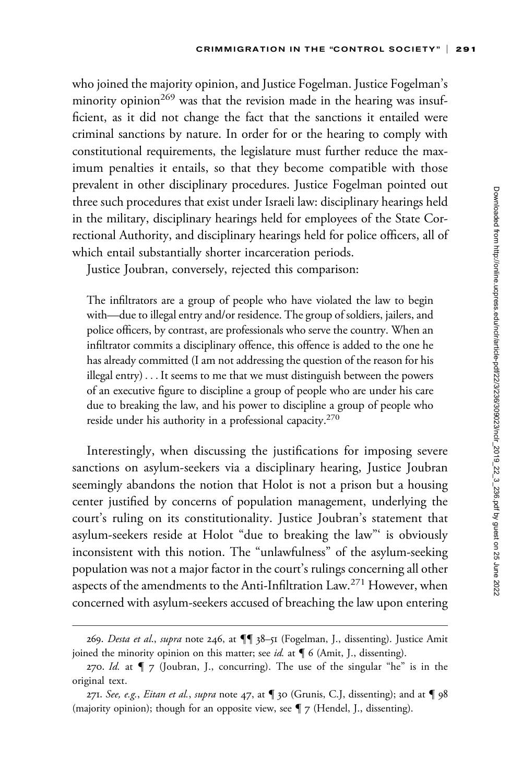who joined the majority opinion, and Justice Fogelman. Justice Fogelman's minority opinion<sup>269</sup> was that the revision made in the hearing was insufficient, as it did not change the fact that the sanctions it entailed were criminal sanctions by nature. In order for or the hearing to comply with constitutional requirements, the legislature must further reduce the maximum penalties it entails, so that they become compatible with those prevalent in other disciplinary procedures. Justice Fogelman pointed out three such procedures that exist under Israeli law: disciplinary hearings held in the military, disciplinary hearings held for employees of the State Correctional Authority, and disciplinary hearings held for police officers, all of which entail substantially shorter incarceration periods.

Justice Joubran, conversely, rejected this comparison:

The infiltrators are a group of people who have violated the law to begin with—due to illegal entry and/or residence. The group of soldiers, jailers, and police officers, by contrast, are professionals who serve the country. When an infiltrator commits a disciplinary offence, this offence is added to the one he has already committed (I am not addressing the question of the reason for his illegal entry)... It seems to me that we must distinguish between the powers of an executive figure to discipline a group of people who are under his care due to breaking the law, and his power to discipline a group of people who reside under his authority in a professional capacity.270

Interestingly, when discussing the justifications for imposing severe sanctions on asylum-seekers via a disciplinary hearing, Justice Joubran seemingly abandons the notion that Holot is not a prison but a housing center justified by concerns of population management, underlying the court's ruling on its constitutionality. Justice Joubran's statement that asylum-seekers reside at Holot "due to breaking the law"' is obviously inconsistent with this notion. The "unlawfulness" of the asylum-seeking population was not a major factor in the court's rulings concerning all other aspects of the amendments to the Anti-Infiltration Law.<sup>271</sup> However, when concerned with asylum-seekers accused of breaching the law upon entering

<sup>269.</sup> Desta et al., supra note 246, at  $\P\P$  38-51 (Fogelman, J., dissenting). Justice Amit joined the minority opinion on this matter; see id. at  $\P$  6 (Amit, J., dissenting).

<sup>270.</sup> Id. at  $\P$  7 (Joubran, J., concurring). The use of the singular "he" is in the original text.

<sup>271.</sup> See, e.g., Eitan et al., supra note 47, at  $\P$  30 (Grunis, C.J, dissenting); and at  $\P$  98 (majority opinion); though for an opposite view, see  $\P$  7 (Hendel, J., dissenting).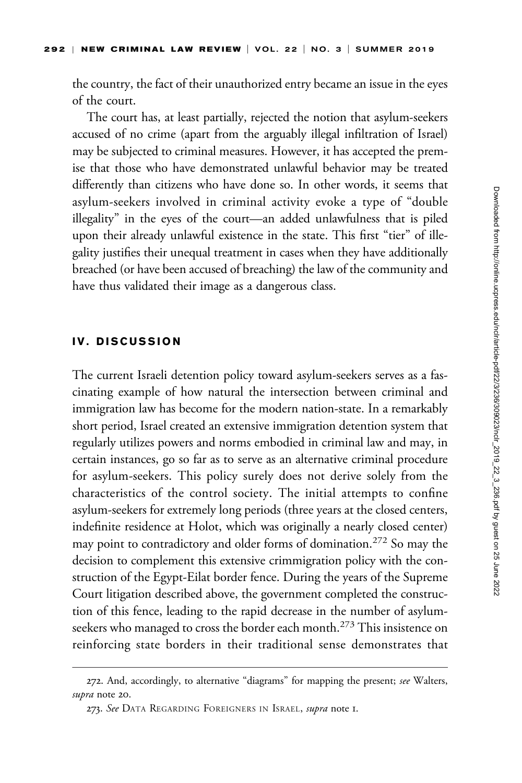the country, the fact of their unauthorized entry became an issue in the eyes of the court.

The court has, at least partially, rejected the notion that asylum-seekers accused of no crime (apart from the arguably illegal infiltration of Israel) may be subjected to criminal measures. However, it has accepted the premise that those who have demonstrated unlawful behavior may be treated differently than citizens who have done so. In other words, it seems that asylum-seekers involved in criminal activity evoke a type of "double illegality" in the eyes of the court—an added unlawfulness that is piled upon their already unlawful existence in the state. This first "tier" of illegality justifies their unequal treatment in cases when they have additionally breached (or have been accused of breaching) the law of the community and have thus validated their image as a dangerous class.

### IV. DISCUSSION

The current Israeli detention policy toward asylum-seekers serves as a fascinating example of how natural the intersection between criminal and immigration law has become for the modern nation-state. In a remarkably short period, Israel created an extensive immigration detention system that regularly utilizes powers and norms embodied in criminal law and may, in certain instances, go so far as to serve as an alternative criminal procedure for asylum-seekers. This policy surely does not derive solely from the characteristics of the control society. The initial attempts to confine asylum-seekers for extremely long periods (three years at the closed centers, indefinite residence at Holot, which was originally a nearly closed center) may point to contradictory and older forms of domination.<sup>272</sup> So may the decision to complement this extensive crimmigration policy with the construction of the Egypt-Eilat border fence. During the years of the Supreme Court litigation described above, the government completed the construction of this fence, leading to the rapid decrease in the number of asylumseekers who managed to cross the border each month.<sup>273</sup> This insistence on reinforcing state borders in their traditional sense demonstrates that

<sup>272.</sup> And, accordingly, to alternative "diagrams" for mapping the present; see Walters, supra note 20.

<sup>273.</sup> See DATA REGARDING FOREIGNERS IN ISRAEL, *supra* note I.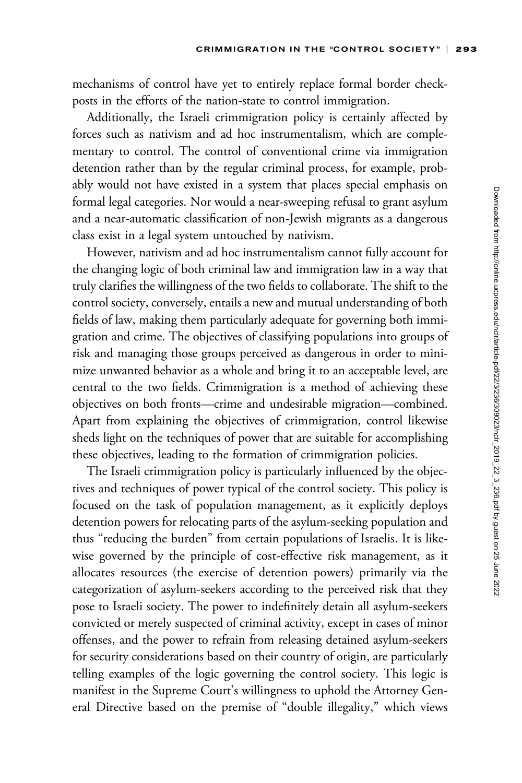mechanisms of control have yet to entirely replace formal border checkposts in the efforts of the nation-state to control immigration.

Additionally, the Israeli crimmigration policy is certainly affected by forces such as nativism and ad hoc instrumentalism, which are complementary to control. The control of conventional crime via immigration detention rather than by the regular criminal process, for example, probably would not have existed in a system that places special emphasis on formal legal categories. Nor would a near-sweeping refusal to grant asylum and a near-automatic classification of non-Jewish migrants as a dangerous class exist in a legal system untouched by nativism.

However, nativism and ad hoc instrumentalism cannot fully account for the changing logic of both criminal law and immigration law in a way that truly clarifies the willingness of the two fields to collaborate. The shift to the control society, conversely, entails a new and mutual understanding of both fields of law, making them particularly adequate for governing both immigration and crime. The objectives of classifying populations into groups of risk and managing those groups perceived as dangerous in order to minimize unwanted behavior as a whole and bring it to an acceptable level, are central to the two fields. Crimmigration is a method of achieving these objectives on both fronts—crime and undesirable migration—combined. Apart from explaining the objectives of crimmigration, control likewise sheds light on the techniques of power that are suitable for accomplishing these objectives, leading to the formation of crimmigration policies.

The Israeli crimmigration policy is particularly influenced by the objectives and techniques of power typical of the control society. This policy is focused on the task of population management, as it explicitly deploys detention powers for relocating parts of the asylum-seeking population and thus "reducing the burden" from certain populations of Israelis. It is likewise governed by the principle of cost-effective risk management, as it allocates resources (the exercise of detention powers) primarily via the categorization of asylum-seekers according to the perceived risk that they pose to Israeli society. The power to indefinitely detain all asylum-seekers convicted or merely suspected of criminal activity, except in cases of minor offenses, and the power to refrain from releasing detained asylum-seekers for security considerations based on their country of origin, are particularly telling examples of the logic governing the control society. This logic is manifest in the Supreme Court's willingness to uphold the Attorney General Directive based on the premise of "double illegality," which views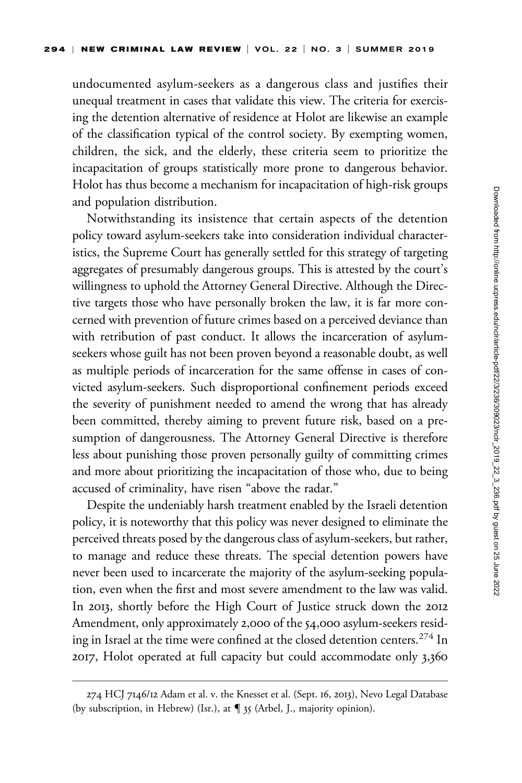undocumented asylum-seekers as a dangerous class and justifies their unequal treatment in cases that validate this view. The criteria for exercising the detention alternative of residence at Holot are likewise an example of the classification typical of the control society. By exempting women, children, the sick, and the elderly, these criteria seem to prioritize the incapacitation of groups statistically more prone to dangerous behavior. Holot has thus become a mechanism for incapacitation of high-risk groups and population distribution.

Notwithstanding its insistence that certain aspects of the detention policy toward asylum-seekers take into consideration individual characteristics, the Supreme Court has generally settled for this strategy of targeting aggregates of presumably dangerous groups. This is attested by the court's willingness to uphold the Attorney General Directive. Although the Directive targets those who have personally broken the law, it is far more concerned with prevention of future crimes based on a perceived deviance than with retribution of past conduct. It allows the incarceration of asylumseekers whose guilt has not been proven beyond a reasonable doubt, as well as multiple periods of incarceration for the same offense in cases of convicted asylum-seekers. Such disproportional confinement periods exceed the severity of punishment needed to amend the wrong that has already been committed, thereby aiming to prevent future risk, based on a presumption of dangerousness. The Attorney General Directive is therefore less about punishing those proven personally guilty of committing crimes and more about prioritizing the incapacitation of those who, due to being accused of criminality, have risen "above the radar."

Despite the undeniably harsh treatment enabled by the Israeli detention policy, it is noteworthy that this policy was never designed to eliminate the perceived threats posed by the dangerous class of asylum-seekers, but rather, to manage and reduce these threats. The special detention powers have never been used to incarcerate the majority of the asylum-seeking population, even when the first and most severe amendment to the law was valid. In 2013, shortly before the High Court of Justice struck down the 2012 Amendment, only approximately 2,000 of the 54,000 asylum-seekers residing in Israel at the time were confined at the closed detention centers.<sup>274</sup> In 2017, Holot operated at full capacity but could accommodate only 3,360

<sup>274</sup> HCJ 7146/12 Adam et al. v. the Knesset et al. (Sept. 16, 2013), Nevo Legal Database (by subscription, in Hebrew) (Isr.), at  $\P$  35 (Arbel, J., majority opinion).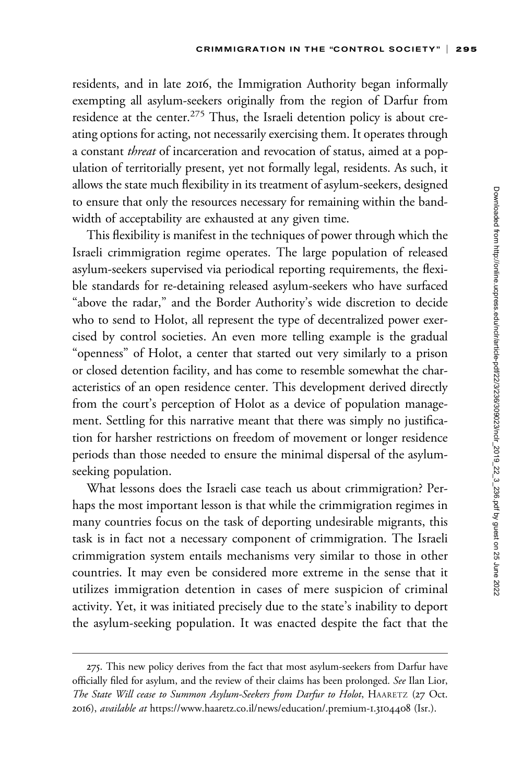residents, and in late 2016, the Immigration Authority began informally exempting all asylum-seekers originally from the region of Darfur from residence at the center.<sup>275</sup> Thus, the Israeli detention policy is about creating options for acting, not necessarily exercising them. It operates through a constant threat of incarceration and revocation of status, aimed at a population of territorially present, yet not formally legal, residents. As such, it allows the state much flexibility in its treatment of asylum-seekers, designed to ensure that only the resources necessary for remaining within the bandwidth of acceptability are exhausted at any given time.

This flexibility is manifest in the techniques of power through which the Israeli crimmigration regime operates. The large population of released asylum-seekers supervised via periodical reporting requirements, the flexible standards for re-detaining released asylum-seekers who have surfaced "above the radar," and the Border Authority's wide discretion to decide who to send to Holot, all represent the type of decentralized power exercised by control societies. An even more telling example is the gradual "openness" of Holot, a center that started out very similarly to a prison or closed detention facility, and has come to resemble somewhat the characteristics of an open residence center. This development derived directly from the court's perception of Holot as a device of population management. Settling for this narrative meant that there was simply no justification for harsher restrictions on freedom of movement or longer residence periods than those needed to ensure the minimal dispersal of the asylumseeking population.

What lessons does the Israeli case teach us about crimmigration? Perhaps the most important lesson is that while the crimmigration regimes in many countries focus on the task of deporting undesirable migrants, this task is in fact not a necessary component of crimmigration. The Israeli crimmigration system entails mechanisms very similar to those in other countries. It may even be considered more extreme in the sense that it utilizes immigration detention in cases of mere suspicion of criminal activity. Yet, it was initiated precisely due to the state's inability to deport the asylum-seeking population. It was enacted despite the fact that the

<sup>275.</sup> This new policy derives from the fact that most asylum-seekers from Darfur have officially filed for asylum, and the review of their claims has been prolonged. See Ilan Lior, The State Will cease to Summon Asylum-Seekers from Darfur to Holot, HAARETZ (27 Oct. 2016), available at [https://www.haaretz.co.il/news/education/.premium-](https://www.haaretz.co.il/news/education/.premium-1.3104408)1.3104408 (Isr.).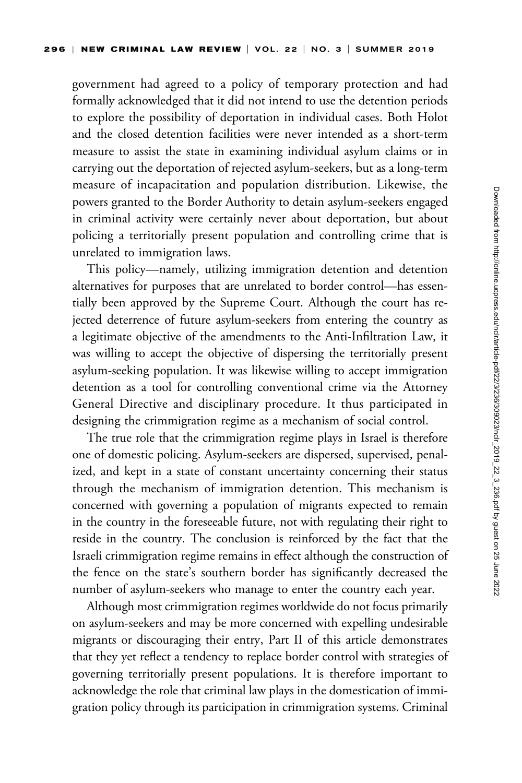government had agreed to a policy of temporary protection and had formally acknowledged that it did not intend to use the detention periods to explore the possibility of deportation in individual cases. Both Holot and the closed detention facilities were never intended as a short-term measure to assist the state in examining individual asylum claims or in carrying out the deportation of rejected asylum-seekers, but as a long-term measure of incapacitation and population distribution. Likewise, the powers granted to the Border Authority to detain asylum-seekers engaged in criminal activity were certainly never about deportation, but about policing a territorially present population and controlling crime that is unrelated to immigration laws.

This policy—namely, utilizing immigration detention and detention alternatives for purposes that are unrelated to border control—has essentially been approved by the Supreme Court. Although the court has rejected deterrence of future asylum-seekers from entering the country as a legitimate objective of the amendments to the Anti-Infiltration Law, it was willing to accept the objective of dispersing the territorially present asylum-seeking population. It was likewise willing to accept immigration detention as a tool for controlling conventional crime via the Attorney General Directive and disciplinary procedure. It thus participated in designing the crimmigration regime as a mechanism of social control.

The true role that the crimmigration regime plays in Israel is therefore one of domestic policing. Asylum-seekers are dispersed, supervised, penalized, and kept in a state of constant uncertainty concerning their status through the mechanism of immigration detention. This mechanism is concerned with governing a population of migrants expected to remain in the country in the foreseeable future, not with regulating their right to reside in the country. The conclusion is reinforced by the fact that the Israeli crimmigration regime remains in effect although the construction of the fence on the state's southern border has significantly decreased the number of asylum-seekers who manage to enter the country each year.

Although most crimmigration regimes worldwide do not focus primarily on asylum-seekers and may be more concerned with expelling undesirable migrants or discouraging their entry, Part II of this article demonstrates that they yet reflect a tendency to replace border control with strategies of governing territorially present populations. It is therefore important to acknowledge the role that criminal law plays in the domestication of immigration policy through its participation in crimmigration systems. Criminal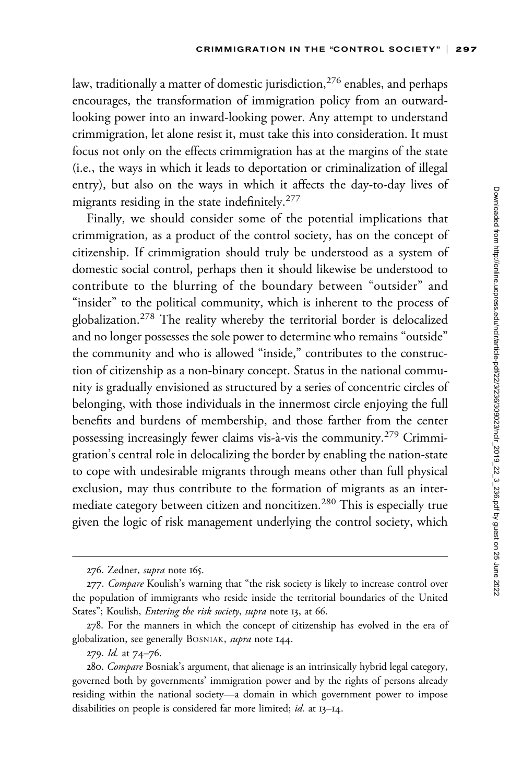law, traditionally a matter of domestic jurisdiction, $276$  enables, and perhaps encourages, the transformation of immigration policy from an outwardlooking power into an inward-looking power. Any attempt to understand crimmigration, let alone resist it, must take this into consideration. It must focus not only on the effects crimmigration has at the margins of the state (i.e., the ways in which it leads to deportation or criminalization of illegal entry), but also on the ways in which it affects the day-to-day lives of migrants residing in the state indefinitely.<sup>277</sup>

Finally, we should consider some of the potential implications that crimmigration, as a product of the control society, has on the concept of citizenship. If crimmigration should truly be understood as a system of domestic social control, perhaps then it should likewise be understood to contribute to the blurring of the boundary between "outsider" and "insider" to the political community, which is inherent to the process of globalization.<sup>278</sup> The reality whereby the territorial border is delocalized and no longer possesses the sole power to determine who remains "outside" the community and who is allowed "inside," contributes to the construction of citizenship as a non-binary concept. Status in the national community is gradually envisioned as structured by a series of concentric circles of belonging, with those individuals in the innermost circle enjoying the full benefits and burdens of membership, and those farther from the center possessing increasingly fewer claims vis-à-vis the community.<sup>279</sup> Crimmigration's central role in delocalizing the border by enabling the nation-state to cope with undesirable migrants through means other than full physical exclusion, may thus contribute to the formation of migrants as an intermediate category between citizen and noncitizen.<sup>280</sup> This is especially true given the logic of risk management underlying the control society, which

<sup>276.</sup> Zedner, *supra* note 165.

<sup>277.</sup> Compare Koulish's warning that "the risk society is likely to increase control over the population of immigrants who reside inside the territorial boundaries of the United States"; Koulish, *Entering the risk society*, *supra* note 13, at 66.

<sup>278.</sup> For the manners in which the concept of citizenship has evolved in the era of globalization, see generally BOSNIAK, supra note 144.

<sup>279.</sup> Id. at 74–76.

<sup>280.</sup> Compare Bosniak's argument, that alienage is an intrinsically hybrid legal category, governed both by governments' immigration power and by the rights of persons already residing within the national society—a domain in which government power to impose disabilities on people is considered far more limited; id. at 13-14.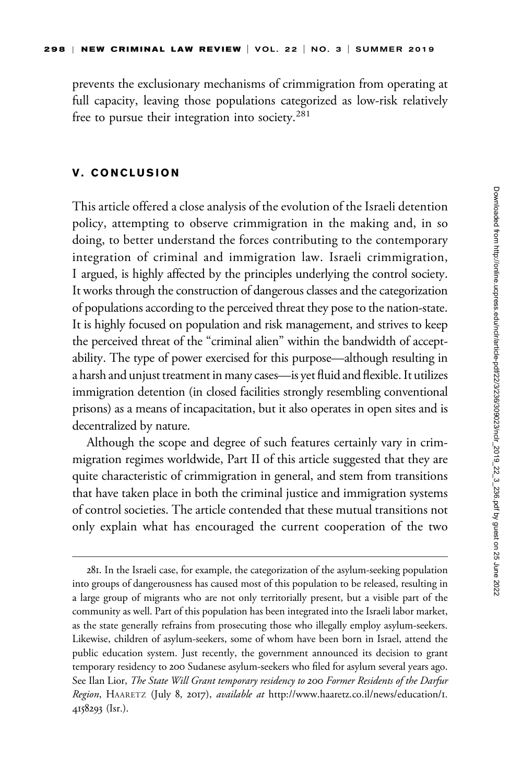prevents the exclusionary mechanisms of crimmigration from operating at full capacity, leaving those populations categorized as low-risk relatively free to pursue their integration into society.<sup>281</sup>

### V. CONCLUSION

This article offered a close analysis of the evolution of the Israeli detention policy, attempting to observe crimmigration in the making and, in so doing, to better understand the forces contributing to the contemporary integration of criminal and immigration law. Israeli crimmigration, I argued, is highly affected by the principles underlying the control society. It works through the construction of dangerous classes and the categorization of populations according to the perceived threat they pose to the nation-state. It is highly focused on population and risk management, and strives to keep the perceived threat of the "criminal alien" within the bandwidth of acceptability. The type of power exercised for this purpose—although resulting in a harsh and unjust treatment in many cases—is yet fluid and flexible. It utilizes immigration detention (in closed facilities strongly resembling conventional prisons) as a means of incapacitation, but it also operates in open sites and is decentralized by nature.

Although the scope and degree of such features certainly vary in crimmigration regimes worldwide, Part II of this article suggested that they are quite characteristic of crimmigration in general, and stem from transitions that have taken place in both the criminal justice and immigration systems of control societies. The article contended that these mutual transitions not only explain what has encouraged the current cooperation of the two

<sup>281.</sup> In the Israeli case, for example, the categorization of the asylum-seeking population into groups of dangerousness has caused most of this population to be released, resulting in a large group of migrants who are not only territorially present, but a visible part of the community as well. Part of this population has been integrated into the Israeli labor market, as the state generally refrains from prosecuting those who illegally employ asylum-seekers. Likewise, children of asylum-seekers, some of whom have been born in Israel, attend the public education system. Just recently, the government announced its decision to grant temporary residency to 200 Sudanese asylum-seekers who filed for asylum several years ago. See Ilan Lior, The State Will Grant temporary residency to 200 Former Residents of the Darfur Region, HAARETZ (July 8, 2017), available at [http://www.haaretz.co.il/news/education/](http://www.haaretz.co.il/news/education/1.4158293)1. [4158293](http://www.haaretz.co.il/news/education/1.4158293) (Isr.).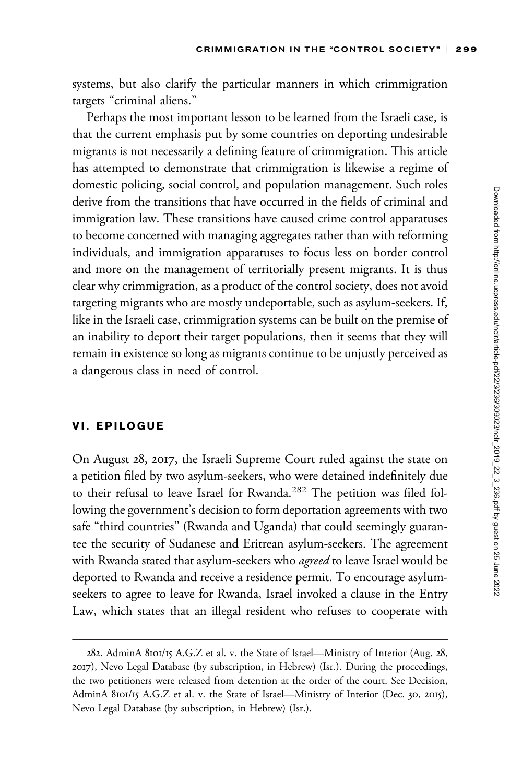systems, but also clarify the particular manners in which crimmigration targets "criminal aliens."

Perhaps the most important lesson to be learned from the Israeli case, is that the current emphasis put by some countries on deporting undesirable migrants is not necessarily a defining feature of crimmigration. This article has attempted to demonstrate that crimmigration is likewise a regime of domestic policing, social control, and population management. Such roles derive from the transitions that have occurred in the fields of criminal and immigration law. These transitions have caused crime control apparatuses to become concerned with managing aggregates rather than with reforming individuals, and immigration apparatuses to focus less on border control and more on the management of territorially present migrants. It is thus clear why crimmigration, as a product of the control society, does not avoid targeting migrants who are mostly undeportable, such as asylum-seekers. If, like in the Israeli case, crimmigration systems can be built on the premise of an inability to deport their target populations, then it seems that they will remain in existence so long as migrants continue to be unjustly perceived as a dangerous class in need of control.

## VI. EPILOGUE

On August 28, 2017, the Israeli Supreme Court ruled against the state on a petition filed by two asylum-seekers, who were detained indefinitely due to their refusal to leave Israel for Rwanda.<sup>282</sup> The petition was filed following the government's decision to form deportation agreements with two safe "third countries" (Rwanda and Uganda) that could seemingly guarantee the security of Sudanese and Eritrean asylum-seekers. The agreement with Rwanda stated that asylum-seekers who *agreed* to leave Israel would be deported to Rwanda and receive a residence permit. To encourage asylumseekers to agree to leave for Rwanda, Israel invoked a clause in the Entry Law, which states that an illegal resident who refuses to cooperate with

<sup>282.</sup> AdminA 8101/15 A.G.Z et al. v. the State of Israel—Ministry of Interior (Aug. 28, 2017), Nevo Legal Database (by subscription, in Hebrew) (Isr.). During the proceedings, the two petitioners were released from detention at the order of the court. See Decision, AdminA 8101/15 A.G.Z et al. v. the State of Israel—Ministry of Interior (Dec. 30, 2015), Nevo Legal Database (by subscription, in Hebrew) (Isr.).